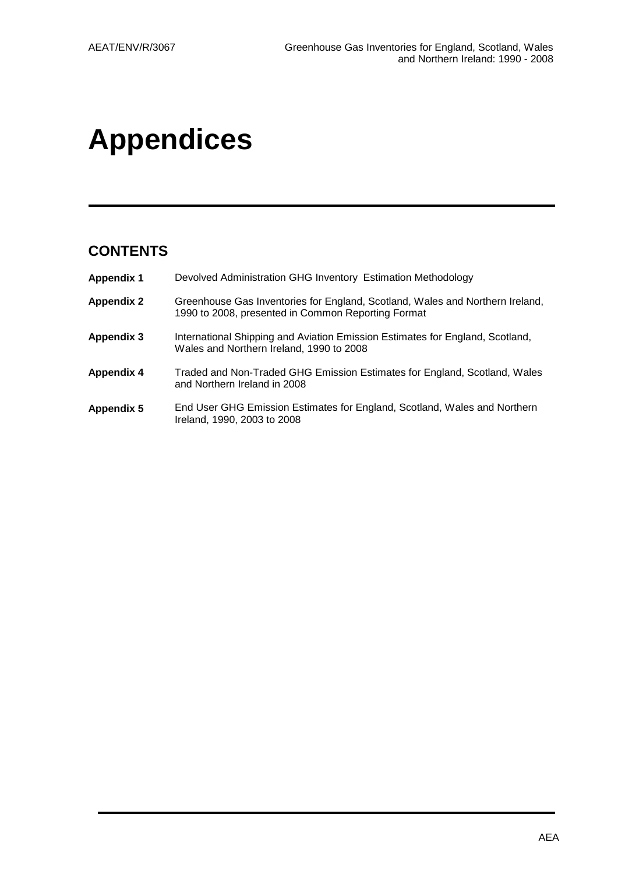# **Appendices**

# **CONTENTS**

| <b>Appendix 1</b> | Devolved Administration GHG Inventory Estimation Methodology                                                                        |
|-------------------|-------------------------------------------------------------------------------------------------------------------------------------|
| <b>Appendix 2</b> | Greenhouse Gas Inventories for England, Scotland, Wales and Northern Ireland,<br>1990 to 2008, presented in Common Reporting Format |
| <b>Appendix 3</b> | International Shipping and Aviation Emission Estimates for England, Scotland,<br>Wales and Northern Ireland, 1990 to 2008           |
| <b>Appendix 4</b> | Traded and Non-Traded GHG Emission Estimates for England, Scotland, Wales<br>and Northern Ireland in 2008                           |
| <b>Appendix 5</b> | End User GHG Emission Estimates for England, Scotland, Wales and Northern<br>Ireland, 1990, 2003 to 2008                            |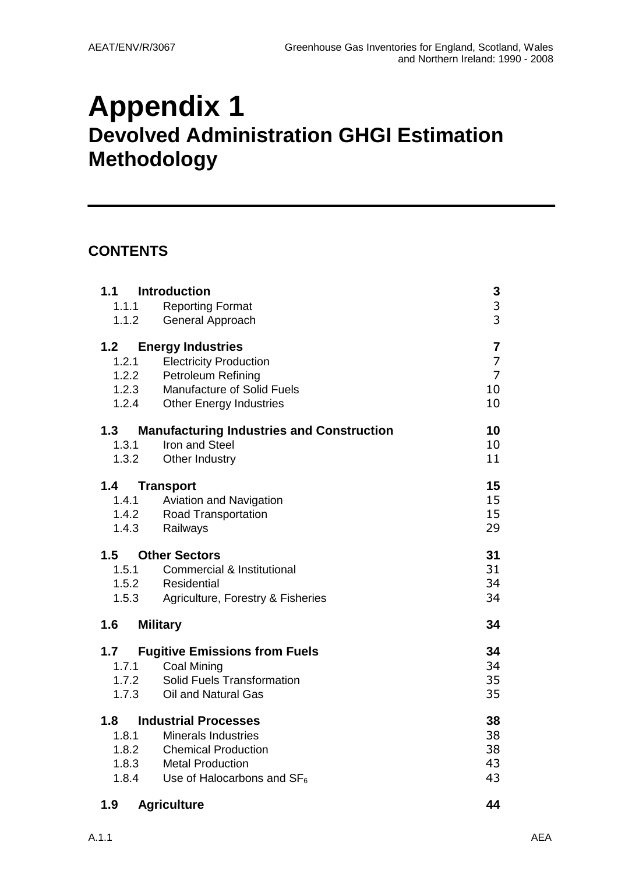# **Appendix 1 Devolved Administration GHGI Estimation Methodology**

# **CONTENTS**

| 1.1 Introduction<br>1.1.1 Reporting Format<br>1.1.2<br>General Approach                                                                                                                                                     | 3<br>$\overline{\mathbf{3}}$<br>3                 |
|-----------------------------------------------------------------------------------------------------------------------------------------------------------------------------------------------------------------------------|---------------------------------------------------|
| 1.2<br><b>Energy Industries</b><br><b>Electricity Production</b><br>1.2.1<br>1.2.2<br>Petroleum Refining<br>1.2.3<br><b>Manufacture of Solid Fuels</b><br>1.2.4<br><b>Other Energy Industries</b>                           | 7<br>$\overline{7}$<br>$\overline{7}$<br>10<br>10 |
| <b>Manufacturing Industries and Construction</b><br>1.3<br>Iron and Steel<br>1.3.1<br>1.3.2<br>Other Industry                                                                                                               | 10<br>10<br>11                                    |
| 1.4<br>Transport<br>1.4.1 Aviation and Navigation<br>1.4.2<br><b>Road Transportation</b><br>1.4.3<br>Railways                                                                                                               | 15<br>15<br>15<br>29                              |
| <b>Other Sectors</b><br>1.5<br>1.5.1<br><b>Commercial &amp; Institutional</b><br>1.5.2<br>Residential<br>1.5.3<br>Agriculture, Forestry & Fisheries                                                                         | 31<br>31<br>34<br>34                              |
| 1.6<br><b>Military</b>                                                                                                                                                                                                      | 34                                                |
| 1.7<br><b>Fugitive Emissions from Fuels</b><br>1.7.1<br><b>Coal Mining</b><br>Solid Fuels Transformation<br>1.7.2<br>1.7.3<br>Oil and Natural Gas                                                                           | 34<br>34<br>35<br>35                              |
| 1.8<br><b>Industrial Processes</b><br>1.8.1<br><b>Minerals Industries</b><br><b>Chemical Production</b><br>1.8.2<br>1.8.3<br><b>Metal Production</b><br>1.8.4<br>Use of Halocarbons and $SF_6$<br>1.9<br><b>Agriculture</b> | 38<br>38<br>38<br>43<br>43<br>44                  |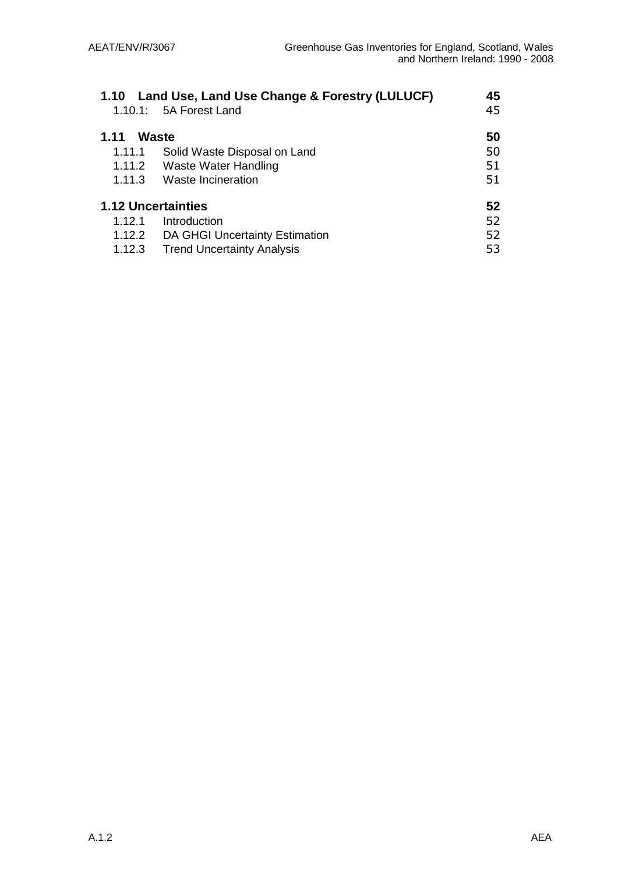| 1.10 Land Use, Land Use Change & Forestry (LULUCF)<br>45 |                                       |    |  |
|----------------------------------------------------------|---------------------------------------|----|--|
|                                                          | $1.10.1: 5A$ Forest Land              | 45 |  |
| 1.11                                                     | <b>Waste</b>                          | 50 |  |
| 1.11.1                                                   | Solid Waste Disposal on Land          | 50 |  |
|                                                          | 1.11.2 Waste Water Handling           | 51 |  |
| 1.11.3                                                   | Waste Incineration                    | 51 |  |
|                                                          | <b>1.12 Uncertainties</b>             | 52 |  |
| 1.12.1                                                   | Introduction                          | 52 |  |
|                                                          | 1.12.2 DA GHGI Uncertainty Estimation | 52 |  |
| 1.12.3                                                   | <b>Trend Uncertainty Analysis</b>     | 53 |  |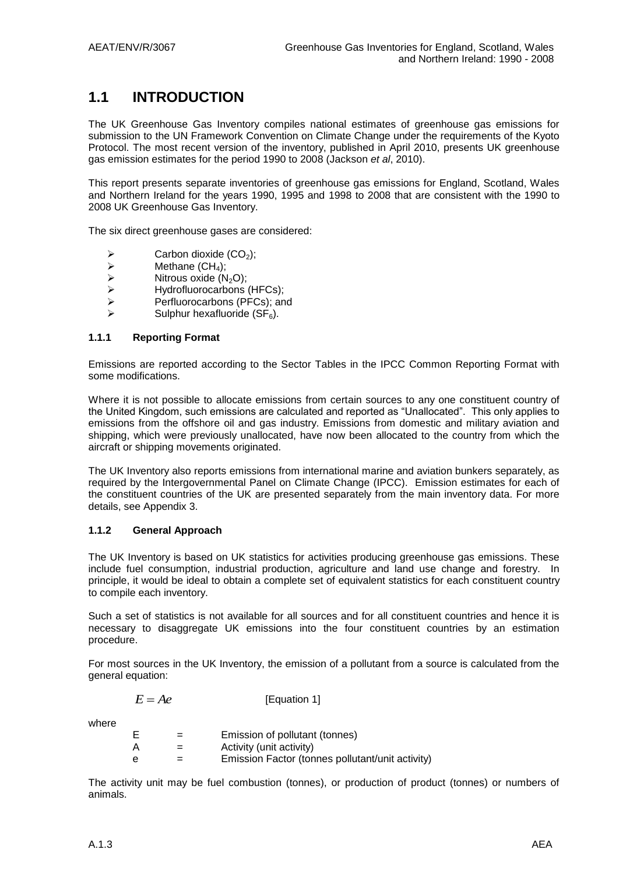# **1.1 INTRODUCTION**

The UK Greenhouse Gas Inventory compiles national estimates of greenhouse gas emissions for submission to the UN Framework Convention on Climate Change under the requirements of the Kyoto Protocol. The most recent version of the inventory, published in April 2010, presents UK greenhouse gas emission estimates for the period 1990 to 2008 (Jackson *et al*, 2010).

This report presents separate inventories of greenhouse gas emissions for England, Scotland, Wales and Northern Ireland for the years 1990, 1995 and 1998 to 2008 that are consistent with the 1990 to 2008 UK Greenhouse Gas Inventory.

The six direct greenhouse gases are considered:

- A<br>  $\triangleright$  Carbon dioxide (CO<sub>2</sub>);<br>  $\triangleright$  Methane (CH<sub>4</sub>);
- A<br>
Methane (CH<sub>4</sub>);<br>
Mitrous oxide (N
- $\triangleright$  Nitrous oxide (N<sub>2</sub>O);<br> $\triangleright$  Hydrofluorocarbons
- $\triangleright$  Hydrofluorocarbons (HFCs);<br>  $\triangleright$  Perfluorocarbons (PFCs): an
- Perfluorocarbons (PFCs); and
- Sulphur hexafluoride  $(SF_6)$ .

#### **1.1.1 Reporting Format**

Emissions are reported according to the Sector Tables in the IPCC Common Reporting Format with some modifications.

Where it is not possible to allocate emissions from certain sources to any one constituent country of the United Kingdom, such emissions are calculated and reported as "Unallocated". This only applies to emissions from the offshore oil and gas industry. Emissions from domestic and military aviation and shipping, which were previously unallocated, have now been allocated to the country from which the aircraft or shipping movements originated.

The UK Inventory also reports emissions from international marine and aviation bunkers separately, as required by the Intergovernmental Panel on Climate Change (IPCC). Emission estimates for each of the constituent countries of the UK are presented separately from the main inventory data. For more details, see Appendix 3.

#### **1.1.2 General Approach**

The UK Inventory is based on UK statistics for activities producing greenhouse gas emissions. These include fuel consumption, industrial production, agriculture and land use change and forestry. In principle, it would be ideal to obtain a complete set of equivalent statistics for each constituent country to compile each inventory.

Such a set of statistics is not available for all sources and for all constituent countries and hence it is necessary to disaggregate UK emissions into the four constituent countries by an estimation procedure.

For most sources in the UK Inventory, the emission of a pollutant from a source is calculated from the general equation:

| $E = Ae$ | [Equation 1] |
|----------|--------------|
|----------|--------------|

where

|   |   | Emission of pollutant (tonnes)                   |
|---|---|--------------------------------------------------|
| A | = | Activity (unit activity)                         |
| e |   | Emission Factor (tonnes pollutant/unit activity) |

The activity unit may be fuel combustion (tonnes), or production of product (tonnes) or numbers of animals.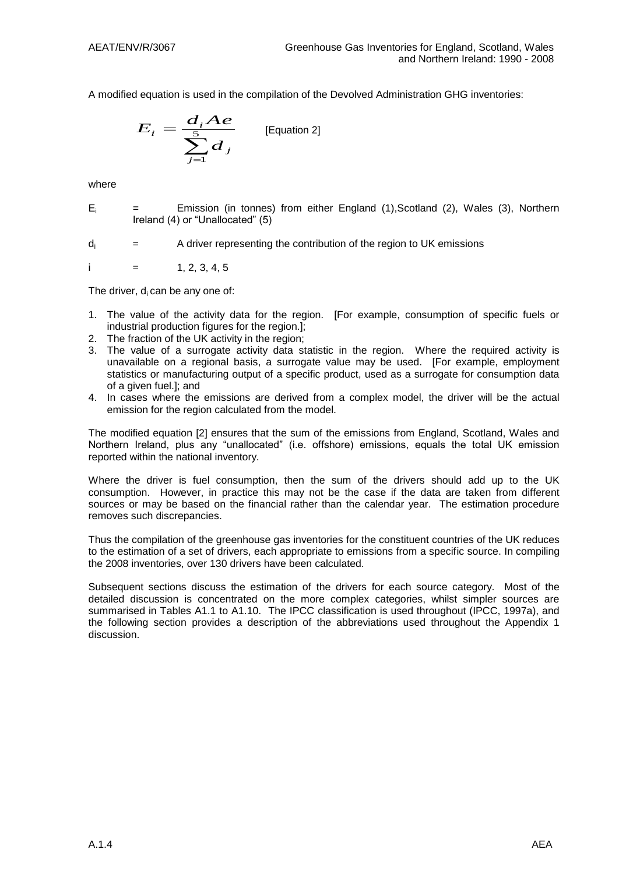A modified equation is used in the compilation of the Devolved Administration GHG inventories:

$$
E_i = \frac{d_i Ae}{\sum_{j=1}^{5} d_j}
$$
 [Equation 2]

where

 $E_i$  = Emission (in tonnes) from either England (1), Scotland (2), Wales (3), Northern Ireland (4) or "Unallocated" (5)

 $d_i$  = A driver representing the contribution of the region to UK emissions

i  $=$  1, 2, 3, 4, 5

The driver,  $d_i$  can be any one of:

- 1. The value of the activity data for the region. [For example, consumption of specific fuels or industrial production figures for the region.];
- 2. The fraction of the UK activity in the region;
- 3. The value of a surrogate activity data statistic in the region. Where the required activity is unavailable on a regional basis, a surrogate value may be used. [For example, employment statistics or manufacturing output of a specific product, used as a surrogate for consumption data of a given fuel.]; and
- 4. In cases where the emissions are derived from a complex model, the driver will be the actual emission for the region calculated from the model.

The modified equation [2] ensures that the sum of the emissions from England, Scotland, Wales and Northern Ireland, plus any "unallocated" (i.e. offshore) emissions, equals the total UK emission reported within the national inventory.

Where the driver is fuel consumption, then the sum of the drivers should add up to the UK consumption. However, in practice this may not be the case if the data are taken from different sources or may be based on the financial rather than the calendar year. The estimation procedure removes such discrepancies.

Thus the compilation of the greenhouse gas inventories for the constituent countries of the UK reduces to the estimation of a set of drivers, each appropriate to emissions from a specific source. In compiling the 2008 inventories, over 130 drivers have been calculated.

Subsequent sections discuss the estimation of the drivers for each source category. Most of the detailed discussion is concentrated on the more complex categories, whilst simpler sources are summarised in Tables A1.1 to A1.10. The IPCC classification is used throughout (IPCC, 1997a), and the following section provides a description of the abbreviations used throughout the Appendix 1 discussion.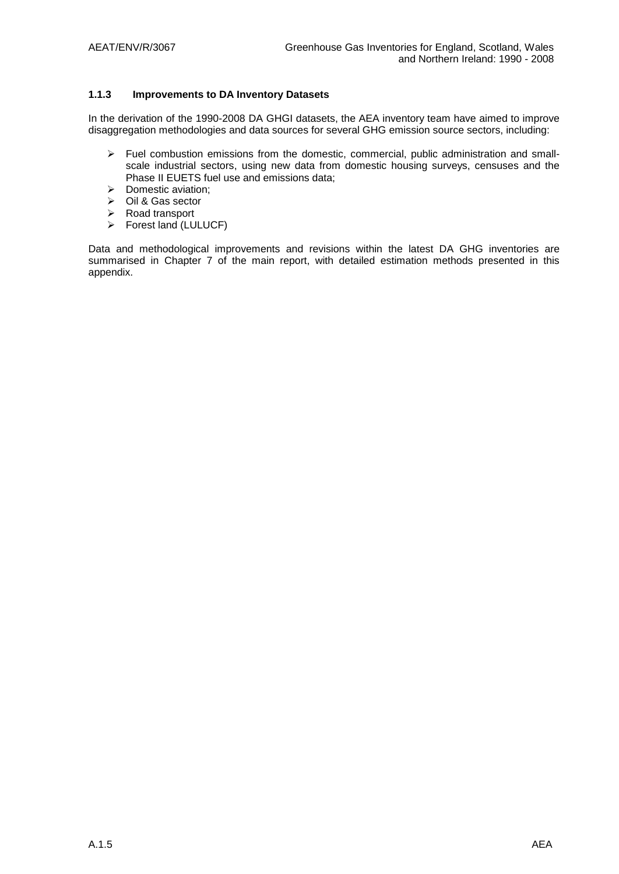#### **1.1.3 Improvements to DA Inventory Datasets**

In the derivation of the 1990-2008 DA GHGI datasets, the AEA inventory team have aimed to improve disaggregation methodologies and data sources for several GHG emission source sectors, including:

- $\triangleright$  Fuel combustion emissions from the domestic, commercial, public administration and smallscale industrial sectors, using new data from domestic housing surveys, censuses and the Phase II EUETS fuel use and emissions data;
- $\triangleright$  Domestic aviation;
- $\triangleright$  Oil & Gas sector
- Road transport
- Forest land (LULUCF)

Data and methodological improvements and revisions within the latest DA GHG inventories are summarised in Chapter 7 of the main report, with detailed estimation methods presented in this appendix.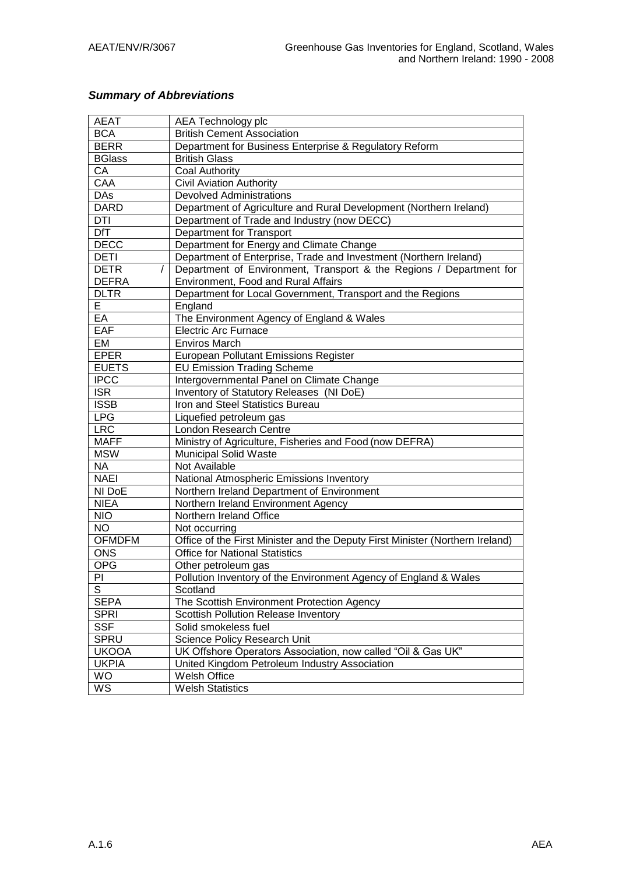### *Summary of Abbreviations*

| <b>AEAT</b>             | AEA Technology plc                                                            |  |  |
|-------------------------|-------------------------------------------------------------------------------|--|--|
| <b>BCA</b>              | <b>British Cement Association</b>                                             |  |  |
| <b>BERR</b>             | Department for Business Enterprise & Regulatory Reform                        |  |  |
| <b>BGlass</b>           | <b>British Glass</b>                                                          |  |  |
| CA                      | <b>Coal Authority</b>                                                         |  |  |
| CAA                     | <b>Civil Aviation Authority</b>                                               |  |  |
| <b>DAs</b>              | <b>Devolved Administrations</b>                                               |  |  |
| <b>DARD</b>             | Department of Agriculture and Rural Development (Northern Ireland)            |  |  |
| <b>DTI</b>              | Department of Trade and Industry (now DECC)                                   |  |  |
| <b>DfT</b>              | Department for Transport                                                      |  |  |
| <b>DECC</b>             | Department for Energy and Climate Change                                      |  |  |
| <b>DETI</b>             | Department of Enterprise, Trade and Investment (Northern Ireland)             |  |  |
| <b>DETR</b><br>$\prime$ | Department of Environment, Transport & the Regions / Department for           |  |  |
| <b>DEFRA</b>            | Environment, Food and Rural Affairs                                           |  |  |
| <b>DLTR</b>             | Department for Local Government, Transport and the Regions                    |  |  |
| E.                      | England                                                                       |  |  |
| EA                      | The Environment Agency of England & Wales                                     |  |  |
| EAF                     | <b>Electric Arc Furnace</b>                                                   |  |  |
| EM                      | <b>Enviros March</b>                                                          |  |  |
| <b>EPER</b>             | <b>European Pollutant Emissions Register</b>                                  |  |  |
| <b>EUETS</b>            | <b>EU Emission Trading Scheme</b>                                             |  |  |
| <b>IPCC</b>             | Intergovernmental Panel on Climate Change                                     |  |  |
| <b>ISR</b>              | Inventory of Statutory Releases (NI DoE)                                      |  |  |
| <b>ISSB</b>             | Iron and Steel Statistics Bureau                                              |  |  |
| <b>LPG</b>              | Liquefied petroleum gas                                                       |  |  |
| <b>LRC</b>              | <b>London Research Centre</b>                                                 |  |  |
| <b>MAFF</b>             | Ministry of Agriculture, Fisheries and Food (now DEFRA)                       |  |  |
| <b>MSW</b>              | <b>Municipal Solid Waste</b>                                                  |  |  |
| <b>NA</b>               | Not Available                                                                 |  |  |
| <b>NAEI</b>             | National Atmospheric Emissions Inventory                                      |  |  |
| NI DoE                  | Northern Ireland Department of Environment                                    |  |  |
| <b>NIEA</b>             | Northern Ireland Environment Agency                                           |  |  |
| <b>NIO</b>              | Northern Ireland Office                                                       |  |  |
| <b>NO</b>               | Not occurring                                                                 |  |  |
| <b>OFMDFM</b>           | Office of the First Minister and the Deputy First Minister (Northern Ireland) |  |  |
| <b>ONS</b>              | <b>Office for National Statistics</b>                                         |  |  |
| <b>OPG</b>              | Other petroleum gas                                                           |  |  |
| PI                      | Pollution Inventory of the Environment Agency of England & Wales              |  |  |
| S                       | Scotland                                                                      |  |  |
| <b>SEPA</b>             | The Scottish Environment Protection Agency                                    |  |  |
| <b>SPRI</b>             | Scottish Pollution Release Inventory                                          |  |  |
| <b>SSF</b>              | Solid smokeless fuel                                                          |  |  |
| <b>SPRU</b>             | Science Policy Research Unit                                                  |  |  |
| <b>UKOOA</b>            | UK Offshore Operators Association, now called "Oil & Gas UK"                  |  |  |
| <b>UKPIA</b>            | United Kingdom Petroleum Industry Association                                 |  |  |
| <b>WO</b>               |                                                                               |  |  |
|                         | Welsh Office                                                                  |  |  |
| WS                      | <b>Welsh Statistics</b>                                                       |  |  |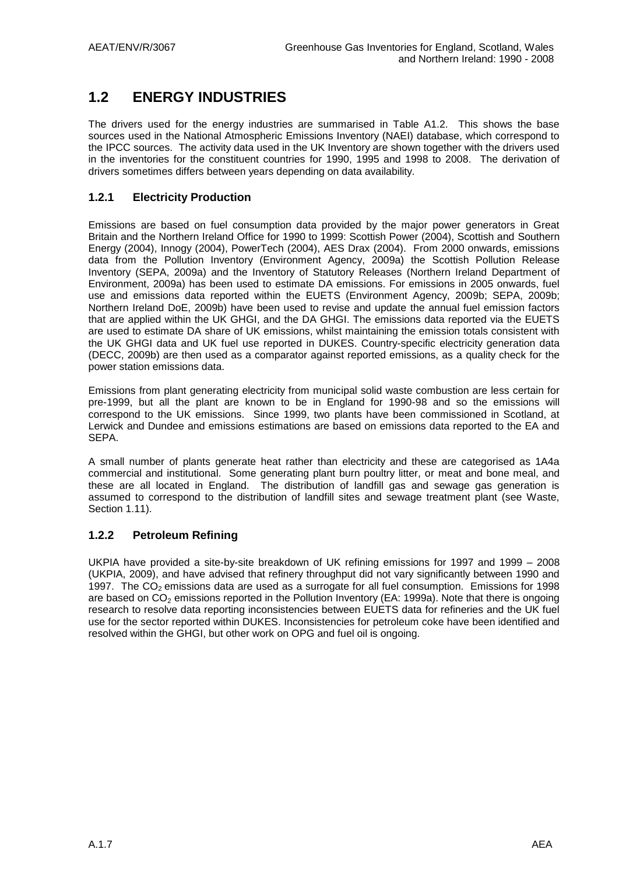# **1.2 ENERGY INDUSTRIES**

The drivers used for the energy industries are summarised in Table A1.2. This shows the base sources used in the National Atmospheric Emissions Inventory (NAEI) database, which correspond to the IPCC sources. The activity data used in the UK Inventory are shown together with the drivers used in the inventories for the constituent countries for 1990, 1995 and 1998 to 2008. The derivation of drivers sometimes differs between years depending on data availability.

### **1.2.1 Electricity Production**

Emissions are based on fuel consumption data provided by the major power generators in Great Britain and the Northern Ireland Office for 1990 to 1999: Scottish Power (2004), Scottish and Southern Energy (2004), Innogy (2004), PowerTech (2004), AES Drax (2004). From 2000 onwards, emissions data from the Pollution Inventory (Environment Agency, 2009a) the Scottish Pollution Release Inventory (SEPA, 2009a) and the Inventory of Statutory Releases (Northern Ireland Department of Environment, 2009a) has been used to estimate DA emissions. For emissions in 2005 onwards, fuel use and emissions data reported within the EUETS (Environment Agency, 2009b; SEPA, 2009b; Northern Ireland DoE, 2009b) have been used to revise and update the annual fuel emission factors that are applied within the UK GHGI, and the DA GHGI. The emissions data reported via the EUETS are used to estimate DA share of UK emissions, whilst maintaining the emission totals consistent with the UK GHGI data and UK fuel use reported in DUKES. Country-specific electricity generation data (DECC, 2009b) are then used as a comparator against reported emissions, as a quality check for the power station emissions data.

Emissions from plant generating electricity from municipal solid waste combustion are less certain for pre-1999, but all the plant are known to be in England for 1990-98 and so the emissions will correspond to the UK emissions. Since 1999, two plants have been commissioned in Scotland, at Lerwick and Dundee and emissions estimations are based on emissions data reported to the EA and SEPA.

A small number of plants generate heat rather than electricity and these are categorised as 1A4a commercial and institutional. Some generating plant burn poultry litter, or meat and bone meal, and these are all located in England. The distribution of landfill gas and sewage gas generation is assumed to correspond to the distribution of landfill sites and sewage treatment plant (see Waste, Section 1.11).

### **1.2.2 Petroleum Refining**

UKPIA have provided a site-by-site breakdown of UK refining emissions for 1997 and 1999 – 2008 (UKPIA, 2009), and have advised that refinery throughput did not vary significantly between 1990 and 1997. The  $CO<sub>2</sub>$  emissions data are used as a surrogate for all fuel consumption. Emissions for 1998 are based on CO<sub>2</sub> emissions reported in the Pollution Inventory (EA: 1999a). Note that there is ongoing research to resolve data reporting inconsistencies between EUETS data for refineries and the UK fuel use for the sector reported within DUKES. Inconsistencies for petroleum coke have been identified and resolved within the GHGI, but other work on OPG and fuel oil is ongoing.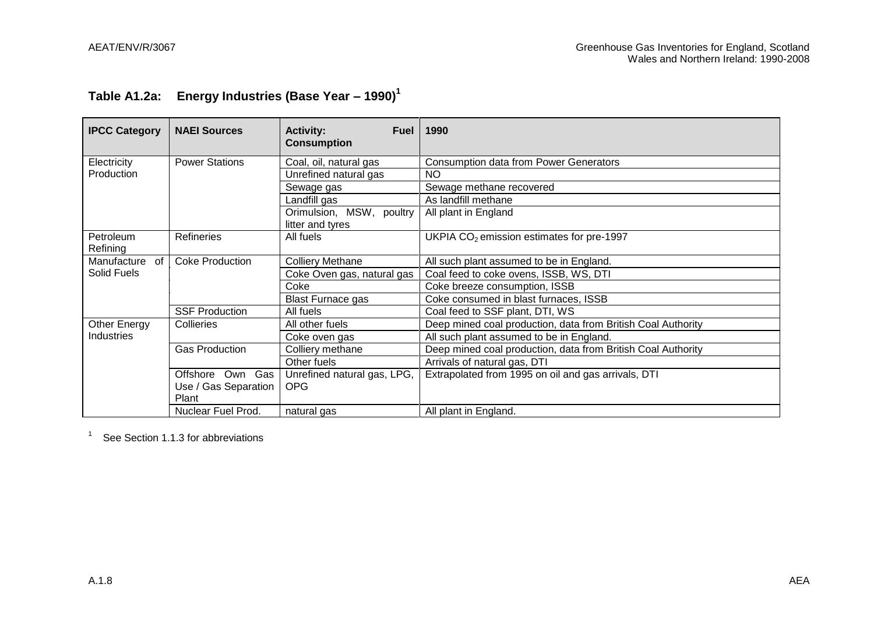# **Table A1.2a: Energy Industries (Base Year – 1990)<sup>1</sup>**

| <b>IPCC Category</b>  | <b>NAEI Sources</b>    | <b>Activity:</b><br><b>Fuel</b><br><b>Consumption</b> | 1990                                                         |
|-----------------------|------------------------|-------------------------------------------------------|--------------------------------------------------------------|
| Electricity           | <b>Power Stations</b>  | Coal, oil, natural gas                                | <b>Consumption data from Power Generators</b>                |
| Production            |                        | Unrefined natural gas                                 | <b>NO</b>                                                    |
|                       |                        | Sewage gas                                            | Sewage methane recovered                                     |
|                       |                        | Landfill gas                                          | As landfill methane                                          |
|                       |                        | Orimulsion, MSW, poultry<br>litter and tyres          | All plant in England                                         |
| Petroleum<br>Refining | <b>Refineries</b>      | All fuels                                             | UKPIA $CO2$ emission estimates for pre-1997                  |
| Manufacture<br>of     | <b>Coke Production</b> | <b>Colliery Methane</b>                               | All such plant assumed to be in England.                     |
| Solid Fuels           |                        | Coke Oven gas, natural gas                            | Coal feed to coke ovens, ISSB, WS, DTI                       |
|                       |                        | Coke                                                  | Coke breeze consumption, ISSB                                |
|                       |                        | <b>Blast Furnace gas</b>                              | Coke consumed in blast furnaces, ISSB                        |
|                       | <b>SSF Production</b>  | All fuels                                             | Coal feed to SSF plant, DTI, WS                              |
| Other Energy          | Collieries             | All other fuels                                       | Deep mined coal production, data from British Coal Authority |
| <b>Industries</b>     |                        | Coke oven gas                                         | All such plant assumed to be in England.                     |
|                       | <b>Gas Production</b>  | Colliery methane                                      | Deep mined coal production, data from British Coal Authority |
|                       |                        | Other fuels                                           | Arrivals of natural gas, DTI                                 |
|                       | Gas<br>Own<br>Offshore | Unrefined natural gas, LPG,                           | Extrapolated from 1995 on oil and gas arrivals, DTI          |
|                       | Use / Gas Separation   | OPG                                                   |                                                              |
|                       | Plant                  |                                                       |                                                              |
|                       | Nuclear Fuel Prod.     | natural gas                                           | All plant in England.                                        |

See Section 1.1.3 for abbreviations

1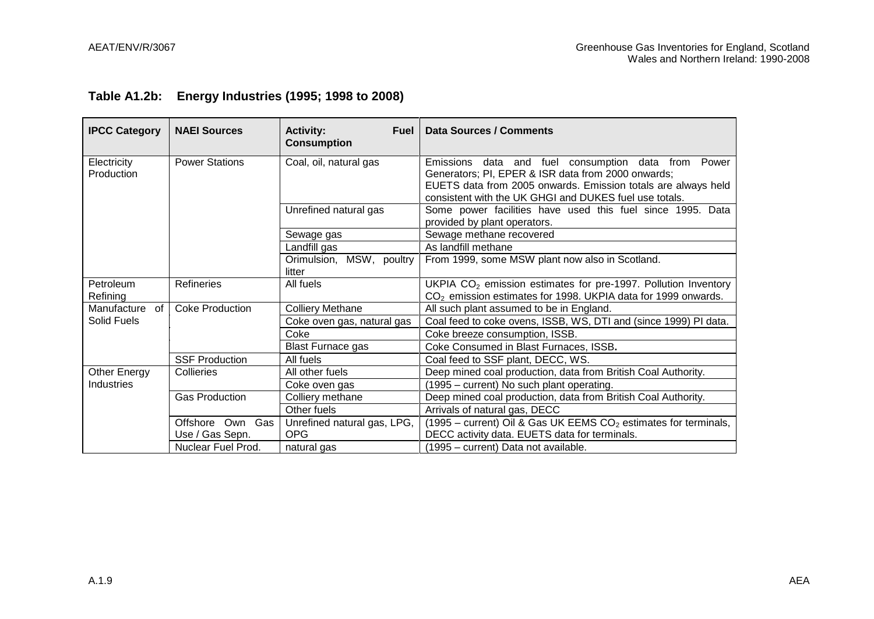|  | Table A1.2b: Energy Industries (1995; 1998 to 2008) |  |
|--|-----------------------------------------------------|--|
|--|-----------------------------------------------------|--|

| <b>IPCC Category</b>      | <b>NAEI Sources</b>    | <b>Activity:</b><br><b>Fuel</b><br><b>Consumption</b> | <b>Data Sources / Comments</b>                                                                                                                                                                                                          |
|---------------------------|------------------------|-------------------------------------------------------|-----------------------------------------------------------------------------------------------------------------------------------------------------------------------------------------------------------------------------------------|
| Electricity<br>Production | <b>Power Stations</b>  | Coal, oil, natural gas                                | Emissions data and fuel consumption data from<br>Power<br>Generators; PI, EPER & ISR data from 2000 onwards;<br>EUETS data from 2005 onwards. Emission totals are always held<br>consistent with the UK GHGI and DUKES fuel use totals. |
|                           |                        | Unrefined natural gas                                 | Some power facilities have used this fuel since 1995. Data<br>provided by plant operators.                                                                                                                                              |
|                           |                        | Sewage gas                                            | Sewage methane recovered                                                                                                                                                                                                                |
|                           |                        | Landfill gas                                          | As landfill methane                                                                                                                                                                                                                     |
|                           |                        | Orimulsion, MSW, poultry<br>litter                    | From 1999, some MSW plant now also in Scotland.                                                                                                                                                                                         |
| Petroleum<br>Refining     | Refineries             | All fuels                                             | UKPIA $CO2$ emission estimates for pre-1997. Pollution Inventory<br>CO <sub>2</sub> emission estimates for 1998. UKPIA data for 1999 onwards.                                                                                           |
| Manufacture of            | <b>Coke Production</b> | <b>Colliery Methane</b>                               | All such plant assumed to be in England.                                                                                                                                                                                                |
| Solid Fuels               |                        | Coke oven gas, natural gas                            | Coal feed to coke ovens, ISSB, WS, DTI and (since 1999) PI data.                                                                                                                                                                        |
|                           |                        | Coke                                                  | Coke breeze consumption, ISSB.                                                                                                                                                                                                          |
|                           |                        | <b>Blast Furnace gas</b>                              | Coke Consumed in Blast Furnaces, ISSB.                                                                                                                                                                                                  |
|                           | <b>SSF Production</b>  | All fuels                                             | Coal feed to SSF plant, DECC, WS.                                                                                                                                                                                                       |
| Other Energy              | Collieries             | All other fuels                                       | Deep mined coal production, data from British Coal Authority.                                                                                                                                                                           |
| Industries                |                        | Coke oven gas                                         | (1995 – current) No such plant operating.                                                                                                                                                                                               |
|                           | <b>Gas Production</b>  | Colliery methane                                      | Deep mined coal production, data from British Coal Authority.                                                                                                                                                                           |
|                           |                        | Other fuels                                           | Arrivals of natural gas, DECC                                                                                                                                                                                                           |
|                           | Offshore Own Gas       | Unrefined natural gas, LPG,                           | (1995 – current) Oil & Gas UK EEMS $CO2$ estimates for terminals,                                                                                                                                                                       |
|                           | Use / Gas Sepn.        | <b>OPG</b>                                            | DECC activity data. EUETS data for terminals.                                                                                                                                                                                           |
|                           | Nuclear Fuel Prod.     | natural gas                                           | (1995 – current) Data not available.                                                                                                                                                                                                    |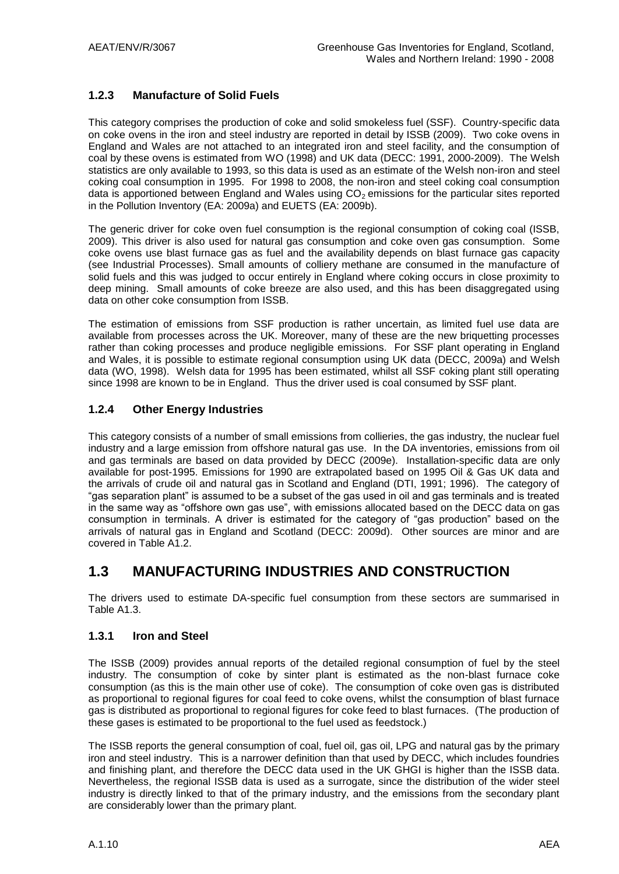### **1.2.3 Manufacture of Solid Fuels**

This category comprises the production of coke and solid smokeless fuel (SSF). Country-specific data on coke ovens in the iron and steel industry are reported in detail by ISSB (2009). Two coke ovens in England and Wales are not attached to an integrated iron and steel facility, and the consumption of coal by these ovens is estimated from WO (1998) and UK data (DECC: 1991, 2000-2009). The Welsh statistics are only available to 1993, so this data is used as an estimate of the Welsh non-iron and steel coking coal consumption in 1995. For 1998 to 2008, the non-iron and steel coking coal consumption data is apportioned between England and Wales using  $CO<sub>2</sub>$  emissions for the particular sites reported in the Pollution Inventory (EA: 2009a) and EUETS (EA: 2009b).

The generic driver for coke oven fuel consumption is the regional consumption of coking coal (ISSB, 2009). This driver is also used for natural gas consumption and coke oven gas consumption. Some coke ovens use blast furnace gas as fuel and the availability depends on blast furnace gas capacity (see Industrial Processes). Small amounts of colliery methane are consumed in the manufacture of solid fuels and this was judged to occur entirely in England where coking occurs in close proximity to deep mining. Small amounts of coke breeze are also used, and this has been disaggregated using data on other coke consumption from ISSB.

The estimation of emissions from SSF production is rather uncertain, as limited fuel use data are available from processes across the UK. Moreover, many of these are the new briquetting processes rather than coking processes and produce negligible emissions. For SSF plant operating in England and Wales, it is possible to estimate regional consumption using UK data (DECC, 2009a) and Welsh data (WO, 1998). Welsh data for 1995 has been estimated, whilst all SSF coking plant still operating since 1998 are known to be in England. Thus the driver used is coal consumed by SSF plant.

#### **1.2.4 Other Energy Industries**

This category consists of a number of small emissions from collieries, the gas industry, the nuclear fuel industry and a large emission from offshore natural gas use. In the DA inventories, emissions from oil and gas terminals are based on data provided by DECC (2009e). Installation-specific data are only available for post-1995. Emissions for 1990 are extrapolated based on 1995 Oil & Gas UK data and the arrivals of crude oil and natural gas in Scotland and England (DTI, 1991; 1996). The category of "gas separation plant" is assumed to be a subset of the gas used in oil and gas terminals and is treated in the same way as "offshore own gas use", with emissions allocated based on the DECC data on gas consumption in terminals. A driver is estimated for the category of "gas production" based on the arrivals of natural gas in England and Scotland (DECC: 2009d). Other sources are minor and are covered in Table A1.2.

### **1.3 MANUFACTURING INDUSTRIES AND CONSTRUCTION**

The drivers used to estimate DA-specific fuel consumption from these sectors are summarised in Table A1.3.

#### **1.3.1 Iron and Steel**

The ISSB (2009) provides annual reports of the detailed regional consumption of fuel by the steel industry. The consumption of coke by sinter plant is estimated as the non-blast furnace coke consumption (as this is the main other use of coke). The consumption of coke oven gas is distributed as proportional to regional figures for coal feed to coke ovens, whilst the consumption of blast furnace gas is distributed as proportional to regional figures for coke feed to blast furnaces. (The production of these gases is estimated to be proportional to the fuel used as feedstock.)

The ISSB reports the general consumption of coal, fuel oil, gas oil, LPG and natural gas by the primary iron and steel industry. This is a narrower definition than that used by DECC, which includes foundries and finishing plant, and therefore the DECC data used in the UK GHGI is higher than the ISSB data. Nevertheless, the regional ISSB data is used as a surrogate, since the distribution of the wider steel industry is directly linked to that of the primary industry, and the emissions from the secondary plant are considerably lower than the primary plant.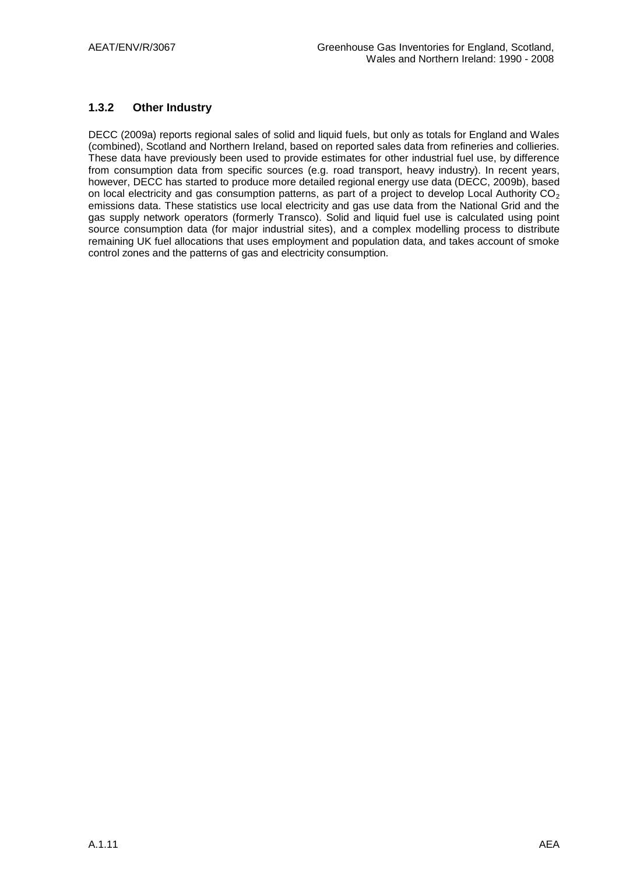### **1.3.2 Other Industry**

DECC (2009a) reports regional sales of solid and liquid fuels, but only as totals for England and Wales (combined), Scotland and Northern Ireland, based on reported sales data from refineries and collieries. These data have previously been used to provide estimates for other industrial fuel use, by difference from consumption data from specific sources (e.g. road transport, heavy industry). In recent years, however, DECC has started to produce more detailed regional energy use data (DECC, 2009b), based on local electricity and gas consumption patterns, as part of a project to develop Local Authority CO<sub>2</sub> emissions data. These statistics use local electricity and gas use data from the National Grid and the gas supply network operators (formerly Transco). Solid and liquid fuel use is calculated using point source consumption data (for major industrial sites), and a complex modelling process to distribute remaining UK fuel allocations that uses employment and population data, and takes account of smoke control zones and the patterns of gas and electricity consumption.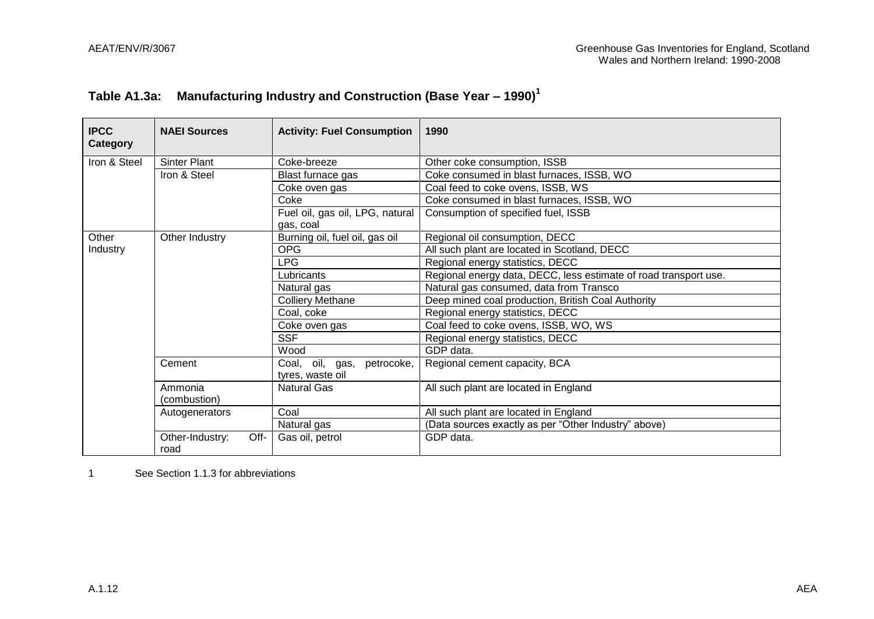| Table A1.3a: | Manufacturing Industry and Construction (Base Year $-$ 1990) <sup>1</sup> |  |
|--------------|---------------------------------------------------------------------------|--|
|              |                                                                           |  |

| <b>IPCC</b><br>Category | <b>NAEI Sources</b>             | <b>Activity: Fuel Consumption</b>                 | 1990                                                             |
|-------------------------|---------------------------------|---------------------------------------------------|------------------------------------------------------------------|
| Iron & Steel            | <b>Sinter Plant</b>             | Coke-breeze                                       | Other coke consumption, ISSB                                     |
|                         | Iron & Steel                    | Blast furnace gas                                 | Coke consumed in blast furnaces, ISSB, WO                        |
|                         |                                 | Coke oven gas                                     | Coal feed to coke ovens, ISSB, WS                                |
|                         |                                 | Coke                                              | Coke consumed in blast furnaces, ISSB, WO                        |
|                         |                                 | Fuel oil, gas oil, LPG, natural                   | Consumption of specified fuel, ISSB                              |
|                         |                                 | gas, coal                                         |                                                                  |
| Other                   | Other Industry                  | Burning oil, fuel oil, gas oil                    | Regional oil consumption, DECC                                   |
| Industry                |                                 | <b>OPG</b>                                        | All such plant are located in Scotland, DECC                     |
|                         |                                 | <b>LPG</b>                                        | Regional energy statistics, DECC                                 |
|                         |                                 | Lubricants                                        | Regional energy data, DECC, less estimate of road transport use. |
|                         |                                 | Natural gas                                       | Natural gas consumed, data from Transco                          |
|                         |                                 | <b>Colliery Methane</b>                           | Deep mined coal production, British Coal Authority               |
|                         |                                 | Coal, coke                                        | Regional energy statistics, DECC                                 |
|                         |                                 | Coke oven gas                                     | Coal feed to coke ovens, ISSB, WO, WS                            |
|                         |                                 | <b>SSF</b>                                        | Regional energy statistics, DECC                                 |
|                         |                                 | Wood                                              | GDP data.                                                        |
|                         | Cement                          | Coal, oil, gas,<br>petrocoke.<br>tyres, waste oil | Regional cement capacity, BCA                                    |
|                         | Ammonia<br>(combustion)         | <b>Natural Gas</b>                                | All such plant are located in England                            |
|                         | Autogenerators                  | Coal                                              | All such plant are located in England                            |
|                         |                                 | Natural gas                                       | (Data sources exactly as per "Other Industry" above)             |
|                         | Off-<br>Other-Industry:<br>road | Gas oil, petrol                                   | GDP data.                                                        |

1 See Section 1.1.3 for abbreviations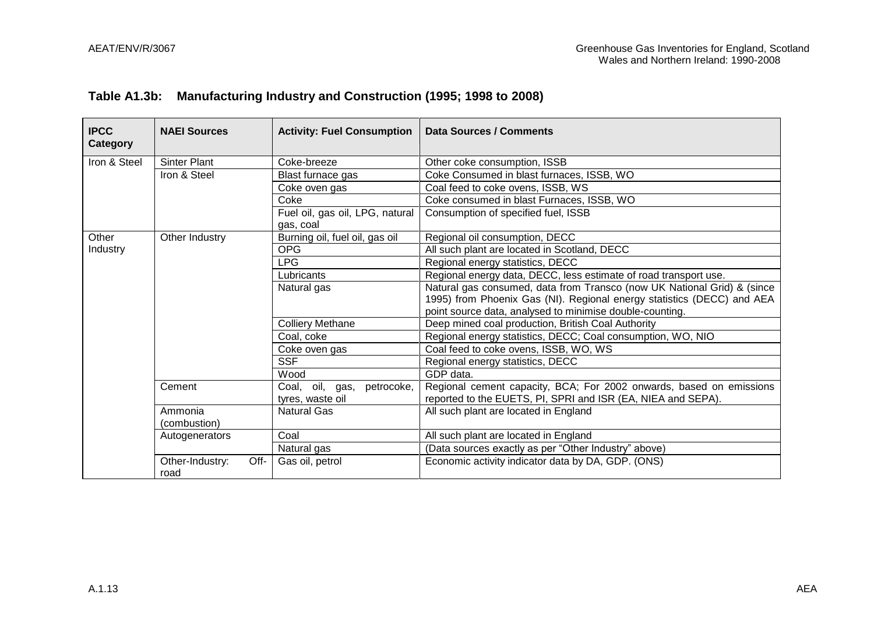### **Table A1.3b: Manufacturing Industry and Construction (1995; 1998 to 2008)**

| <b>IPCC</b><br>Category | <b>NAEI Sources</b>             | <b>Activity: Fuel Consumption</b>                 | Data Sources / Comments                                                                                                                                                                                       |
|-------------------------|---------------------------------|---------------------------------------------------|---------------------------------------------------------------------------------------------------------------------------------------------------------------------------------------------------------------|
| Iron & Steel            | <b>Sinter Plant</b>             | Coke-breeze                                       | Other coke consumption, ISSB                                                                                                                                                                                  |
|                         | Iron & Steel                    | Blast furnace gas                                 | Coke Consumed in blast furnaces, ISSB, WO                                                                                                                                                                     |
|                         |                                 | Coke oven gas                                     | Coal feed to coke ovens, ISSB, WS                                                                                                                                                                             |
|                         |                                 | Coke                                              | Coke consumed in blast Furnaces, ISSB, WO                                                                                                                                                                     |
|                         |                                 | Fuel oil, gas oil, LPG, natural<br>gas, coal      | Consumption of specified fuel, ISSB                                                                                                                                                                           |
| Other                   | Other Industry                  | Burning oil, fuel oil, gas oil                    | Regional oil consumption, DECC                                                                                                                                                                                |
| Industry                |                                 | <b>OPG</b>                                        | All such plant are located in Scotland, DECC                                                                                                                                                                  |
|                         |                                 | <b>LPG</b>                                        | Regional energy statistics, DECC                                                                                                                                                                              |
|                         |                                 | Lubricants                                        | Regional energy data, DECC, less estimate of road transport use.                                                                                                                                              |
|                         |                                 | Natural gas                                       | Natural gas consumed, data from Transco (now UK National Grid) & (since<br>1995) from Phoenix Gas (NI). Regional energy statistics (DECC) and AEA<br>point source data, analysed to minimise double-counting. |
|                         |                                 | <b>Colliery Methane</b>                           | Deep mined coal production, British Coal Authority                                                                                                                                                            |
|                         |                                 | Coal, coke                                        | Regional energy statistics, DECC; Coal consumption, WO, NIO                                                                                                                                                   |
|                         |                                 | Coke oven gas                                     | Coal feed to coke ovens, ISSB, WO, WS                                                                                                                                                                         |
|                         |                                 | <b>SSF</b>                                        | Regional energy statistics, DECC                                                                                                                                                                              |
|                         |                                 | Wood                                              | GDP data.                                                                                                                                                                                                     |
|                         | Cement                          | Coal, oil, gas,<br>petrocoke,<br>tyres, waste oil | Regional cement capacity, BCA; For 2002 onwards, based on emissions<br>reported to the EUETS, PI, SPRI and ISR (EA, NIEA and SEPA).                                                                           |
|                         | Ammonia<br>(combustion)         | <b>Natural Gas</b>                                | All such plant are located in England                                                                                                                                                                         |
|                         | Autogenerators                  | Coal                                              | All such plant are located in England                                                                                                                                                                         |
|                         |                                 | Natural gas                                       | (Data sources exactly as per "Other Industry" above)                                                                                                                                                          |
|                         | Other-Industry:<br>Off-<br>road | Gas oil, petrol                                   | Economic activity indicator data by DA, GDP. (ONS)                                                                                                                                                            |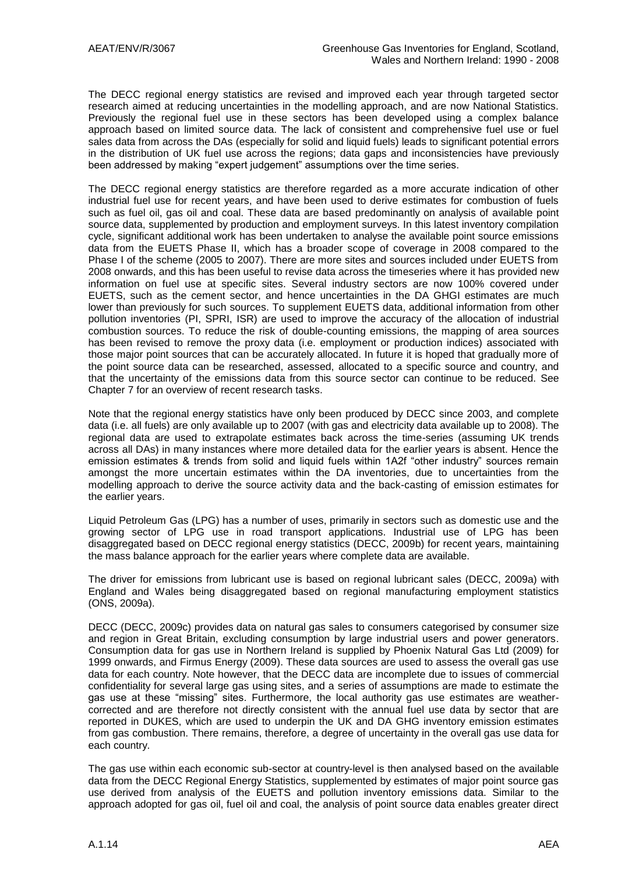The DECC regional energy statistics are revised and improved each year through targeted sector research aimed at reducing uncertainties in the modelling approach, and are now National Statistics. Previously the regional fuel use in these sectors has been developed using a complex balance approach based on limited source data. The lack of consistent and comprehensive fuel use or fuel sales data from across the DAs (especially for solid and liquid fuels) leads to significant potential errors in the distribution of UK fuel use across the regions; data gaps and inconsistencies have previously been addressed by making "expert judgement" assumptions over the time series.

The DECC regional energy statistics are therefore regarded as a more accurate indication of other industrial fuel use for recent years, and have been used to derive estimates for combustion of fuels such as fuel oil, gas oil and coal. These data are based predominantly on analysis of available point source data, supplemented by production and employment surveys. In this latest inventory compilation cycle, significant additional work has been undertaken to analyse the available point source emissions data from the EUETS Phase II, which has a broader scope of coverage in 2008 compared to the Phase I of the scheme (2005 to 2007). There are more sites and sources included under EUETS from 2008 onwards, and this has been useful to revise data across the timeseries where it has provided new information on fuel use at specific sites. Several industry sectors are now 100% covered under EUETS, such as the cement sector, and hence uncertainties in the DA GHGI estimates are much lower than previously for such sources. To supplement EUETS data, additional information from other pollution inventories (PI, SPRI, ISR) are used to improve the accuracy of the allocation of industrial combustion sources. To reduce the risk of double-counting emissions, the mapping of area sources has been revised to remove the proxy data (i.e. employment or production indices) associated with those major point sources that can be accurately allocated. In future it is hoped that gradually more of the point source data can be researched, assessed, allocated to a specific source and country, and that the uncertainty of the emissions data from this source sector can continue to be reduced. See Chapter 7 for an overview of recent research tasks.

Note that the regional energy statistics have only been produced by DECC since 2003, and complete data (i.e. all fuels) are only available up to 2007 (with gas and electricity data available up to 2008). The regional data are used to extrapolate estimates back across the time-series (assuming UK trends across all DAs) in many instances where more detailed data for the earlier years is absent. Hence the emission estimates & trends from solid and liquid fuels within 1A2f "other industry" sources remain amongst the more uncertain estimates within the DA inventories, due to uncertainties from the modelling approach to derive the source activity data and the back-casting of emission estimates for the earlier years.

Liquid Petroleum Gas (LPG) has a number of uses, primarily in sectors such as domestic use and the growing sector of LPG use in road transport applications. Industrial use of LPG has been disaggregated based on DECC regional energy statistics (DECC, 2009b) for recent years, maintaining the mass balance approach for the earlier years where complete data are available.

The driver for emissions from lubricant use is based on regional lubricant sales (DECC, 2009a) with England and Wales being disaggregated based on regional manufacturing employment statistics (ONS, 2009a).

DECC (DECC, 2009c) provides data on natural gas sales to consumers categorised by consumer size and region in Great Britain, excluding consumption by large industrial users and power generators. Consumption data for gas use in Northern Ireland is supplied by Phoenix Natural Gas Ltd (2009) for 1999 onwards, and Firmus Energy (2009). These data sources are used to assess the overall gas use data for each country. Note however, that the DECC data are incomplete due to issues of commercial confidentiality for several large gas using sites, and a series of assumptions are made to estimate the gas use at these "missing" sites. Furthermore, the local authority gas use estimates are weathercorrected and are therefore not directly consistent with the annual fuel use data by sector that are reported in DUKES, which are used to underpin the UK and DA GHG inventory emission estimates from gas combustion. There remains, therefore, a degree of uncertainty in the overall gas use data for each country.

The gas use within each economic sub-sector at country-level is then analysed based on the available data from the DECC Regional Energy Statistics, supplemented by estimates of major point source gas use derived from analysis of the EUETS and pollution inventory emissions data. Similar to the approach adopted for gas oil, fuel oil and coal, the analysis of point source data enables greater direct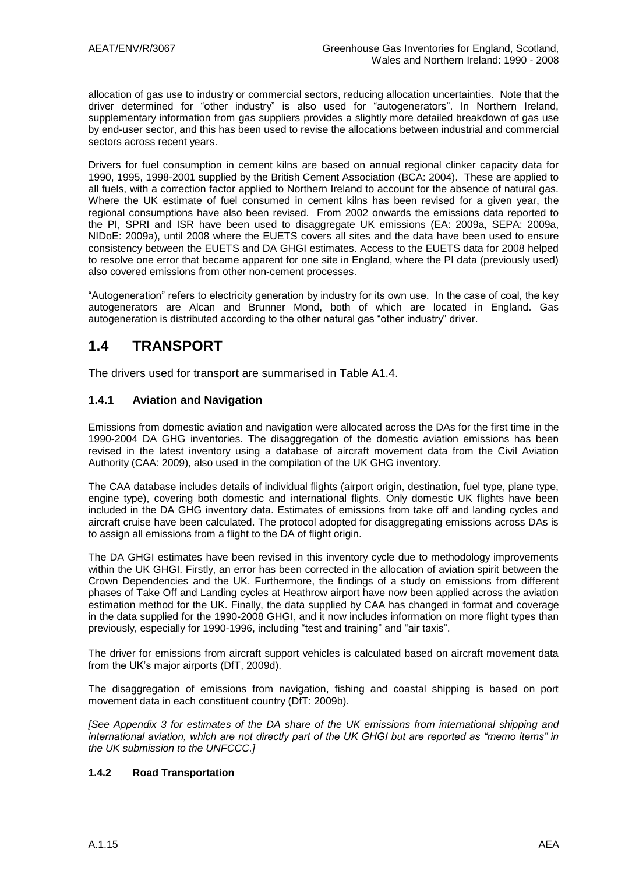allocation of gas use to industry or commercial sectors, reducing allocation uncertainties. Note that the driver determined for "other industry" is also used for "autogenerators". In Northern Ireland, supplementary information from gas suppliers provides a slightly more detailed breakdown of gas use by end-user sector, and this has been used to revise the allocations between industrial and commercial sectors across recent years.

Drivers for fuel consumption in cement kilns are based on annual regional clinker capacity data for 1990, 1995, 1998-2001 supplied by the British Cement Association (BCA: 2004). These are applied to all fuels, with a correction factor applied to Northern Ireland to account for the absence of natural gas. Where the UK estimate of fuel consumed in cement kilns has been revised for a given year, the regional consumptions have also been revised. From 2002 onwards the emissions data reported to the PI, SPRI and ISR have been used to disaggregate UK emissions (EA: 2009a, SEPA: 2009a, NIDoE: 2009a), until 2008 where the EUETS covers all sites and the data have been used to ensure consistency between the EUETS and DA GHGI estimates. Access to the EUETS data for 2008 helped to resolve one error that became apparent for one site in England, where the PI data (previously used) also covered emissions from other non-cement processes.

"Autogeneration" refers to electricity generation by industry for its own use. In the case of coal, the key autogenerators are Alcan and Brunner Mond, both of which are located in England. Gas autogeneration is distributed according to the other natural gas "other industry" driver.

## **1.4 TRANSPORT**

The drivers used for transport are summarised in Table A1.4.

#### **1.4.1 Aviation and Navigation**

Emissions from domestic aviation and navigation were allocated across the DAs for the first time in the 1990-2004 DA GHG inventories. The disaggregation of the domestic aviation emissions has been revised in the latest inventory using a database of aircraft movement data from the Civil Aviation Authority (CAA: 2009), also used in the compilation of the UK GHG inventory.

The CAA database includes details of individual flights (airport origin, destination, fuel type, plane type, engine type), covering both domestic and international flights. Only domestic UK flights have been included in the DA GHG inventory data. Estimates of emissions from take off and landing cycles and aircraft cruise have been calculated. The protocol adopted for disaggregating emissions across DAs is to assign all emissions from a flight to the DA of flight origin.

The DA GHGI estimates have been revised in this inventory cycle due to methodology improvements within the UK GHGI. Firstly, an error has been corrected in the allocation of aviation spirit between the Crown Dependencies and the UK. Furthermore, the findings of a study on emissions from different phases of Take Off and Landing cycles at Heathrow airport have now been applied across the aviation estimation method for the UK. Finally, the data supplied by CAA has changed in format and coverage in the data supplied for the 1990-2008 GHGI, and it now includes information on more flight types than previously, especially for 1990-1996, including "test and training" and "air taxis".

The driver for emissions from aircraft support vehicles is calculated based on aircraft movement data from the UK"s major airports (DfT, 2009d).

The disaggregation of emissions from navigation, fishing and coastal shipping is based on port movement data in each constituent country (DfT: 2009b).

*[See Appendix 3 for estimates of the DA share of the UK emissions from international shipping and international aviation, which are not directly part of the UK GHGI but are reported as "memo items" in the UK submission to the UNFCCC.]*

#### **1.4.2 Road Transportation**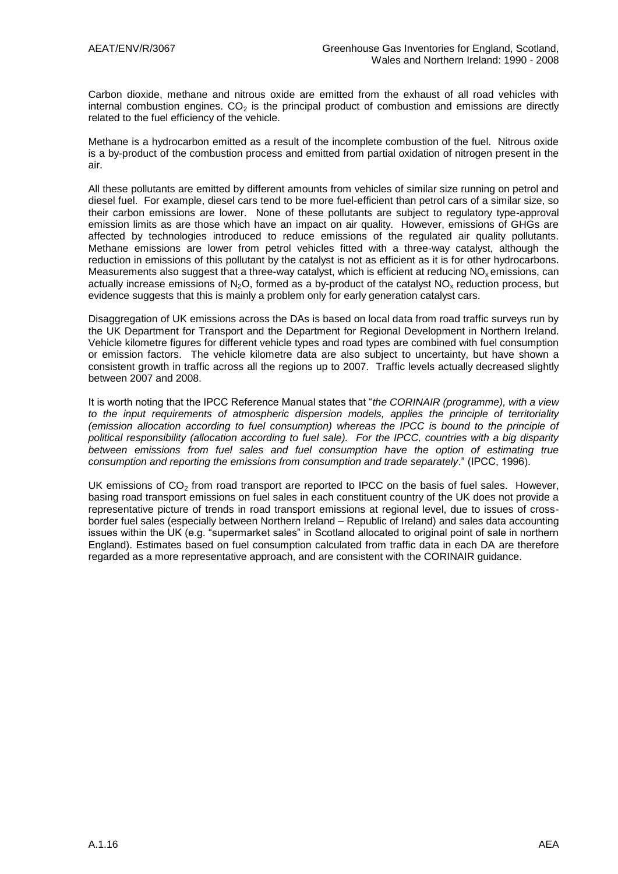Carbon dioxide, methane and nitrous oxide are emitted from the exhaust of all road vehicles with internal combustion engines.  $CO<sub>2</sub>$  is the principal product of combustion and emissions are directly related to the fuel efficiency of the vehicle.

Methane is a hydrocarbon emitted as a result of the incomplete combustion of the fuel. Nitrous oxide is a by-product of the combustion process and emitted from partial oxidation of nitrogen present in the air.

All these pollutants are emitted by different amounts from vehicles of similar size running on petrol and diesel fuel. For example, diesel cars tend to be more fuel-efficient than petrol cars of a similar size, so their carbon emissions are lower. None of these pollutants are subject to regulatory type-approval emission limits as are those which have an impact on air quality. However, emissions of GHGs are affected by technologies introduced to reduce emissions of the regulated air quality pollutants. Methane emissions are lower from petrol vehicles fitted with a three-way catalyst, although the reduction in emissions of this pollutant by the catalyst is not as efficient as it is for other hydrocarbons. Measurements also suggest that a three-way catalyst, which is efficient at reducing  $NO<sub>x</sub>$  emissions, can actually increase emissions of  $N_2O$ , formed as a by-product of the catalyst  $NO_x$  reduction process, but evidence suggests that this is mainly a problem only for early generation catalyst cars.

Disaggregation of UK emissions across the DAs is based on local data from road traffic surveys run by the UK Department for Transport and the Department for Regional Development in Northern Ireland. Vehicle kilometre figures for different vehicle types and road types are combined with fuel consumption or emission factors. The vehicle kilometre data are also subject to uncertainty, but have shown a consistent growth in traffic across all the regions up to 2007. Traffic levels actually decreased slightly between 2007 and 2008.

It is worth noting that the IPCC Reference Manual states that "*the CORINAIR (programme), with a view to the input requirements of atmospheric dispersion models, applies the principle of territoriality (emission allocation according to fuel consumption) whereas the IPCC is bound to the principle of political responsibility (allocation according to fuel sale). For the IPCC, countries with a big disparity between emissions from fuel sales and fuel consumption have the option of estimating true consumption and reporting the emissions from consumption and trade separately*." (IPCC, 1996).

UK emissions of  $CO<sub>2</sub>$  from road transport are reported to IPCC on the basis of fuel sales. However, basing road transport emissions on fuel sales in each constituent country of the UK does not provide a representative picture of trends in road transport emissions at regional level, due to issues of crossborder fuel sales (especially between Northern Ireland – Republic of Ireland) and sales data accounting issues within the UK (e.g. "supermarket sales" in Scotland allocated to original point of sale in northern England). Estimates based on fuel consumption calculated from traffic data in each DA are therefore regarded as a more representative approach, and are consistent with the CORINAIR guidance.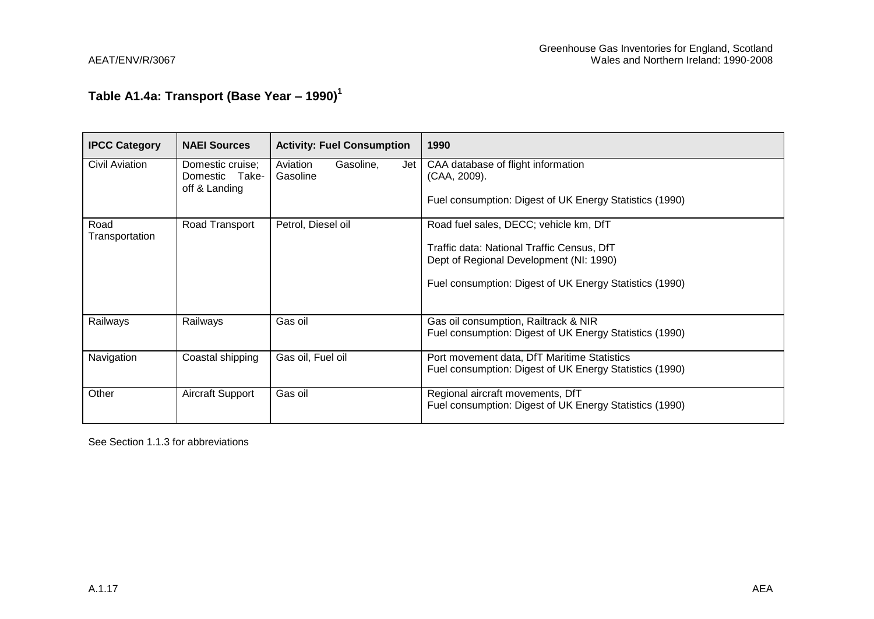# **Table A1.4a: Transport (Base Year – 1990)<sup>1</sup>**

| <b>IPCC Category</b>   | <b>NAEI Sources</b>                                 | <b>Activity: Fuel Consumption</b>        | 1990                                                                                                                                                                                       |
|------------------------|-----------------------------------------------------|------------------------------------------|--------------------------------------------------------------------------------------------------------------------------------------------------------------------------------------------|
| Civil Aviation         | Domestic cruise;<br>Domestic Take-<br>off & Landing | Aviation<br>Gasoline,<br>Jet<br>Gasoline | CAA database of flight information<br>(CAA, 2009).<br>Fuel consumption: Digest of UK Energy Statistics (1990)                                                                              |
| Road<br>Transportation | Road Transport                                      | Petrol, Diesel oil                       | Road fuel sales, DECC; vehicle km, DfT<br>Traffic data: National Traffic Census, DfT<br>Dept of Regional Development (NI: 1990)<br>Fuel consumption: Digest of UK Energy Statistics (1990) |
| Railways               | Railways                                            | Gas oil                                  | Gas oil consumption, Railtrack & NIR<br>Fuel consumption: Digest of UK Energy Statistics (1990)                                                                                            |
| Navigation             | Coastal shipping                                    | Gas oil, Fuel oil                        | Port movement data, DfT Maritime Statistics<br>Fuel consumption: Digest of UK Energy Statistics (1990)                                                                                     |
| Other                  | Aircraft Support                                    | Gas oil                                  | Regional aircraft movements, DfT<br>Fuel consumption: Digest of UK Energy Statistics (1990)                                                                                                |

See Section 1.1.3 for abbreviations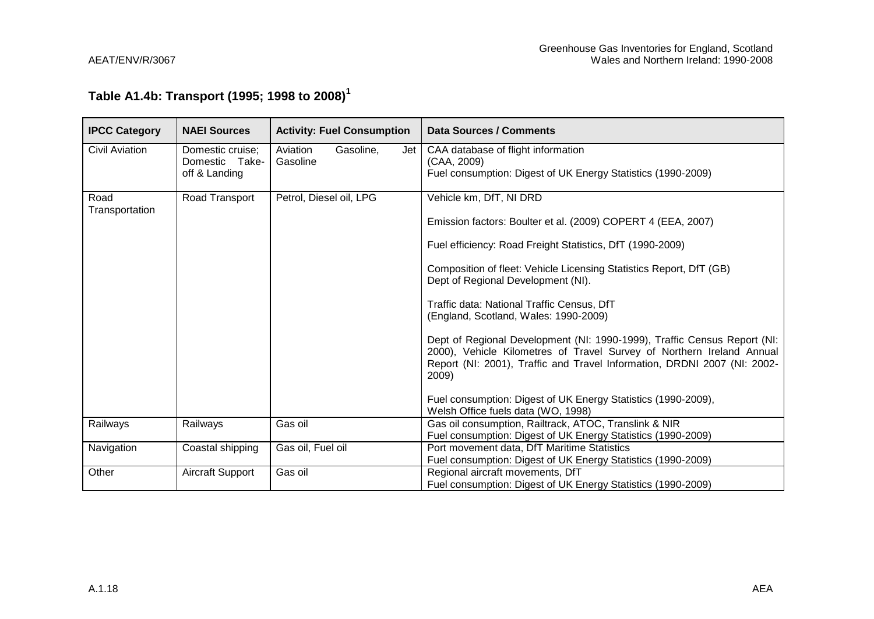# **Table A1.4b: Transport (1995; 1998 to 2008)<sup>1</sup>**

| <b>IPCC Category</b>   | <b>NAEI Sources</b>                                 | <b>Activity: Fuel Consumption</b>        | Data Sources / Comments                                                                                                                                                                                                                                                                                                                                                                                                                                                                                                                                                                                                                                             |
|------------------------|-----------------------------------------------------|------------------------------------------|---------------------------------------------------------------------------------------------------------------------------------------------------------------------------------------------------------------------------------------------------------------------------------------------------------------------------------------------------------------------------------------------------------------------------------------------------------------------------------------------------------------------------------------------------------------------------------------------------------------------------------------------------------------------|
| <b>Civil Aviation</b>  | Domestic cruise;<br>Domestic Take-<br>off & Landing | Aviation<br>Gasoline,<br>Jet<br>Gasoline | CAA database of flight information<br>(CAA, 2009)<br>Fuel consumption: Digest of UK Energy Statistics (1990-2009)                                                                                                                                                                                                                                                                                                                                                                                                                                                                                                                                                   |
| Road<br>Transportation | Road Transport                                      | Petrol, Diesel oil, LPG                  | Vehicle km, DfT, NI DRD<br>Emission factors: Boulter et al. (2009) COPERT 4 (EEA, 2007)<br>Fuel efficiency: Road Freight Statistics, DfT (1990-2009)<br>Composition of fleet: Vehicle Licensing Statistics Report, DfT (GB)<br>Dept of Regional Development (NI).<br>Traffic data: National Traffic Census, DfT<br>(England, Scotland, Wales: 1990-2009)<br>Dept of Regional Development (NI: 1990-1999), Traffic Census Report (NI:<br>2000), Vehicle Kilometres of Travel Survey of Northern Ireland Annual<br>Report (NI: 2001), Traffic and Travel Information, DRDNI 2007 (NI: 2002-<br>2009)<br>Fuel consumption: Digest of UK Energy Statistics (1990-2009), |
| Railways               | Railways                                            | Gas oil                                  | Welsh Office fuels data (WO, 1998)<br>Gas oil consumption, Railtrack, ATOC, Translink & NIR<br>Fuel consumption: Digest of UK Energy Statistics (1990-2009)                                                                                                                                                                                                                                                                                                                                                                                                                                                                                                         |
| Navigation             | Coastal shipping                                    | Gas oil, Fuel oil                        | Port movement data, DfT Maritime Statistics<br>Fuel consumption: Digest of UK Energy Statistics (1990-2009)                                                                                                                                                                                                                                                                                                                                                                                                                                                                                                                                                         |
| Other                  | Aircraft Support                                    | Gas oil                                  | Regional aircraft movements, DfT<br>Fuel consumption: Digest of UK Energy Statistics (1990-2009)                                                                                                                                                                                                                                                                                                                                                                                                                                                                                                                                                                    |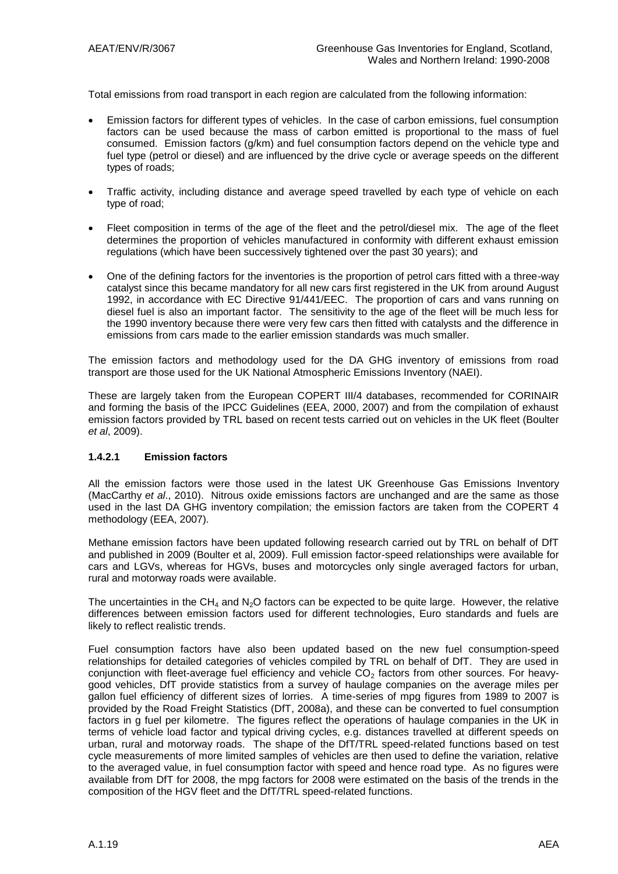Total emissions from road transport in each region are calculated from the following information:

- Emission factors for different types of vehicles. In the case of carbon emissions, fuel consumption factors can be used because the mass of carbon emitted is proportional to the mass of fuel consumed. Emission factors (g/km) and fuel consumption factors depend on the vehicle type and fuel type (petrol or diesel) and are influenced by the drive cycle or average speeds on the different types of roads;
- Traffic activity, including distance and average speed travelled by each type of vehicle on each type of road;
- Fleet composition in terms of the age of the fleet and the petrol/diesel mix. The age of the fleet determines the proportion of vehicles manufactured in conformity with different exhaust emission regulations (which have been successively tightened over the past 30 years); and
- One of the defining factors for the inventories is the proportion of petrol cars fitted with a three-way catalyst since this became mandatory for all new cars first registered in the UK from around August 1992, in accordance with EC Directive 91/441/EEC. The proportion of cars and vans running on diesel fuel is also an important factor. The sensitivity to the age of the fleet will be much less for the 1990 inventory because there were very few cars then fitted with catalysts and the difference in emissions from cars made to the earlier emission standards was much smaller.

The emission factors and methodology used for the DA GHG inventory of emissions from road transport are those used for the UK National Atmospheric Emissions Inventory (NAEI).

These are largely taken from the European COPERT III/4 databases, recommended for CORINAIR and forming the basis of the IPCC Guidelines (EEA, 2000, 2007) and from the compilation of exhaust emission factors provided by TRL based on recent tests carried out on vehicles in the UK fleet (Boulter *et al*, 2009).

#### **1.4.2.1 Emission factors**

All the emission factors were those used in the latest UK Greenhouse Gas Emissions Inventory (MacCarthy *et al*., 2010). Nitrous oxide emissions factors are unchanged and are the same as those used in the last DA GHG inventory compilation; the emission factors are taken from the COPERT 4 methodology (EEA, 2007).

Methane emission factors have been updated following research carried out by TRL on behalf of DfT and published in 2009 (Boulter et al, 2009). Full emission factor-speed relationships were available for cars and LGVs, whereas for HGVs, buses and motorcycles only single averaged factors for urban, rural and motorway roads were available.

The uncertainties in the  $CH<sub>4</sub>$  and N<sub>2</sub>O factors can be expected to be quite large. However, the relative differences between emission factors used for different technologies, Euro standards and fuels are likely to reflect realistic trends.

Fuel consumption factors have also been updated based on the new fuel consumption-speed relationships for detailed categories of vehicles compiled by TRL on behalf of DfT. They are used in conjunction with fleet-average fuel efficiency and vehicle  $CO<sub>2</sub>$  factors from other sources. For heavygood vehicles, DfT provide statistics from a survey of haulage companies on the average miles per gallon fuel efficiency of different sizes of lorries. A time-series of mpg figures from 1989 to 2007 is provided by the Road Freight Statistics (DfT, 2008a), and these can be converted to fuel consumption factors in g fuel per kilometre. The figures reflect the operations of haulage companies in the UK in terms of vehicle load factor and typical driving cycles, e.g. distances travelled at different speeds on urban, rural and motorway roads. The shape of the DfT/TRL speed-related functions based on test cycle measurements of more limited samples of vehicles are then used to define the variation, relative to the averaged value, in fuel consumption factor with speed and hence road type. As no figures were available from DfT for 2008, the mpg factors for 2008 were estimated on the basis of the trends in the composition of the HGV fleet and the DfT/TRL speed-related functions.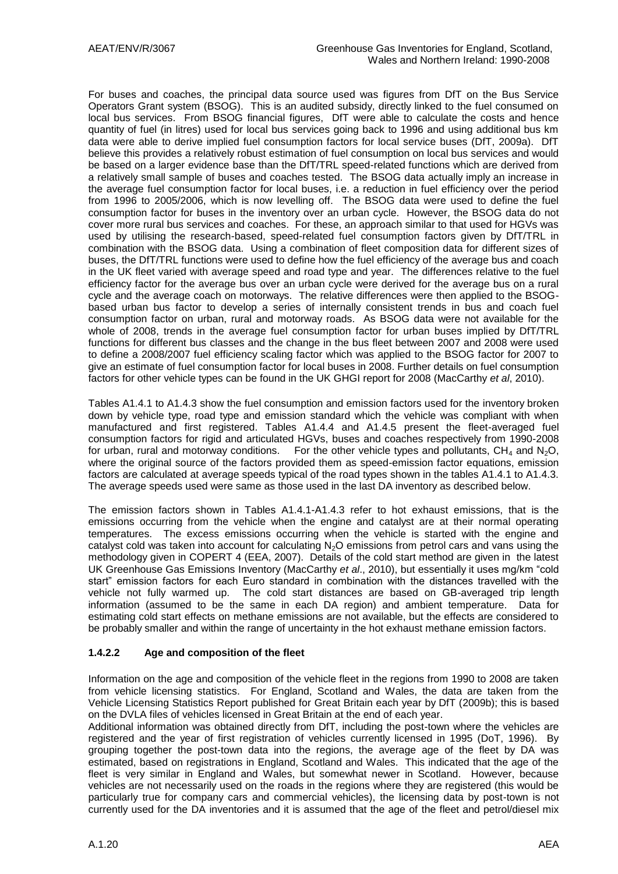For buses and coaches, the principal data source used was figures from DfT on the Bus Service Operators Grant system (BSOG). This is an audited subsidy, directly linked to the fuel consumed on local bus services. From BSOG financial figures, DfT were able to calculate the costs and hence quantity of fuel (in litres) used for local bus services going back to 1996 and using additional bus km data were able to derive implied fuel consumption factors for local service buses (DfT, 2009a). DfT believe this provides a relatively robust estimation of fuel consumption on local bus services and would be based on a larger evidence base than the DfT/TRL speed-related functions which are derived from a relatively small sample of buses and coaches tested. The BSOG data actually imply an increase in the average fuel consumption factor for local buses, i.e. a reduction in fuel efficiency over the period from 1996 to 2005/2006, which is now levelling off. The BSOG data were used to define the fuel consumption factor for buses in the inventory over an urban cycle. However, the BSOG data do not cover more rural bus services and coaches. For these, an approach similar to that used for HGVs was used by utilising the research-based, speed-related fuel consumption factors given by DfT/TRL in combination with the BSOG data. Using a combination of fleet composition data for different sizes of buses, the DfT/TRL functions were used to define how the fuel efficiency of the average bus and coach in the UK fleet varied with average speed and road type and year. The differences relative to the fuel efficiency factor for the average bus over an urban cycle were derived for the average bus on a rural cycle and the average coach on motorways. The relative differences were then applied to the BSOGbased urban bus factor to develop a series of internally consistent trends in bus and coach fuel consumption factor on urban, rural and motorway roads. As BSOG data were not available for the whole of 2008, trends in the average fuel consumption factor for urban buses implied by DfT/TRL functions for different bus classes and the change in the bus fleet between 2007 and 2008 were used to define a 2008/2007 fuel efficiency scaling factor which was applied to the BSOG factor for 2007 to give an estimate of fuel consumption factor for local buses in 2008. Further details on fuel consumption factors for other vehicle types can be found in the UK GHGI report for 2008 (MacCarthy *et al*, 2010).

Tables A1.4.1 to A1.4.3 show the fuel consumption and emission factors used for the inventory broken down by vehicle type, road type and emission standard which the vehicle was compliant with when manufactured and first registered. Tables A1.4.4 and A1.4.5 present the fleet-averaged fuel consumption factors for rigid and articulated HGVs, buses and coaches respectively from 1990-2008 for urban, rural and motorway conditions. For the other vehicle types and pollutants,  $CH<sub>4</sub>$  and N<sub>2</sub>O, where the original source of the factors provided them as speed-emission factor equations, emission factors are calculated at average speeds typical of the road types shown in the tables A1.4.1 to A1.4.3. The average speeds used were same as those used in the last DA inventory as described below.

The emission factors shown in Tables A1.4.1-A1.4.3 refer to hot exhaust emissions, that is the emissions occurring from the vehicle when the engine and catalyst are at their normal operating temperatures. The excess emissions occurring when the vehicle is started with the engine and catalyst cold was taken into account for calculating N<sub>2</sub>O emissions from petrol cars and vans using the methodology given in COPERT 4 (EEA, 2007). Details of the cold start method are given in the latest UK Greenhouse Gas Emissions Inventory (MacCarthy *et al*., 2010), but essentially it uses mg/km "cold start" emission factors for each Euro standard in combination with the distances travelled with the vehicle not fully warmed up. The cold start distances are based on GB-averaged trip length information (assumed to be the same in each DA region) and ambient temperature. Data for estimating cold start effects on methane emissions are not available, but the effects are considered to be probably smaller and within the range of uncertainty in the hot exhaust methane emission factors.

#### **1.4.2.2 Age and composition of the fleet**

Information on the age and composition of the vehicle fleet in the regions from 1990 to 2008 are taken from vehicle licensing statistics. For England, Scotland and Wales, the data are taken from the Vehicle Licensing Statistics Report published for Great Britain each year by DfT (2009b); this is based on the DVLA files of vehicles licensed in Great Britain at the end of each year.

Additional information was obtained directly from DfT, including the post-town where the vehicles are registered and the year of first registration of vehicles currently licensed in 1995 (DoT, 1996). By grouping together the post-town data into the regions, the average age of the fleet by DA was estimated, based on registrations in England, Scotland and Wales. This indicated that the age of the fleet is very similar in England and Wales, but somewhat newer in Scotland. However, because vehicles are not necessarily used on the roads in the regions where they are registered (this would be particularly true for company cars and commercial vehicles), the licensing data by post-town is not currently used for the DA inventories and it is assumed that the age of the fleet and petrol/diesel mix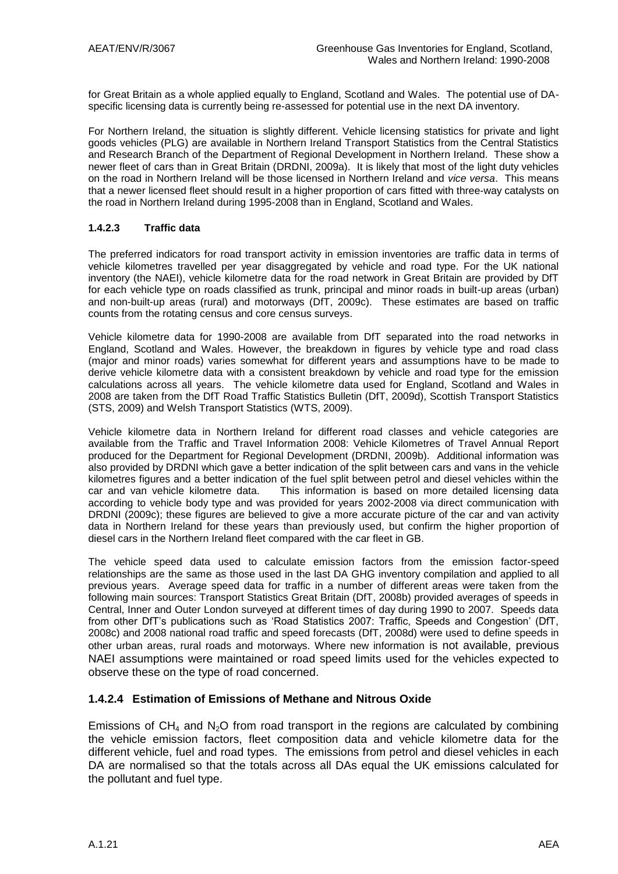for Great Britain as a whole applied equally to England, Scotland and Wales. The potential use of DAspecific licensing data is currently being re-assessed for potential use in the next DA inventory.

For Northern Ireland, the situation is slightly different. Vehicle licensing statistics for private and light goods vehicles (PLG) are available in Northern Ireland Transport Statistics from the Central Statistics and Research Branch of the Department of Regional Development in Northern Ireland. These show a newer fleet of cars than in Great Britain (DRDNI, 2009a). It is likely that most of the light duty vehicles on the road in Northern Ireland will be those licensed in Northern Ireland and *vice versa*. This means that a newer licensed fleet should result in a higher proportion of cars fitted with three-way catalysts on the road in Northern Ireland during 1995-2008 than in England, Scotland and Wales.

#### **1.4.2.3 Traffic data**

The preferred indicators for road transport activity in emission inventories are traffic data in terms of vehicle kilometres travelled per year disaggregated by vehicle and road type. For the UK national inventory (the NAEI), vehicle kilometre data for the road network in Great Britain are provided by DfT for each vehicle type on roads classified as trunk, principal and minor roads in built-up areas (urban) and non-built-up areas (rural) and motorways (DfT, 2009c). These estimates are based on traffic counts from the rotating census and core census surveys.

Vehicle kilometre data for 1990-2008 are available from DfT separated into the road networks in England, Scotland and Wales. However, the breakdown in figures by vehicle type and road class (major and minor roads) varies somewhat for different years and assumptions have to be made to derive vehicle kilometre data with a consistent breakdown by vehicle and road type for the emission calculations across all years. The vehicle kilometre data used for England, Scotland and Wales in 2008 are taken from the DfT Road Traffic Statistics Bulletin (DfT, 2009d), Scottish Transport Statistics (STS, 2009) and Welsh Transport Statistics (WTS, 2009).

Vehicle kilometre data in Northern Ireland for different road classes and vehicle categories are available from the Traffic and Travel Information 2008: Vehicle Kilometres of Travel Annual Report produced for the Department for Regional Development (DRDNI, 2009b). Additional information was also provided by DRDNI which gave a better indication of the split between cars and vans in the vehicle kilometres figures and a better indication of the fuel split between petrol and diesel vehicles within the car and van vehicle kilometre data. This information is based on more detailed licensing data according to vehicle body type and was provided for years 2002-2008 via direct communication with DRDNI (2009c); these figures are believed to give a more accurate picture of the car and van activity data in Northern Ireland for these years than previously used, but confirm the higher proportion of diesel cars in the Northern Ireland fleet compared with the car fleet in GB.

The vehicle speed data used to calculate emission factors from the emission factor-speed relationships are the same as those used in the last DA GHG inventory compilation and applied to all previous years. Average speed data for traffic in a number of different areas were taken from the following main sources: Transport Statistics Great Britain (DfT, 2008b) provided averages of speeds in Central, Inner and Outer London surveyed at different times of day during 1990 to 2007. Speeds data from other DfT"s publications such as "Road Statistics 2007: Traffic, Speeds and Congestion" (DfT, 2008c) and 2008 national road traffic and speed forecasts (DfT, 2008d) were used to define speeds in other urban areas, rural roads and motorways. Where new information is not available, previous NAEI assumptions were maintained or road speed limits used for the vehicles expected to observe these on the type of road concerned.

#### **1.4.2.4 Estimation of Emissions of Methane and Nitrous Oxide**

Emissions of  $CH_4$  and N<sub>2</sub>O from road transport in the regions are calculated by combining the vehicle emission factors, fleet composition data and vehicle kilometre data for the different vehicle, fuel and road types. The emissions from petrol and diesel vehicles in each DA are normalised so that the totals across all DAs equal the UK emissions calculated for the pollutant and fuel type.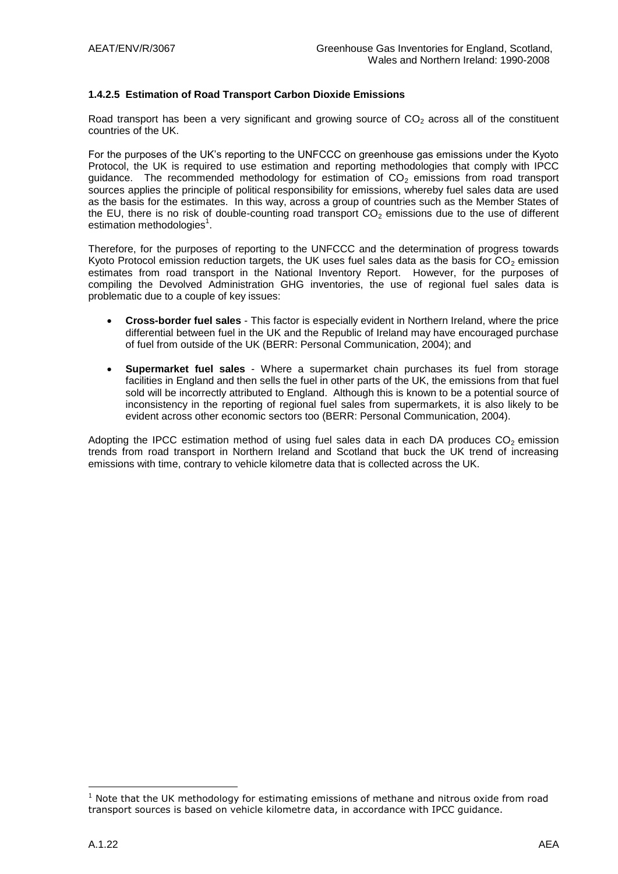#### **1.4.2.5 Estimation of Road Transport Carbon Dioxide Emissions**

Road transport has been a very significant and growing source of  $CO<sub>2</sub>$  across all of the constituent countries of the UK.

For the purposes of the UK"s reporting to the UNFCCC on greenhouse gas emissions under the Kyoto Protocol, the UK is required to use estimation and reporting methodologies that comply with IPCC quidance. The recommended methodology for estimation of  $CO<sub>2</sub>$  emissions from road transport sources applies the principle of political responsibility for emissions, whereby fuel sales data are used as the basis for the estimates. In this way, across a group of countries such as the Member States of the EU, there is no risk of double-counting road transport  $CO<sub>2</sub>$  emissions due to the use of different estimation methodologies<sup>1</sup>.

Therefore, for the purposes of reporting to the UNFCCC and the determination of progress towards Kyoto Protocol emission reduction targets, the UK uses fuel sales data as the basis for  $CO<sub>2</sub>$  emission estimates from road transport in the National Inventory Report. However, for the purposes of compiling the Devolved Administration GHG inventories, the use of regional fuel sales data is problematic due to a couple of key issues:

- **Cross-border fuel sales** This factor is especially evident in Northern Ireland, where the price differential between fuel in the UK and the Republic of Ireland may have encouraged purchase of fuel from outside of the UK (BERR: Personal Communication, 2004); and
- **Supermarket fuel sales** Where a supermarket chain purchases its fuel from storage facilities in England and then sells the fuel in other parts of the UK, the emissions from that fuel sold will be incorrectly attributed to England. Although this is known to be a potential source of inconsistency in the reporting of regional fuel sales from supermarkets, it is also likely to be evident across other economic sectors too (BERR: Personal Communication, 2004).

Adopting the IPCC estimation method of using fuel sales data in each DA produces  $CO<sub>2</sub>$  emission trends from road transport in Northern Ireland and Scotland that buck the UK trend of increasing emissions with time, contrary to vehicle kilometre data that is collected across the UK.

<u>.</u>

 $1$  Note that the UK methodology for estimating emissions of methane and nitrous oxide from road transport sources is based on vehicle kilometre data, in accordance with IPCC guidance.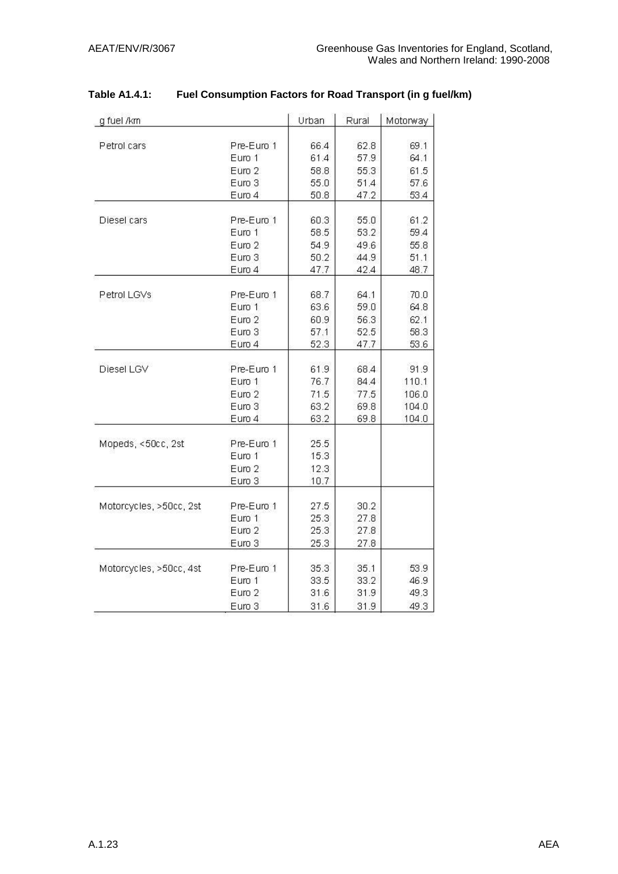| g fuel /km              |                      | Urban        | Rural        | Motorway     |
|-------------------------|----------------------|--------------|--------------|--------------|
| Petrol cars             | Pre-Euro 1           | 66.4         | 62.8         | 69.1         |
|                         | Euro 1               | 61.4         | 57.9         | 64.1         |
|                         | Euro 2               | 58.8         | 55.3         | 61.5         |
|                         | Euro 3               | 55.0         | 51.4         | 57.6         |
|                         | Euro 4               | 50.8         | 47.2         | 53.4         |
| Diesel cars             | Pre-Euro 1           | 60.3         | 55.0         | 61.2         |
|                         | Euro 1               | 58.5         | 53.2         | 59.4         |
|                         | Euro 2               | 54.9         | 49.6         | 55.8         |
|                         | Euro 3               | 50.2         | 44.9         | 51.1         |
|                         | Euro 4               | 47.7         | 42.4         | 48.7         |
|                         |                      |              |              |              |
| Petrol LGVs             | Pre-Euro 1<br>Euro 1 | 68.7<br>63.6 | 64.1<br>59.0 | 70.0<br>64.8 |
|                         |                      |              |              |              |
|                         | Euro 2<br>Euro 3     | 60.9<br>57.1 | 56.3<br>52.5 | 62.1<br>58.3 |
|                         | Euro 4               | 52.3         | 47.7         | 53.6         |
|                         |                      |              |              |              |
| Diesel LGV              | Pre-Euro 1           | 61.9         | 68.4         | 91.9         |
|                         | Euro 1               | 76.7         | 84.4         | 110.1        |
|                         | Euro 2               | 71.5         | 77.5         | 106.0        |
|                         | Euro 3               | 63.2         | 69.8         | 104.0        |
|                         | Euro 4               | 63.2         | 69.8         | 104.0        |
| Mopeds, <50cc, 2st      | Pre-Euro 1           | 25.5         |              |              |
|                         | Euro 1               | 15.3         |              |              |
|                         | $E$ uro $2$          | 12.3         |              |              |
|                         | Euro 3               | 10.7         |              |              |
| Motorcycles, >50cc, 2st | Pre-Euro 1           | 27.5         | 30.2         |              |
|                         | Euro 1               | 25.3         | 27.8         |              |
|                         | Euro 2               | 25.3         | 27.8         |              |
|                         | Euro 3               | 25.3         | 27.8         |              |
| Motorcycles, >50cc, 4st | Pre-Euro 1           | 35.3         | 35.1         | 53.9         |
|                         | Euro 1               | 33.5         | 33.2         | 46.9         |
|                         | Euro 2               | 31.6         | 31.9         | 49.3         |
|                         | Euro 3               | 31.6         | 31.9         | 49.3         |

### **Table A1.4.1: Fuel Consumption Factors for Road Transport (in g fuel/km)**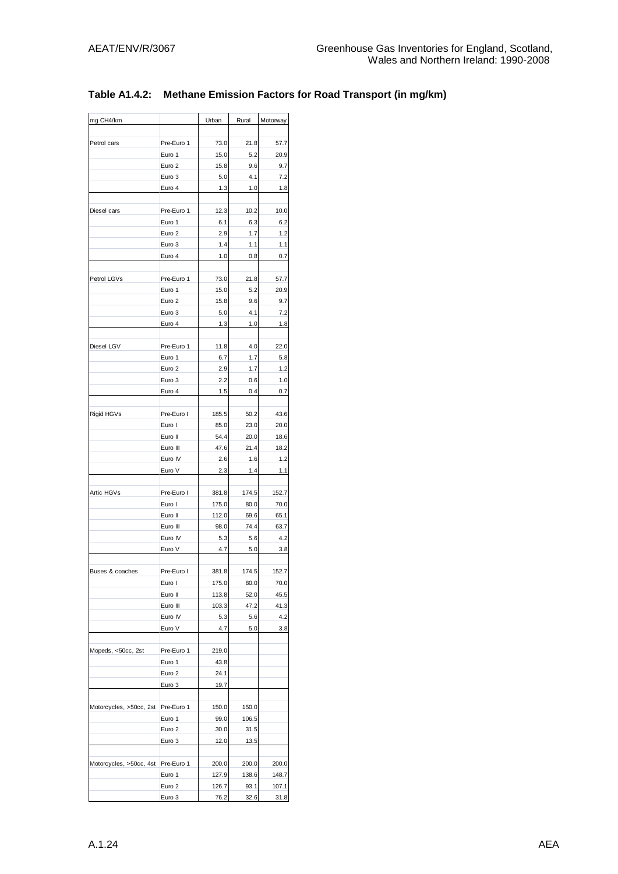| mg CH4/km               |                      | Urban      | Rural      | Motorway   |
|-------------------------|----------------------|------------|------------|------------|
| Petrol cars             | Pre-Euro 1           | 73.0       | 21.8       | 57.7       |
|                         | Euro 1               | 15.0       | 5.2        | 20.9       |
|                         | Euro 2               | 15.8       | 9.6        | 9.7        |
|                         | Euro 3               | 5.0        | 4.1        | 7.2        |
|                         | Euro 4               | 1.3        | 1.0        | 1.8        |
|                         |                      |            |            |            |
| Diesel cars             | Pre-Euro 1<br>Euro 1 | 12.3       | 10.2       | 10.0       |
|                         | Euro 2               | 6.1        | 6.3        | 6.2        |
|                         | Euro 3               | 2.9<br>1.4 | 1.7        | 1.2        |
|                         | Euro 4               | 1.0        | 1.1<br>0.8 | 1.1<br>0.7 |
|                         |                      |            |            |            |
| Petrol LGVs             | Pre-Euro 1           | 73.0       | 21.8       | 57.7       |
|                         | Euro 1               | 15.0       | 5.2        | 20.9       |
|                         | Euro 2               | 15.8       | 9.6        | 9.7        |
|                         | Euro 3               | 5.0        | 4.1        | 7.2        |
|                         | Euro 4               | 1.3        | 1.0        | 1.8        |
|                         |                      |            |            |            |
| Diesel LGV              | Pre-Euro 1           | 11.8       | 4.0        | 22.0       |
|                         | Euro 1               | 6.7        | 1.7        | 5.8        |
|                         | Euro 2               | 2.9        | 1.7        | 1.2        |
|                         | Euro 3               | 2.2        | 0.6        | 1.0        |
|                         | Euro 4               | 1.5        | 0.4        | 0.7        |
| Rigid HGVs              | Pre-Euro I           | 185.5      | 50.2       | 43.6       |
|                         | Euro I               | 85.0       | 23.0       | 20.0       |
|                         | Euro II              | 54.4       | 20.0       | 18.6       |
|                         | Euro III             | 47.6       | 21.4       | 18.2       |
|                         | Euro IV              | 2.6        | 1.6        | 1.2        |
|                         | Euro V               | 2.3        | 1.4        | 1.1        |
|                         |                      |            |            |            |
| Artic HGVs              | Pre-Euro I           | 381.8      | 174.5      | 152.7      |
|                         | Euro I               | 175.0      | 80.0       | 70.0       |
|                         | Euro II              | 112.0      | 69.6       | 65.1       |
|                         | Euro III             | 98.0       | 74.4       | 63.7       |
|                         | Euro IV<br>Euro V    | 5.3<br>4.7 | 5.6<br>5.0 | 4.2<br>3.8 |
|                         |                      |            |            |            |
| Buses & coaches         | Pre-Euro I           | 381.8      | 174.5      | 152.7      |
|                         | Euro I               | 175.0      | 80.0       | 70.0       |
|                         | Euro II              | 113.8      | 52.0       | 45.5       |
|                         | Euro III             | 103.3      | 47.2       | 41.3       |
|                         | Euro IV              | 5.3        | 5.6        | 4.2        |
|                         | Euro V               | 4.7        | 5.0        | 3.8        |
| Mopeds, <50cc, 2st      | Pre-Euro 1           | 219.0      |            |            |
|                         | Euro 1               | 43.8       |            |            |
|                         | Euro 2               | 24.1       |            |            |
|                         | Euro 3               | 19.7       |            |            |
|                         |                      |            |            |            |
| Motorcycles, >50cc, 2st | Pre-Euro 1           | 150.0      | 150.0      |            |
|                         | Euro 1               | 99.0       | 106.5      |            |
|                         | Euro 2               | 30.0       | 31.5       |            |
|                         | Euro 3               | 12.0       | 13.5       |            |
| Motorcycles, >50cc, 4st | Pre-Euro 1           | 200.0      | 200.0      | 200.0      |
|                         | Euro 1               | 127.9      | 138.6      | 148.7      |
|                         | Euro 2               | 126.7      | 93.1       | 107.1      |
|                         | Euro 3               | 76.2       | 32.6       | 31.8       |
|                         |                      |            |            |            |

### **Table A1.4.2: Methane Emission Factors for Road Transport (in mg/km)**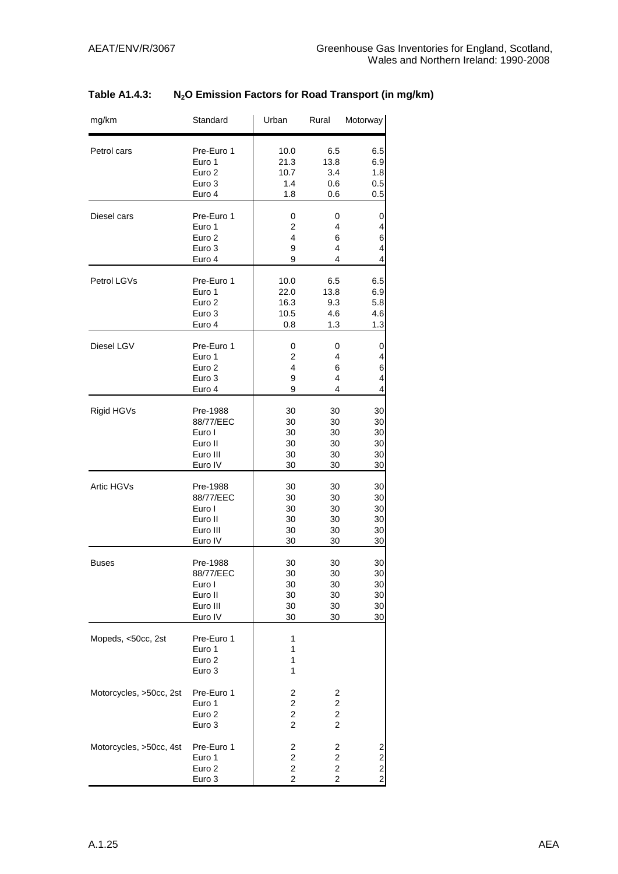| Table A1.4.3: | N <sub>2</sub> O Emission Factors for Road Transport (in mg/km) |
|---------------|-----------------------------------------------------------------|
|---------------|-----------------------------------------------------------------|

| mg/km                   | Standard                                            | Urban                                                                               | Rural                                                                              | Motorway                                                            |
|-------------------------|-----------------------------------------------------|-------------------------------------------------------------------------------------|------------------------------------------------------------------------------------|---------------------------------------------------------------------|
| Petrol cars             | Pre-Euro 1                                          | 10.0                                                                                | 6.5                                                                                | 6.5                                                                 |
|                         | Euro 1                                              | 21.3                                                                                | 13.8                                                                               | 6.9                                                                 |
|                         | Euro <sub>2</sub>                                   | 10.7                                                                                | 3.4                                                                                | 1.8                                                                 |
|                         | Euro 3                                              | 1.4                                                                                 | 0.6                                                                                | 0.5                                                                 |
|                         | Euro 4                                              | 1.8                                                                                 | 0.6                                                                                | 0.5                                                                 |
| Diesel cars             | Pre-Euro 1                                          | 0                                                                                   | 0                                                                                  | 0                                                                   |
|                         | Euro 1                                              | $\overline{2}$                                                                      | 4                                                                                  | 4                                                                   |
|                         | Euro 2                                              | 4                                                                                   | 6                                                                                  | 6                                                                   |
|                         | Euro 3                                              | 9                                                                                   | 4                                                                                  | 4                                                                   |
|                         | Euro 4                                              | 9                                                                                   | 4                                                                                  | $\overline{4}$                                                      |
| Petrol LGVs             | Pre-Euro 1                                          | 10.0                                                                                | 6.5                                                                                | 6.5                                                                 |
|                         | Euro 1                                              | 22.0                                                                                | 13.8                                                                               | 6.9                                                                 |
|                         | Euro <sub>2</sub>                                   | 16.3                                                                                | 9.3                                                                                | 5.8                                                                 |
|                         | Euro 3                                              | 10.5                                                                                | 4.6                                                                                | 4.6                                                                 |
|                         | Euro 4                                              | 0.8                                                                                 | 1.3                                                                                | 1.3                                                                 |
| Diesel LGV              | Pre-Euro 1                                          | 0                                                                                   | 0                                                                                  | 0                                                                   |
|                         | Euro 1                                              | $\overline{2}$                                                                      | 4                                                                                  | 4                                                                   |
|                         | Euro 2                                              | 4                                                                                   | 6                                                                                  | 6                                                                   |
|                         | Euro 3                                              | 9                                                                                   | 4                                                                                  | 4                                                                   |
|                         | Euro 4                                              | 9                                                                                   | 4                                                                                  | 4                                                                   |
| Rigid HGVs              | Pre-1988                                            | 30                                                                                  | 30                                                                                 | 30                                                                  |
|                         | 88/77/EEC                                           | 30                                                                                  | 30                                                                                 | 30                                                                  |
|                         | Euro I                                              | 30                                                                                  | 30                                                                                 | 30                                                                  |
|                         | Euro II                                             | 30                                                                                  | 30                                                                                 | 30                                                                  |
|                         | Euro III                                            | 30                                                                                  | 30                                                                                 | 30                                                                  |
|                         | Euro IV                                             | 30                                                                                  | 30                                                                                 | 30                                                                  |
| Artic HGVs              | Pre-1988                                            | 30                                                                                  | 30                                                                                 | 30                                                                  |
|                         | 88/77/EEC                                           | 30                                                                                  | 30                                                                                 | 30                                                                  |
|                         | Euro I                                              | 30                                                                                  | 30                                                                                 | 30                                                                  |
|                         | Euro II                                             | 30                                                                                  | 30                                                                                 | 30                                                                  |
|                         | Euro III                                            | 30                                                                                  | 30                                                                                 | 30                                                                  |
|                         | Euro IV                                             | 30                                                                                  | 30                                                                                 | 30                                                                  |
| <b>Buses</b>            | Pre-1988                                            | 30                                                                                  | 30                                                                                 | 30                                                                  |
|                         | 88/77/EEC                                           | 30                                                                                  | 30                                                                                 | 30                                                                  |
|                         | Euro I                                              | 30                                                                                  | 30                                                                                 | 30                                                                  |
|                         | Euro II                                             | 30                                                                                  | 30                                                                                 | 30                                                                  |
|                         | Euro III                                            | 30                                                                                  | 30                                                                                 | 30                                                                  |
|                         | Euro IV                                             | 30                                                                                  | 30                                                                                 | 30                                                                  |
| Mopeds, <50cc, 2st      | Pre-Euro 1<br>Euro 1<br>Euro <sub>2</sub><br>Euro 3 | 1<br>1<br>1<br>1                                                                    |                                                                                    |                                                                     |
| Motorcycles, >50cc, 2st | Pre-Euro 1<br>Euro 1<br>Euro <sub>2</sub><br>Euro 3 | 2<br>$\overline{\mathbf{c}}$<br>$\overline{\mathbf{c}}$<br>$\overline{c}$           | 2<br>$\overline{\mathbf{c}}$<br>$\overline{\mathbf{c}}$<br>$\overline{\mathbf{c}}$ |                                                                     |
| Motorcycles, >50cc, 4st | Pre-Euro 1<br>Euro 1<br>Euro <sub>2</sub><br>Euro 3 | $\overline{\mathbf{c}}$<br>$\mathbf 2$<br>$\overline{c}$<br>$\overline{\mathbf{c}}$ | $\overline{\mathbf{c}}$<br>2<br>$\overline{2}$<br>$\overline{\mathbf{c}}$          | $\overline{\mathbf{c}}$<br>$\overline{\mathbf{c}}$<br>$\frac{2}{2}$ |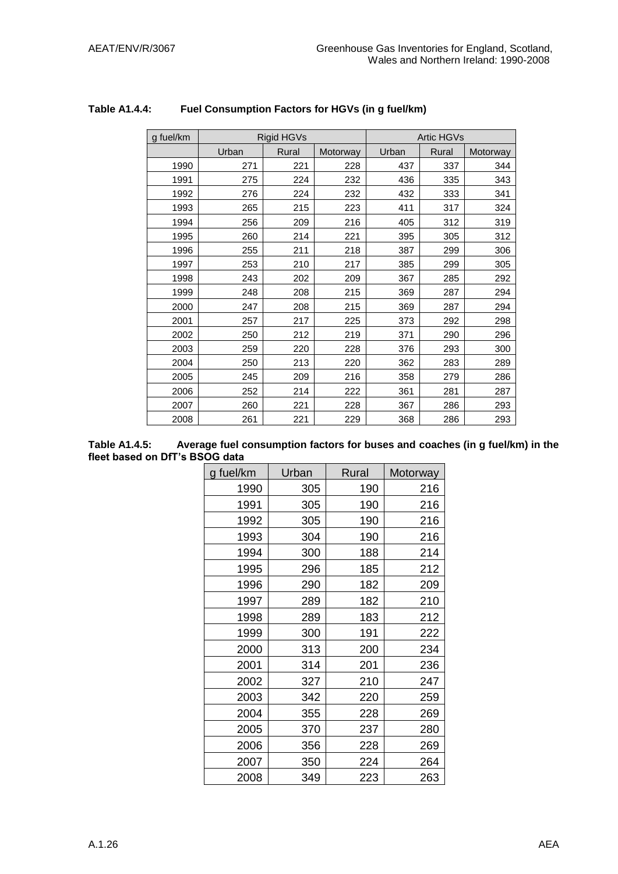| g fuel/km |       | Rigid HGVs |          |       | <b>Artic HGVs</b> |          |
|-----------|-------|------------|----------|-------|-------------------|----------|
|           | Urban | Rural      | Motorway | Urban | Rural             | Motorway |
| 1990      | 271   | 221        | 228      | 437   | 337               | 344      |
| 1991      | 275   | 224        | 232      | 436   | 335               | 343      |
| 1992      | 276   | 224        | 232      | 432   | 333               | 341      |
| 1993      | 265   | 215        | 223      | 411   | 317               | 324      |
| 1994      | 256   | 209        | 216      | 405   | 312               | 319      |
| 1995      | 260   | 214        | 221      | 395   | 305               | 312      |
| 1996      | 255   | 211        | 218      | 387   | 299               | 306      |
| 1997      | 253   | 210        | 217      | 385   | 299               | 305      |
| 1998      | 243   | 202        | 209      | 367   | 285               | 292      |
| 1999      | 248   | 208        | 215      | 369   | 287               | 294      |
| 2000      | 247   | 208        | 215      | 369   | 287               | 294      |
| 2001      | 257   | 217        | 225      | 373   | 292               | 298      |
| 2002      | 250   | 212        | 219      | 371   | 290               | 296      |
| 2003      | 259   | 220        | 228      | 376   | 293               | 300      |
| 2004      | 250   | 213        | 220      | 362   | 283               | 289      |
| 2005      | 245   | 209        | 216      | 358   | 279               | 286      |
| 2006      | 252   | 214        | 222      | 361   | 281               | 287      |
| 2007      | 260   | 221        | 228      | 367   | 286               | 293      |
| 2008      | 261   | 221        | 229      | 368   | 286               | 293      |

### **Table A1.4.4: Fuel Consumption Factors for HGVs (in g fuel/km)**

| Table A1.4.5:                  | Average fuel consumption factors for buses and coaches (in g fuel/km) in the |
|--------------------------------|------------------------------------------------------------------------------|
| fleet based on DfT's BSOG data |                                                                              |

| g fuel/km | Urban | Rural | Motorway |
|-----------|-------|-------|----------|
| 1990      | 305   | 190   | 216      |
| 1991      | 305   | 190   | 216      |
| 1992      | 305   | 190   | 216      |
| 1993      | 304   | 190   | 216      |
| 1994      | 300   | 188   | 214      |
| 1995      | 296   | 185   | 212      |
| 1996      | 290   | 182   | 209      |
| 1997      | 289   | 182   | 210      |
| 1998      | 289   | 183   | 212      |
| 1999      | 300   | 191   | 222      |
| 2000      | 313   | 200   | 234      |
| 2001      | 314   | 201   | 236      |
| 2002      | 327   | 210   | 247      |
| 2003      | 342   | 220   | 259      |
| 2004      | 355   | 228   | 269      |
| 2005      | 370   | 237   | 280      |
| 2006      | 356   | 228   | 269      |
| 2007      | 350   | 224   | 264      |
| 2008      | 349   | 223   | 263      |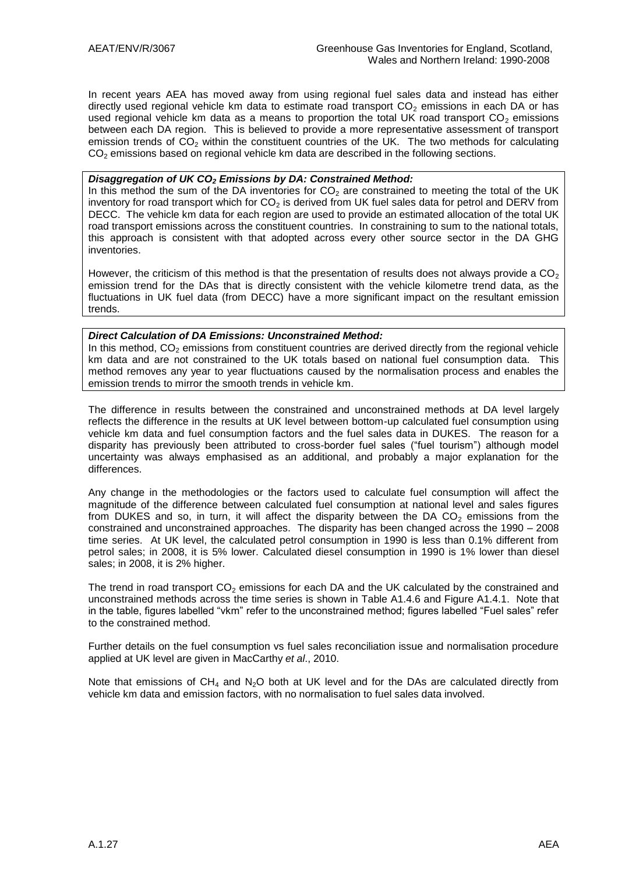In recent years AEA has moved away from using regional fuel sales data and instead has either directly used regional vehicle km data to estimate road transport  $CO<sub>2</sub>$  emissions in each DA or has used regional vehicle km data as a means to proportion the total UK road transport  $CO<sub>2</sub>$  emissions between each DA region. This is believed to provide a more representative assessment of transport emission trends of  $CO<sub>2</sub>$  within the constituent countries of the UK. The two methods for calculating  $CO<sub>2</sub>$  emissions based on regional vehicle km data are described in the following sections.

#### *Disaggregation of UK CO<sup>2</sup> Emissions by DA: Constrained Method:*

In this method the sum of the DA inventories for  $CO<sub>2</sub>$  are constrained to meeting the total of the UK inventory for road transport which for  $CO<sub>2</sub>$  is derived from UK fuel sales data for petrol and DERV from DECC. The vehicle km data for each region are used to provide an estimated allocation of the total UK road transport emissions across the constituent countries. In constraining to sum to the national totals, this approach is consistent with that adopted across every other source sector in the DA GHG inventories.

However, the criticism of this method is that the presentation of results does not always provide a  $CO<sub>2</sub>$ emission trend for the DAs that is directly consistent with the vehicle kilometre trend data, as the fluctuations in UK fuel data (from DECC) have a more significant impact on the resultant emission trends.

#### *Direct Calculation of DA Emissions: Unconstrained Method:*

In this method,  $CO<sub>2</sub>$  emissions from constituent countries are derived directly from the regional vehicle km data and are not constrained to the UK totals based on national fuel consumption data. This method removes any year to year fluctuations caused by the normalisation process and enables the emission trends to mirror the smooth trends in vehicle km.

The difference in results between the constrained and unconstrained methods at DA level largely reflects the difference in the results at UK level between bottom-up calculated fuel consumption using vehicle km data and fuel consumption factors and the fuel sales data in DUKES. The reason for a disparity has previously been attributed to cross-border fuel sales ("fuel tourism") although model uncertainty was always emphasised as an additional, and probably a major explanation for the differences.

Any change in the methodologies or the factors used to calculate fuel consumption will affect the magnitude of the difference between calculated fuel consumption at national level and sales figures from DUKES and so, in turn, it will affect the disparity between the DA  $CO<sub>2</sub>$  emissions from the constrained and unconstrained approaches. The disparity has been changed across the 1990 – 2008 time series. At UK level, the calculated petrol consumption in 1990 is less than 0.1% different from petrol sales; in 2008, it is 5% lower. Calculated diesel consumption in 1990 is 1% lower than diesel sales; in 2008, it is 2% higher.

The trend in road transport  $CO<sub>2</sub>$  emissions for each DA and the UK calculated by the constrained and unconstrained methods across the time series is shown in Table A1.4.6 and Figure A1.4.1. Note that in the table, figures labelled "vkm" refer to the unconstrained method; figures labelled "Fuel sales" refer to the constrained method.

Further details on the fuel consumption vs fuel sales reconciliation issue and normalisation procedure applied at UK level are given in MacCarthy *et al*., 2010.

Note that emissions of  $CH_4$  and N<sub>2</sub>O both at UK level and for the DAs are calculated directly from vehicle km data and emission factors, with no normalisation to fuel sales data involved.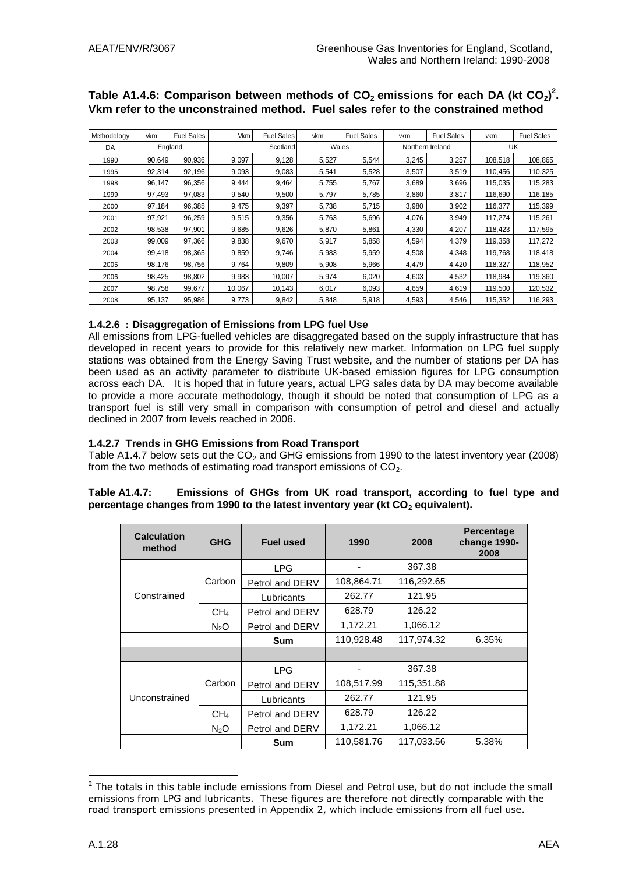| Vkm refer to the unconstrained method. Fuel sales refer to the constrained method |         |                   |        |                   |       |                   |       |                   |         |                   |
|-----------------------------------------------------------------------------------|---------|-------------------|--------|-------------------|-------|-------------------|-------|-------------------|---------|-------------------|
| Methodology                                                                       | vkm     | <b>Fuel Sales</b> | Vkm    | <b>Fuel Sales</b> | vkm   | <b>Fuel Sales</b> | vkm   | <b>Fuel Sales</b> | vkm     | <b>Fuel Sales</b> |
| DA                                                                                | England |                   |        | Scotland          |       | Wales             |       | Northern Ireland  |         | UK                |
| 1990                                                                              | 90,649  | 90,936            | 9,097  | 9,128             | 5,527 | 5,544             | 3,245 | 3,257             | 108,518 | 108,865           |
| 1995                                                                              | 92,314  | 92,196            | 9,093  | 9,083             | 5,541 | 5,528             | 3,507 | 3,519             | 110,456 | 110,325           |
| 1998                                                                              | 96,147  | 96,356            | 9,444  | 9,464             | 5,755 | 5,767             | 3,689 | 3,696             | 115,035 | 115,283           |
| 1999                                                                              | 97,493  | 97,083            | 9,540  | 9,500             | 5,797 | 5,785             | 3,860 | 3,817             | 116,690 | 116,185           |
| 2000                                                                              | 97,184  | 96,385            | 9,475  | 9,397             | 5,738 | 5,715             | 3,980 | 3,902             | 116,377 | 115,399           |
| 2001                                                                              | 97,921  | 96,259            | 9,515  | 9,356             | 5,763 | 5,696             | 4,076 | 3,949             | 117,274 | 115,261           |
| 2002                                                                              | 98,538  | 97,901            | 9,685  | 9,626             | 5,870 | 5,861             | 4,330 | 4,207             | 118,423 | 117,595           |
| 2003                                                                              | 99,009  | 97,366            | 9,838  | 9,670             | 5,917 | 5,858             | 4,594 | 4,379             | 119,358 | 117,272           |
| 2004                                                                              | 99,418  | 98,365            | 9,859  | 9,746             | 5,983 | 5,959             | 4,508 | 4,348             | 119,768 | 118,418           |
| 2005                                                                              | 98,176  | 98,756            | 9,764  | 9,809             | 5,908 | 5,966             | 4,479 | 4,420             | 118,327 | 118,952           |
| 2006                                                                              | 98,425  | 98,802            | 9,983  | 10,007            | 5,974 | 6,020             | 4,603 | 4,532             | 118,984 | 119,360           |
| 2007                                                                              | 98,758  | 99,677            | 10,067 | 10,143            | 6,017 | 6,093             | 4,659 | 4,619             | 119,500 | 120,532           |
| 2008                                                                              | 95,137  | 95,986            | 9,773  | 9,842             | 5,848 | 5,918             | 4,593 | 4,546             | 115,352 | 116,293           |

# Table A1.4.6: Comparison between methods of CO<sub>2</sub> emissions for each DA (kt CO<sub>2</sub>)<sup>2</sup>.

#### **1.4.2.6 : Disaggregation of Emissions from LPG fuel Use**

All emissions from LPG-fuelled vehicles are disaggregated based on the supply infrastructure that has developed in recent years to provide for this relatively new market. Information on LPG fuel supply stations was obtained from the Energy Saving Trust website, and the number of stations per DA has been used as an activity parameter to distribute UK-based emission figures for LPG consumption across each DA. It is hoped that in future years, actual LPG sales data by DA may become available to provide a more accurate methodology, though it should be noted that consumption of LPG as a transport fuel is still very small in comparison with consumption of petrol and diesel and actually declined in 2007 from levels reached in 2006.

#### **1.4.2.7 Trends in GHG Emissions from Road Transport**

Table A1.4.7 below sets out the  $CO<sub>2</sub>$  and GHG emissions from 1990 to the latest inventory year (2008) from the two methods of estimating road transport emissions of  $CO<sub>2</sub>$ .

#### **Table A1.4.7: Emissions of GHGs from UK road transport, according to fuel type and percentage changes from 1990 to the latest inventory year (kt CO<sup>2</sup> equivalent).**

| <b>Calculation</b><br>method | <b>GHG</b>       | <b>Fuel used</b>            | 1990       | 2008       | <b>Percentage</b><br>change 1990-<br>2008 |
|------------------------------|------------------|-----------------------------|------------|------------|-------------------------------------------|
|                              |                  | <b>LPG</b>                  |            | 367.38     |                                           |
|                              | Carbon           | Petrol and DERV             | 108,864.71 | 116,292.65 |                                           |
| Constrained                  |                  | Lubricants                  | 262.77     | 121.95     |                                           |
|                              | CH <sub>4</sub>  | Petrol and DERV             | 628.79     | 126.22     |                                           |
|                              | N <sub>2</sub> O | 1,172.21<br>Petrol and DERV |            | 1.066.12   |                                           |
|                              |                  | Sum                         | 110,928.48 | 117,974.32 | 6.35%                                     |
|                              |                  |                             |            |            |                                           |
|                              |                  | <b>LPG</b>                  |            | 367.38     |                                           |
|                              | Carbon           | Petrol and DERV             | 108,517.99 | 115,351.88 |                                           |
| Unconstrained                |                  | Lubricants                  | 262.77     | 121.95     |                                           |
|                              | CH <sub>4</sub>  | Petrol and DERV             | 628.79     | 126.22     |                                           |
|                              | $N_2O$           | Petrol and DERV             | 1,172.21   | 1,066.12   |                                           |
|                              |                  | Sum                         | 110,581.76 | 117,033.56 | 5.38%                                     |

<sup>&</sup>lt;u>.</u>  $<sup>2</sup>$  The totals in this table include emissions from Diesel and Petrol use, but do not include the small</sup> emissions from LPG and lubricants. These figures are therefore not directly comparable with the road transport emissions presented in Appendix 2, which include emissions from all fuel use.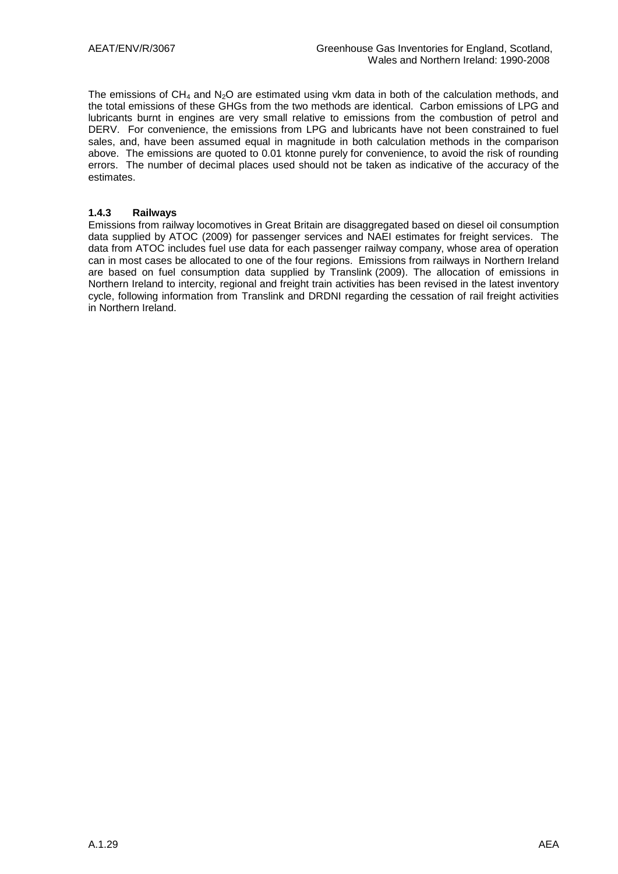The emissions of  $CH_4$  and  $N_2O$  are estimated using vkm data in both of the calculation methods, and the total emissions of these GHGs from the two methods are identical. Carbon emissions of LPG and lubricants burnt in engines are very small relative to emissions from the combustion of petrol and DERV. For convenience, the emissions from LPG and lubricants have not been constrained to fuel sales, and, have been assumed equal in magnitude in both calculation methods in the comparison above. The emissions are quoted to 0.01 ktonne purely for convenience, to avoid the risk of rounding errors. The number of decimal places used should not be taken as indicative of the accuracy of the estimates.

#### **1.4.3 Railways**

Emissions from railway locomotives in Great Britain are disaggregated based on diesel oil consumption data supplied by ATOC (2009) for passenger services and NAEI estimates for freight services. The data from ATOC includes fuel use data for each passenger railway company, whose area of operation can in most cases be allocated to one of the four regions. Emissions from railways in Northern Ireland are based on fuel consumption data supplied by Translink (2009). The allocation of emissions in Northern Ireland to intercity, regional and freight train activities has been revised in the latest inventory cycle, following information from Translink and DRDNI regarding the cessation of rail freight activities in Northern Ireland.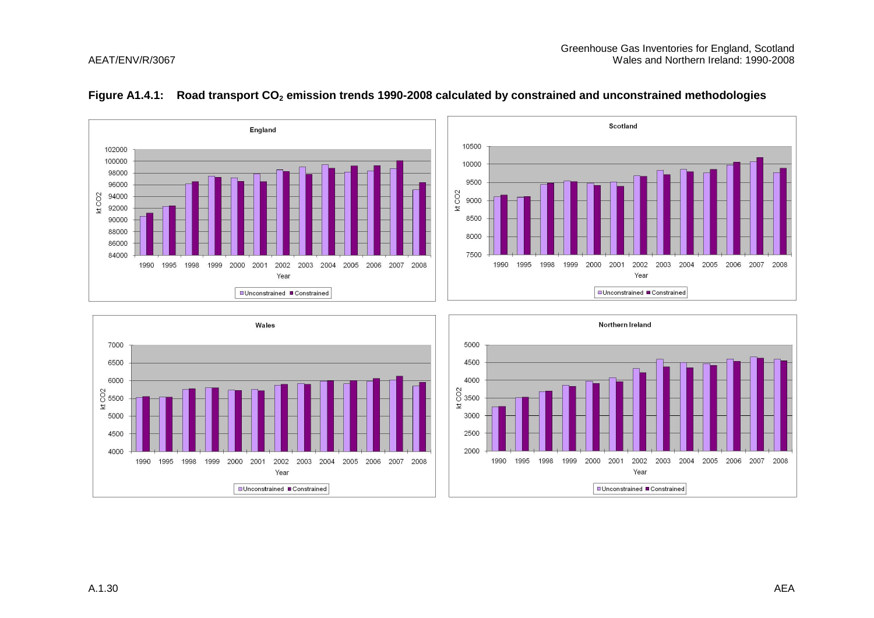

#### **Figure A1.4.1: Road transport CO<sup>2</sup> emission trends 1990-2008 calculated by constrained and unconstrained methodologies**



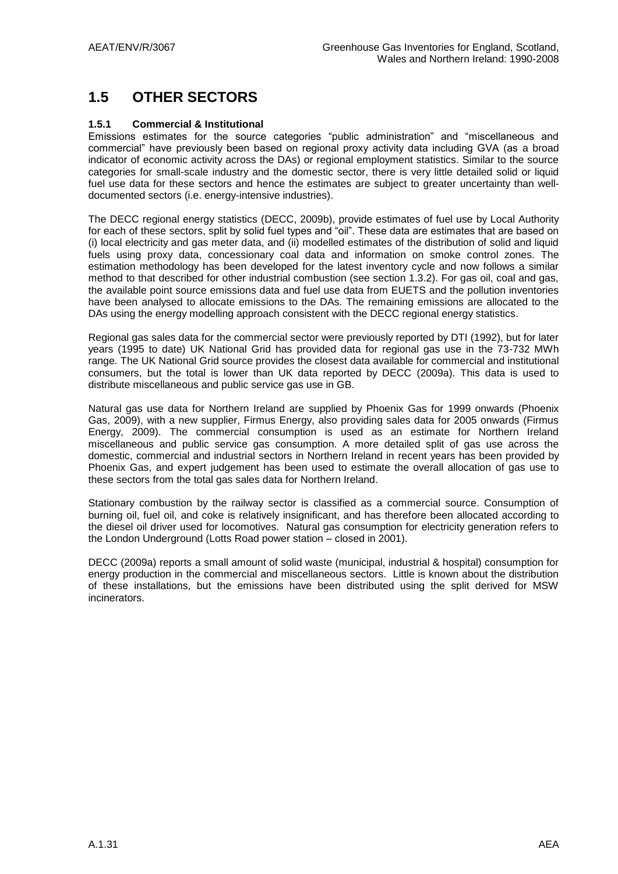# **1.5 OTHER SECTORS**

#### **1.5.1 Commercial & Institutional**

Emissions estimates for the source categories "public administration" and "miscellaneous and commercial" have previously been based on regional proxy activity data including GVA (as a broad indicator of economic activity across the DAs) or regional employment statistics. Similar to the source categories for small-scale industry and the domestic sector, there is very little detailed solid or liquid fuel use data for these sectors and hence the estimates are subject to greater uncertainty than welldocumented sectors (i.e. energy-intensive industries).

The DECC regional energy statistics (DECC, 2009b), provide estimates of fuel use by Local Authority for each of these sectors, split by solid fuel types and "oil". These data are estimates that are based on (i) local electricity and gas meter data, and (ii) modelled estimates of the distribution of solid and liquid fuels using proxy data, concessionary coal data and information on smoke control zones. The estimation methodology has been developed for the latest inventory cycle and now follows a similar method to that described for other industrial combustion (see section 1.3.2). For gas oil, coal and gas, the available point source emissions data and fuel use data from EUETS and the pollution inventories have been analysed to allocate emissions to the DAs. The remaining emissions are allocated to the DAs using the energy modelling approach consistent with the DECC regional energy statistics.

Regional gas sales data for the commercial sector were previously reported by DTI (1992), but for later years (1995 to date) UK National Grid has provided data for regional gas use in the 73-732 MWh range. The UK National Grid source provides the closest data available for commercial and institutional consumers, but the total is lower than UK data reported by DECC (2009a). This data is used to distribute miscellaneous and public service gas use in GB.

Natural gas use data for Northern Ireland are supplied by Phoenix Gas for 1999 onwards (Phoenix Gas, 2009), with a new supplier, Firmus Energy, also providing sales data for 2005 onwards (Firmus Energy, 2009). The commercial consumption is used as an estimate for Northern Ireland miscellaneous and public service gas consumption. A more detailed split of gas use across the domestic, commercial and industrial sectors in Northern Ireland in recent years has been provided by Phoenix Gas, and expert judgement has been used to estimate the overall allocation of gas use to these sectors from the total gas sales data for Northern Ireland.

Stationary combustion by the railway sector is classified as a commercial source. Consumption of burning oil, fuel oil, and coke is relatively insignificant, and has therefore been allocated according to the diesel oil driver used for locomotives. Natural gas consumption for electricity generation refers to the London Underground (Lotts Road power station – closed in 2001).

DECC (2009a) reports a small amount of solid waste (municipal, industrial & hospital) consumption for energy production in the commercial and miscellaneous sectors. Little is known about the distribution of these installations, but the emissions have been distributed using the split derived for MSW incinerators.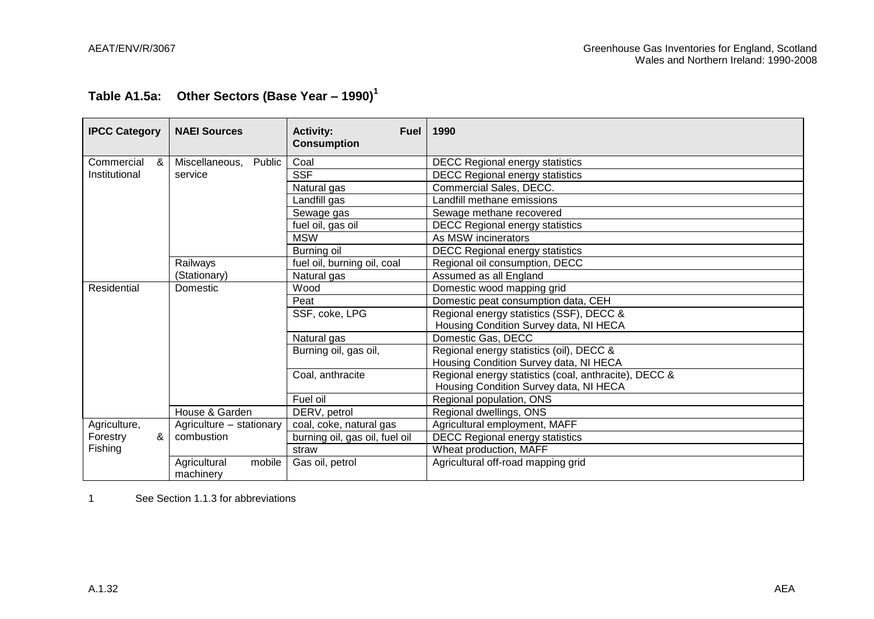# **Table A1.5a: Other Sectors (Base Year – 1990)<sup>1</sup>**

| <b>IPCC Category</b> | <b>NAEI Sources</b>                 | <b>Activity:</b><br><b>Fuel</b><br><b>Consumption</b> | 1990                                                  |  |  |
|----------------------|-------------------------------------|-------------------------------------------------------|-------------------------------------------------------|--|--|
| Commercial<br>&      | Public<br>Miscellaneous,            | Coal                                                  | <b>DECC Regional energy statistics</b>                |  |  |
| Institutional        | service                             | <b>SSF</b>                                            | <b>DECC Regional energy statistics</b>                |  |  |
|                      |                                     | Natural gas                                           | Commercial Sales, DECC.                               |  |  |
|                      |                                     | Landfill gas                                          | Landfill methane emissions                            |  |  |
|                      |                                     | Sewage gas                                            | Sewage methane recovered                              |  |  |
|                      |                                     | fuel oil, gas oil                                     | <b>DECC Regional energy statistics</b>                |  |  |
|                      |                                     | <b>MSW</b>                                            | As MSW incinerators                                   |  |  |
|                      |                                     | Burning oil                                           | <b>DECC Regional energy statistics</b>                |  |  |
|                      | Railways                            | fuel oil, burning oil, coal                           | Regional oil consumption, DECC                        |  |  |
|                      | (Stationary)                        | Natural gas                                           | Assumed as all England                                |  |  |
| Residential          | Domestic                            | Wood                                                  | Domestic wood mapping grid                            |  |  |
|                      |                                     | Peat                                                  | Domestic peat consumption data, CEH                   |  |  |
|                      |                                     | SSF, coke, LPG                                        | Regional energy statistics (SSF), DECC &              |  |  |
|                      |                                     |                                                       | Housing Condition Survey data, NI HECA                |  |  |
|                      |                                     | Natural gas                                           | Domestic Gas, DECC                                    |  |  |
|                      |                                     | Burning oil, gas oil,                                 | Regional energy statistics (oil), DECC &              |  |  |
|                      |                                     |                                                       | Housing Condition Survey data, NI HECA                |  |  |
|                      |                                     | Coal, anthracite                                      | Regional energy statistics (coal, anthracite), DECC & |  |  |
|                      |                                     |                                                       | Housing Condition Survey data, NI HECA                |  |  |
|                      |                                     | Fuel oil                                              | Regional population, ONS                              |  |  |
|                      | House & Garden                      | DERV, petrol                                          | Regional dwellings, ONS                               |  |  |
| Agriculture,         | Agriculture - stationary            | coal, coke, natural gas                               | Agricultural employment, MAFF                         |  |  |
| &<br>Forestry        | combustion                          | burning oil, gas oil, fuel oil                        | <b>DECC Regional energy statistics</b>                |  |  |
| Fishing              |                                     | straw                                                 | Wheat production, MAFF                                |  |  |
|                      | mobile<br>Agricultural<br>machinery | Gas oil, petrol                                       | Agricultural off-road mapping grid                    |  |  |

1 See Section 1.1.3 for abbreviations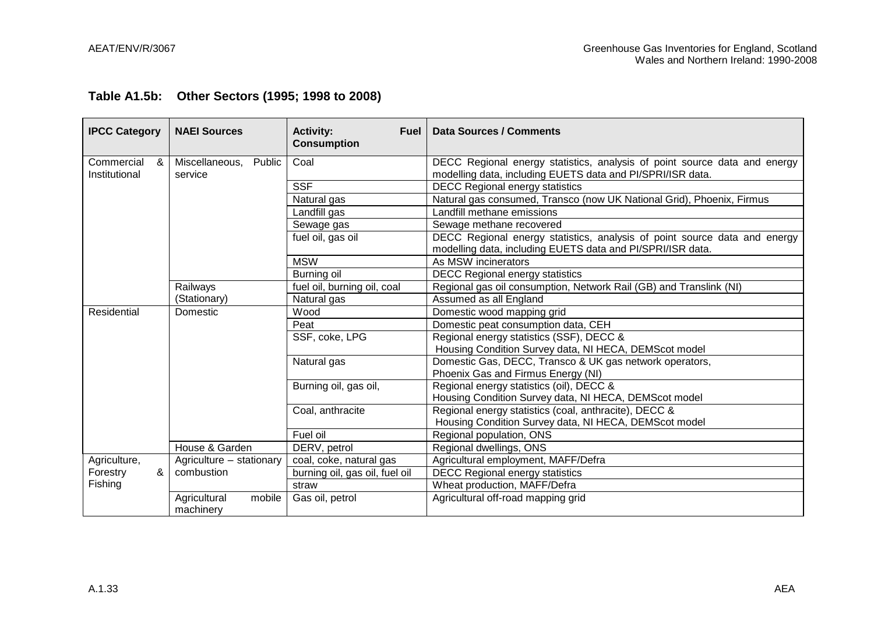|  |  | Table A1.5b: Other Sectors (1995; 1998 to 2008) |
|--|--|-------------------------------------------------|
|--|--|-------------------------------------------------|

| <b>IPCC Category</b>             | <b>NAEI Sources</b>                 | <b>Activity:</b><br><b>Fuel</b><br><b>Consumption</b> | Data Sources / Comments                                                                                                                 |
|----------------------------------|-------------------------------------|-------------------------------------------------------|-----------------------------------------------------------------------------------------------------------------------------------------|
| Commercial<br>&<br>Institutional | Miscellaneous,<br>Public<br>service | Coal                                                  | DECC Regional energy statistics, analysis of point source data and energy<br>modelling data, including EUETS data and PI/SPRI/ISR data. |
|                                  |                                     | <b>SSF</b>                                            | <b>DECC Regional energy statistics</b>                                                                                                  |
|                                  |                                     | Natural gas                                           | Natural gas consumed, Transco (now UK National Grid), Phoenix, Firmus                                                                   |
|                                  |                                     | Landfill gas                                          | Landfill methane emissions                                                                                                              |
|                                  |                                     | Sewage gas                                            | Sewage methane recovered                                                                                                                |
|                                  |                                     | fuel oil, gas oil                                     | DECC Regional energy statistics, analysis of point source data and energy<br>modelling data, including EUETS data and PI/SPRI/ISR data. |
|                                  |                                     | <b>MSW</b>                                            | As MSW incinerators                                                                                                                     |
|                                  |                                     | Burning oil                                           | <b>DECC Regional energy statistics</b>                                                                                                  |
|                                  | Railways                            | fuel oil, burning oil, coal                           | Regional gas oil consumption, Network Rail (GB) and Translink (NI)                                                                      |
|                                  | (Stationary)                        | Natural gas                                           | Assumed as all England                                                                                                                  |
| Residential                      | Domestic                            | Wood                                                  | Domestic wood mapping grid                                                                                                              |
|                                  |                                     | Peat                                                  | Domestic peat consumption data, CEH                                                                                                     |
|                                  |                                     | SSF, coke, LPG                                        | Regional energy statistics (SSF), DECC &                                                                                                |
|                                  |                                     |                                                       | Housing Condition Survey data, NI HECA, DEMScot model                                                                                   |
|                                  |                                     | Natural gas                                           | Domestic Gas, DECC, Transco & UK gas network operators,<br>Phoenix Gas and Firmus Energy (NI)                                           |
|                                  |                                     | Burning oil, gas oil,                                 | Regional energy statistics (oil), DECC &<br>Housing Condition Survey data, NI HECA, DEMScot model                                       |
|                                  |                                     | Coal, anthracite                                      | Regional energy statistics (coal, anthracite), DECC &<br>Housing Condition Survey data, NI HECA, DEMScot model                          |
|                                  |                                     | Fuel oil                                              | Regional population, ONS                                                                                                                |
|                                  | House & Garden                      | DERV, petrol                                          | Regional dwellings, ONS                                                                                                                 |
| Agriculture,                     | Agriculture - stationary            | coal, coke, natural gas                               | Agricultural employment, MAFF/Defra                                                                                                     |
| &<br>Forestry                    | combustion                          | burning oil, gas oil, fuel oil                        | <b>DECC Regional energy statistics</b>                                                                                                  |
| Fishing                          |                                     | straw                                                 | Wheat production, MAFF/Defra                                                                                                            |
|                                  | Agricultural<br>mobile<br>machinery | Gas oil, petrol                                       | Agricultural off-road mapping grid                                                                                                      |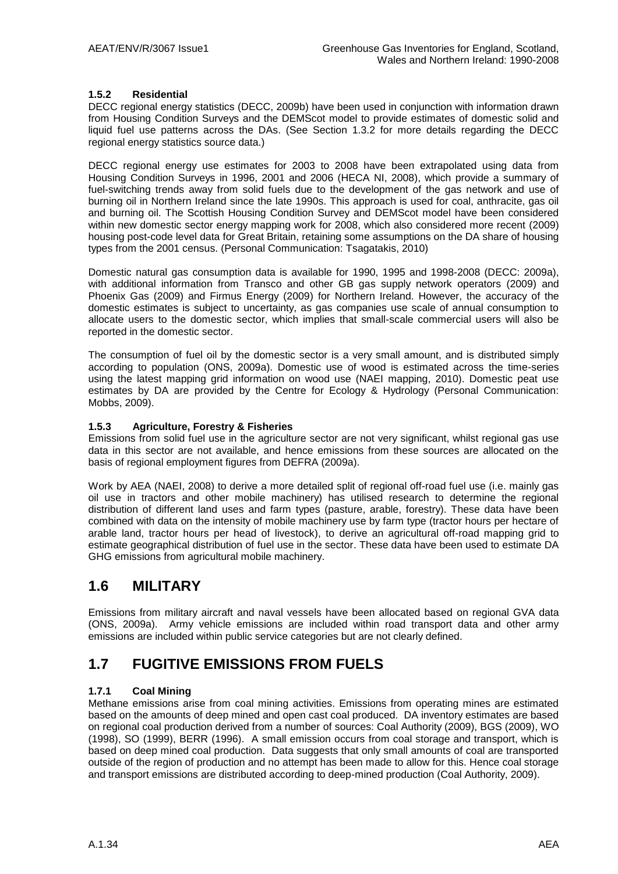#### **1.5.2 Residential**

DECC regional energy statistics (DECC, 2009b) have been used in conjunction with information drawn from Housing Condition Surveys and the DEMScot model to provide estimates of domestic solid and liquid fuel use patterns across the DAs. (See Section 1.3.2 for more details regarding the DECC regional energy statistics source data.)

DECC regional energy use estimates for 2003 to 2008 have been extrapolated using data from Housing Condition Surveys in 1996, 2001 and 2006 (HECA NI, 2008), which provide a summary of fuel-switching trends away from solid fuels due to the development of the gas network and use of burning oil in Northern Ireland since the late 1990s. This approach is used for coal, anthracite, gas oil and burning oil. The Scottish Housing Condition Survey and DEMScot model have been considered within new domestic sector energy mapping work for 2008, which also considered more recent (2009) housing post-code level data for Great Britain, retaining some assumptions on the DA share of housing types from the 2001 census. (Personal Communication: Tsagatakis, 2010)

Domestic natural gas consumption data is available for 1990, 1995 and 1998-2008 (DECC: 2009a), with additional information from Transco and other GB gas supply network operators (2009) and Phoenix Gas (2009) and Firmus Energy (2009) for Northern Ireland. However, the accuracy of the domestic estimates is subject to uncertainty, as gas companies use scale of annual consumption to allocate users to the domestic sector, which implies that small-scale commercial users will also be reported in the domestic sector.

The consumption of fuel oil by the domestic sector is a very small amount, and is distributed simply according to population (ONS, 2009a). Domestic use of wood is estimated across the time-series using the latest mapping grid information on wood use (NAEI mapping, 2010). Domestic peat use estimates by DA are provided by the Centre for Ecology & Hydrology (Personal Communication: Mobbs, 2009).

#### **1.5.3 Agriculture, Forestry & Fisheries**

Emissions from solid fuel use in the agriculture sector are not very significant, whilst regional gas use data in this sector are not available, and hence emissions from these sources are allocated on the basis of regional employment figures from DEFRA (2009a).

Work by AEA (NAEI, 2008) to derive a more detailed split of regional off-road fuel use (i.e. mainly gas oil use in tractors and other mobile machinery) has utilised research to determine the regional distribution of different land uses and farm types (pasture, arable, forestry). These data have been combined with data on the intensity of mobile machinery use by farm type (tractor hours per hectare of arable land, tractor hours per head of livestock), to derive an agricultural off-road mapping grid to estimate geographical distribution of fuel use in the sector. These data have been used to estimate DA GHG emissions from agricultural mobile machinery.

### **1.6 MILITARY**

Emissions from military aircraft and naval vessels have been allocated based on regional GVA data (ONS, 2009a). Army vehicle emissions are included within road transport data and other army emissions are included within public service categories but are not clearly defined.

### **1.7 FUGITIVE EMISSIONS FROM FUELS**

#### **1.7.1 Coal Mining**

Methane emissions arise from coal mining activities. Emissions from operating mines are estimated based on the amounts of deep mined and open cast coal produced. DA inventory estimates are based on regional coal production derived from a number of sources: Coal Authority (2009), BGS (2009), WO (1998), SO (1999), BERR (1996). A small emission occurs from coal storage and transport, which is based on deep mined coal production. Data suggests that only small amounts of coal are transported outside of the region of production and no attempt has been made to allow for this. Hence coal storage and transport emissions are distributed according to deep-mined production (Coal Authority, 2009).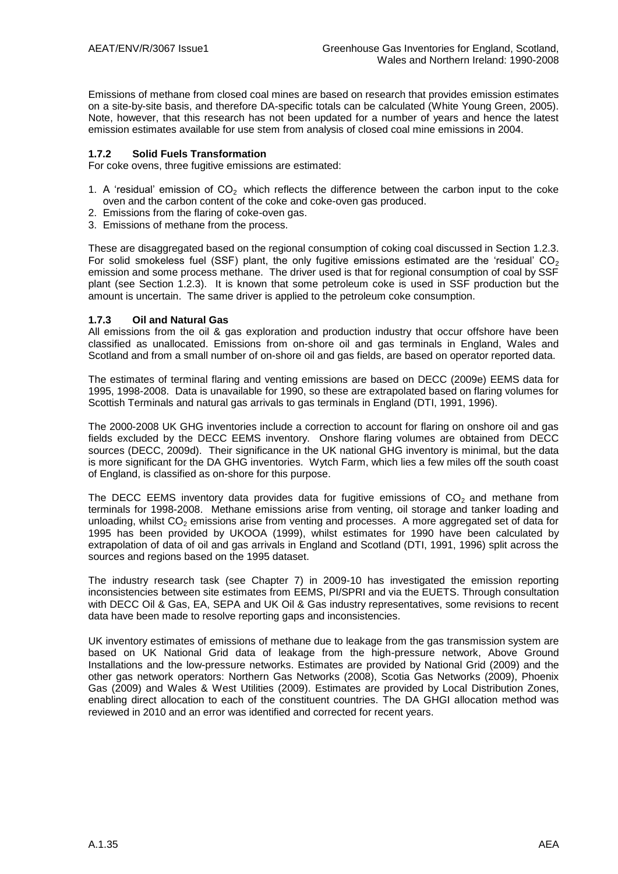Emissions of methane from closed coal mines are based on research that provides emission estimates on a site-by-site basis, and therefore DA-specific totals can be calculated (White Young Green, 2005). Note, however, that this research has not been updated for a number of years and hence the latest emission estimates available for use stem from analysis of closed coal mine emissions in 2004.

#### **1.7.2 Solid Fuels Transformation**

For coke ovens, three fugitive emissions are estimated:

- 1. A 'residual' emission of  $CO<sub>2</sub>$  which reflects the difference between the carbon input to the coke oven and the carbon content of the coke and coke-oven gas produced.
- 2. Emissions from the flaring of coke-oven gas.
- 3. Emissions of methane from the process.

These are disaggregated based on the regional consumption of coking coal discussed in Section 1.2.3. For solid smokeless fuel (SSF) plant, the only fugitive emissions estimated are the 'residual'  $CO<sub>2</sub>$ emission and some process methane. The driver used is that for regional consumption of coal by SSF plant (see Section 1.2.3). It is known that some petroleum coke is used in SSF production but the amount is uncertain. The same driver is applied to the petroleum coke consumption.

#### **1.7.3 Oil and Natural Gas**

All emissions from the oil & gas exploration and production industry that occur offshore have been classified as unallocated. Emissions from on-shore oil and gas terminals in England, Wales and Scotland and from a small number of on-shore oil and gas fields, are based on operator reported data.

The estimates of terminal flaring and venting emissions are based on DECC (2009e) EEMS data for 1995, 1998-2008. Data is unavailable for 1990, so these are extrapolated based on flaring volumes for Scottish Terminals and natural gas arrivals to gas terminals in England (DTI, 1991, 1996).

The 2000-2008 UK GHG inventories include a correction to account for flaring on onshore oil and gas fields excluded by the DECC EEMS inventory. Onshore flaring volumes are obtained from DECC sources (DECC, 2009d). Their significance in the UK national GHG inventory is minimal, but the data is more significant for the DA GHG inventories. Wytch Farm, which lies a few miles off the south coast of England, is classified as on-shore for this purpose.

The DECC EEMS inventory data provides data for fugitive emissions of  $CO<sub>2</sub>$  and methane from terminals for 1998-2008. Methane emissions arise from venting, oil storage and tanker loading and unloading, whilst  $CO<sub>2</sub>$  emissions arise from venting and processes. A more aggregated set of data for 1995 has been provided by UKOOA (1999), whilst estimates for 1990 have been calculated by extrapolation of data of oil and gas arrivals in England and Scotland (DTI, 1991, 1996) split across the sources and regions based on the 1995 dataset.

The industry research task (see Chapter 7) in 2009-10 has investigated the emission reporting inconsistencies between site estimates from EEMS, PI/SPRI and via the EUETS. Through consultation with DECC Oil & Gas, EA, SEPA and UK Oil & Gas industry representatives, some revisions to recent data have been made to resolve reporting gaps and inconsistencies.

UK inventory estimates of emissions of methane due to leakage from the gas transmission system are based on UK National Grid data of leakage from the high-pressure network, Above Ground Installations and the low-pressure networks. Estimates are provided by National Grid (2009) and the other gas network operators: Northern Gas Networks (2008), Scotia Gas Networks (2009), Phoenix Gas (2009) and Wales & West Utilities (2009). Estimates are provided by Local Distribution Zones, enabling direct allocation to each of the constituent countries. The DA GHGI allocation method was reviewed in 2010 and an error was identified and corrected for recent years.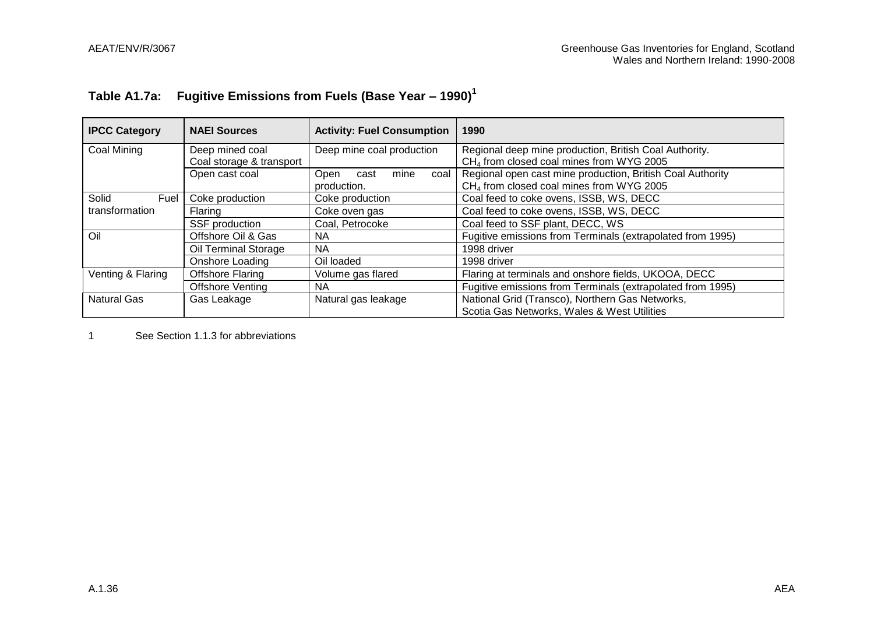# **Table A1.7a: Fugitive Emissions from Fuels (Base Year – 1990)<sup>1</sup>**

| <b>IPCC Category</b>                                              | <b>NAEI Sources</b>         | <b>Activity: Fuel Consumption</b> | 1990                                                       |  |
|-------------------------------------------------------------------|-----------------------------|-----------------------------------|------------------------------------------------------------|--|
| Coal Mining                                                       | Deep mined coal             | Deep mine coal production         | Regional deep mine production, British Coal Authority.     |  |
|                                                                   | Coal storage & transport    |                                   | CH <sub>4</sub> from closed coal mines from WYG 2005       |  |
|                                                                   | Open cast coal              | mine<br>Open<br>cast<br>coal      | Regional open cast mine production, British Coal Authority |  |
|                                                                   |                             | production.                       | CH <sub>4</sub> from closed coal mines from WYG 2005       |  |
| Solid<br>Fuel                                                     | Coke production             | Coke production                   | Coal feed to coke ovens, ISSB, WS, DECC                    |  |
| transformation                                                    | Flaring                     | Coke oven gas                     | Coal feed to coke ovens, ISSB, WS, DECC                    |  |
| SSF production                                                    |                             | Coal, Petrocoke                   | Coal feed to SSF plant, DECC, WS                           |  |
| Oil                                                               | Offshore Oil & Gas          | NA.                               | Fugitive emissions from Terminals (extrapolated from 1995) |  |
|                                                                   | Oil Terminal Storage<br>NA. |                                   | 1998 driver                                                |  |
|                                                                   | Onshore Loading             | Oil loaded                        | 1998 driver                                                |  |
| <b>Offshore Flaring</b><br>Venting & Flaring<br>Volume gas flared |                             |                                   | Flaring at terminals and onshore fields, UKOOA, DECC       |  |
|                                                                   | <b>Offshore Venting</b>     | NA.                               | Fugitive emissions from Terminals (extrapolated from 1995) |  |
| Natural Gas                                                       | Gas Leakage                 | Natural gas leakage               | National Grid (Transco), Northern Gas Networks,            |  |
|                                                                   |                             |                                   | Scotia Gas Networks, Wales & West Utilities                |  |

1 See Section 1.1.3 for abbreviations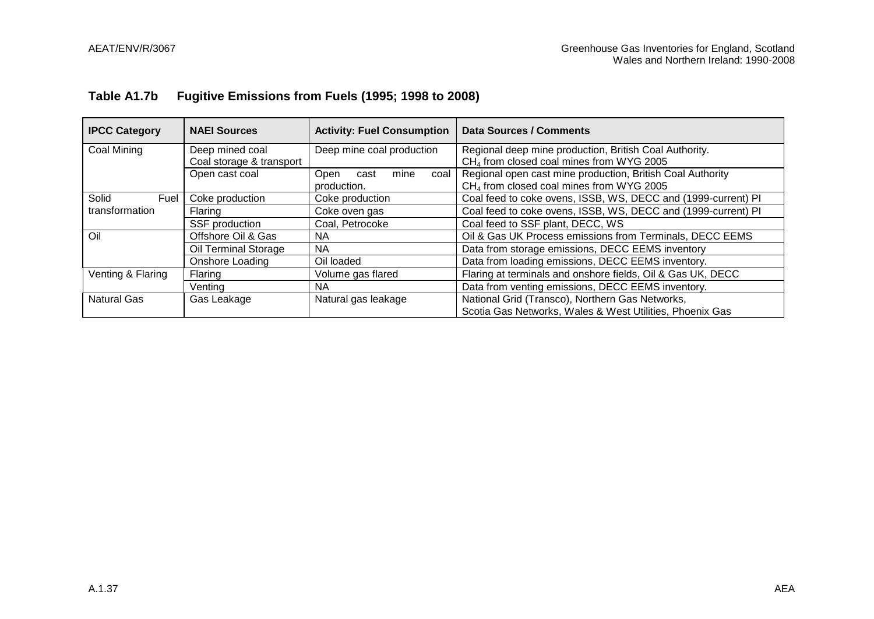# **Table A1.7b Fugitive Emissions from Fuels (1995; 1998 to 2008)**

| <b>IPCC Category</b> | <b>NAEI Sources</b>                         | <b>Activity: Fuel Consumption</b>           | <b>Data Sources / Comments</b>                                                                                     |  |
|----------------------|---------------------------------------------|---------------------------------------------|--------------------------------------------------------------------------------------------------------------------|--|
| Coal Mining          | Deep mined coal<br>Coal storage & transport | Deep mine coal production                   | Regional deep mine production, British Coal Authority.<br>CH <sub>4</sub> from closed coal mines from WYG 2005     |  |
|                      | Open cast coal                              | Open<br>mine<br>coal<br>cast<br>production. | Regional open cast mine production, British Coal Authority<br>CH <sub>4</sub> from closed coal mines from WYG 2005 |  |
| Solid<br>Fuel        | Coke production                             | Coke production                             | Coal feed to coke ovens, ISSB, WS, DECC and (1999-current) PI                                                      |  |
| transformation       | Flaring                                     | Coke oven gas                               | Coal feed to coke ovens, ISSB, WS, DECC and (1999-current) PI                                                      |  |
|                      | SSF production                              | Coal, Petrocoke                             | Coal feed to SSF plant, DECC, WS                                                                                   |  |
| Oil                  | Offshore Oil & Gas                          | NA.                                         | Oil & Gas UK Process emissions from Terminals, DECC EEMS                                                           |  |
|                      | Oil Terminal Storage                        | NA.                                         | Data from storage emissions, DECC EEMS inventory                                                                   |  |
|                      | Onshore Loading                             | Oil loaded                                  | Data from loading emissions, DECC EEMS inventory.                                                                  |  |
| Venting & Flaring    | Flaring                                     | Volume gas flared                           | Flaring at terminals and onshore fields, Oil & Gas UK, DECC                                                        |  |
|                      | Ventina                                     | NA.                                         | Data from venting emissions, DECC EEMS inventory.                                                                  |  |
| Natural Gas          | Gas Leakage                                 | Natural gas leakage                         | National Grid (Transco), Northern Gas Networks,<br>Scotia Gas Networks, Wales & West Utilities, Phoenix Gas        |  |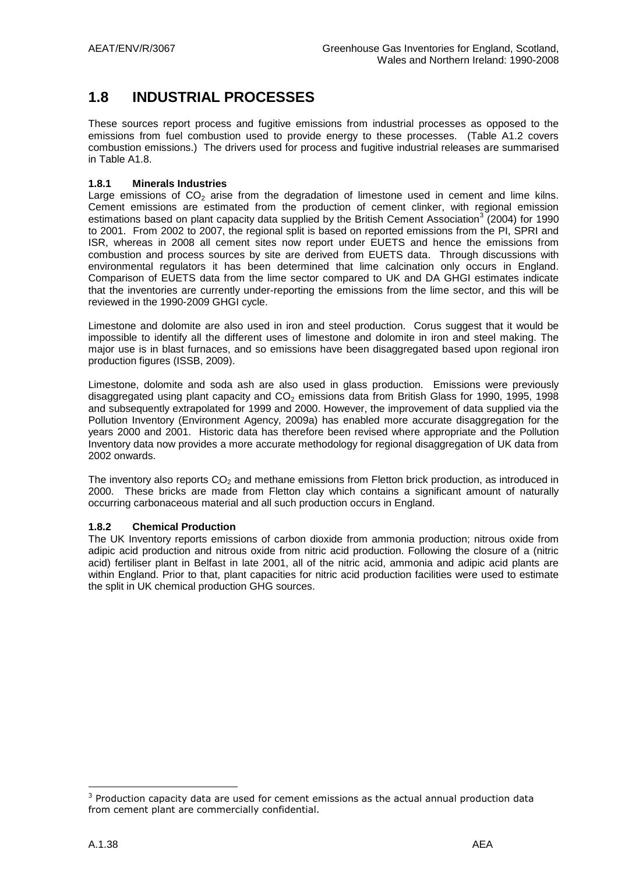# **1.8 INDUSTRIAL PROCESSES**

These sources report process and fugitive emissions from industrial processes as opposed to the emissions from fuel combustion used to provide energy to these processes. (Table A1.2 covers combustion emissions.) The drivers used for process and fugitive industrial releases are summarised in Table A1.8.

#### **1.8.1 Minerals Industries**

Large emissions of  $CO<sub>2</sub>$  arise from the degradation of limestone used in cement and lime kilns. Cement emissions are estimated from the production of cement clinker, with regional emission estimations based on plant capacity data supplied by the British Cement Association<sup>3</sup> (2004) for 1990 to 2001. From 2002 to 2007, the regional split is based on reported emissions from the PI, SPRI and ISR, whereas in 2008 all cement sites now report under EUETS and hence the emissions from combustion and process sources by site are derived from EUETS data. Through discussions with environmental regulators it has been determined that lime calcination only occurs in England. Comparison of EUETS data from the lime sector compared to UK and DA GHGI estimates indicate that the inventories are currently under-reporting the emissions from the lime sector, and this will be reviewed in the 1990-2009 GHGI cycle.

Limestone and dolomite are also used in iron and steel production. Corus suggest that it would be impossible to identify all the different uses of limestone and dolomite in iron and steel making. The major use is in blast furnaces, and so emissions have been disaggregated based upon regional iron production figures (ISSB, 2009).

Limestone, dolomite and soda ash are also used in glass production. Emissions were previously disaggregated using plant capacity and  $CO<sub>2</sub>$  emissions data from British Glass for 1990, 1995, 1998 and subsequently extrapolated for 1999 and 2000. However, the improvement of data supplied via the Pollution Inventory (Environment Agency, 2009a) has enabled more accurate disaggregation for the years 2000 and 2001. Historic data has therefore been revised where appropriate and the Pollution Inventory data now provides a more accurate methodology for regional disaggregation of UK data from 2002 onwards.

The inventory also reports  $CO<sub>2</sub>$  and methane emissions from Fletton brick production, as introduced in 2000. These bricks are made from Fletton clay which contains a significant amount of naturally occurring carbonaceous material and all such production occurs in England.

#### **1.8.2 Chemical Production**

The UK Inventory reports emissions of carbon dioxide from ammonia production; nitrous oxide from adipic acid production and nitrous oxide from nitric acid production. Following the closure of a (nitric acid) fertiliser plant in Belfast in late 2001, all of the nitric acid, ammonia and adipic acid plants are within England. Prior to that, plant capacities for nitric acid production facilities were used to estimate the split in UK chemical production GHG sources.

<u>.</u>

 $3$  Production capacity data are used for cement emissions as the actual annual production data from cement plant are commercially confidential.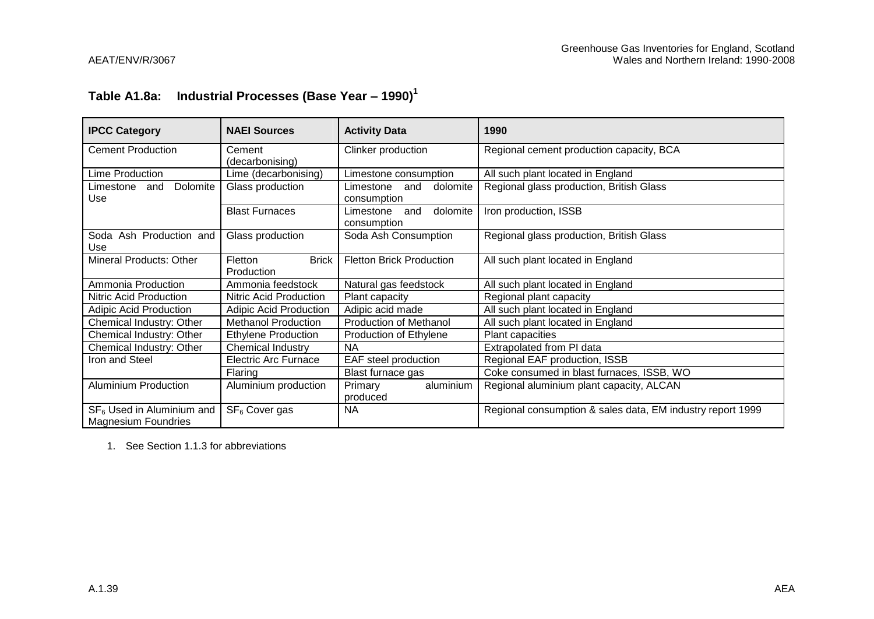# **Table A1.8a: Industrial Processes (Base Year – 1990)<sup>1</sup>**

| <b>IPCC Category</b>                                      | <b>NAEI Sources</b>                   | <b>Activity Data</b>                        | 1990                                                       |
|-----------------------------------------------------------|---------------------------------------|---------------------------------------------|------------------------------------------------------------|
| <b>Cement Production</b>                                  | Cement<br>(decarbonising)             | Clinker production                          | Regional cement production capacity, BCA                   |
| Lime Production                                           | Lime (decarbonising)                  | Limestone consumption                       | All such plant located in England                          |
| Dolomite<br>Limestone<br>and<br>Use                       | Glass production                      | dolomite<br>Limestone<br>and<br>consumption | Regional glass production, British Glass                   |
|                                                           | <b>Blast Furnaces</b>                 | dolomite<br>Limestone<br>and<br>consumption | Iron production, ISSB                                      |
| Soda Ash Production and<br>Use                            | Glass production                      | Soda Ash Consumption                        | Regional glass production, British Glass                   |
| <b>Mineral Products: Other</b>                            | <b>Brick</b><br>Fletton<br>Production | <b>Fletton Brick Production</b>             | All such plant located in England                          |
| Ammonia Production                                        | Ammonia feedstock                     | Natural gas feedstock                       | All such plant located in England                          |
| Nitric Acid Production                                    | Nitric Acid Production                | Plant capacity                              | Regional plant capacity                                    |
| <b>Adipic Acid Production</b>                             | <b>Adipic Acid Production</b>         | Adipic acid made                            | All such plant located in England                          |
| Chemical Industry: Other                                  | <b>Methanol Production</b>            | <b>Production of Methanol</b>               | All such plant located in England                          |
| Chemical Industry: Other                                  | <b>Ethylene Production</b>            | Production of Ethylene                      | Plant capacities                                           |
| Chemical Industry: Other                                  | Chemical Industry                     | <b>NA</b>                                   | Extrapolated from PI data                                  |
| Iron and Steel                                            | <b>Electric Arc Furnace</b>           | EAF steel production                        | Regional EAF production, ISSB                              |
|                                                           | Flaring                               | Blast furnace gas                           | Coke consumed in blast furnaces, ISSB, WO                  |
| <b>Aluminium Production</b>                               | Aluminium production                  | aluminium<br>Primary<br>produced            | Regional aluminium plant capacity, ALCAN                   |
| $SF6$ Used in Aluminium and<br><b>Magnesium Foundries</b> | SF <sub>6</sub> Cover gas             | <b>NA</b>                                   | Regional consumption & sales data, EM industry report 1999 |

1. See Section 1.1.3 for abbreviations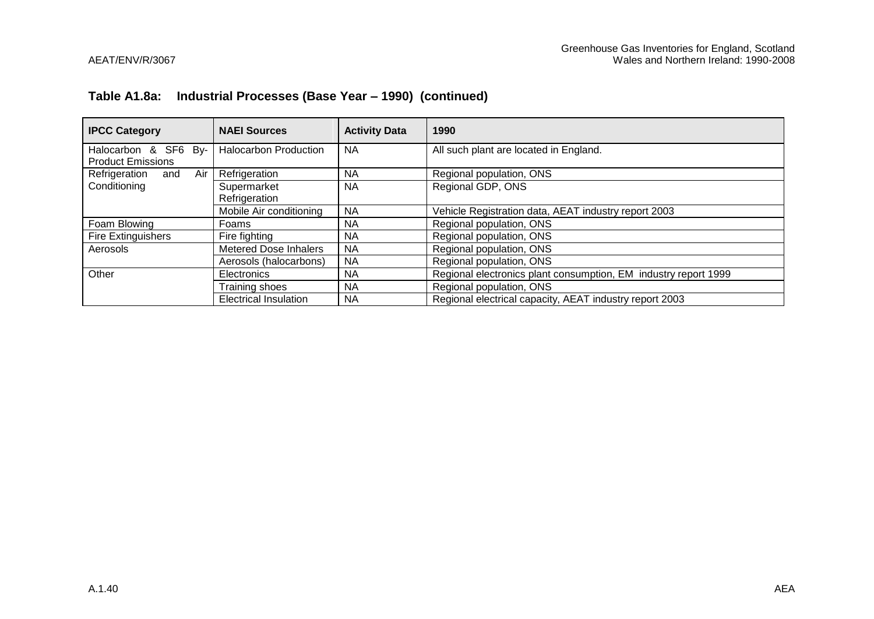### **Table A1.8a: Industrial Processes (Base Year – 1990) (continued)**

| <b>IPCC Category</b>                             | <b>NAEI Sources</b>          | <b>Activity Data</b> | 1990                                                            |  |
|--------------------------------------------------|------------------------------|----------------------|-----------------------------------------------------------------|--|
| Halocarbon & SF6 By-<br><b>Product Emissions</b> | <b>Halocarbon Production</b> | <b>NA</b>            | All such plant are located in England.                          |  |
| Air<br>Refrigeration<br>and                      | Refrigeration                | <b>NA</b>            | Regional population, ONS                                        |  |
| Conditioning                                     | Supermarket<br>Refrigeration | <b>NA</b>            | Regional GDP, ONS                                               |  |
|                                                  | Mobile Air conditioning      | <b>NA</b>            | Vehicle Registration data, AEAT industry report 2003            |  |
| Foam Blowing                                     | Foams                        | <b>NA</b>            | Regional population, ONS                                        |  |
| Fire Extinguishers                               | Fire fighting                | ΝA                   | Regional population, ONS                                        |  |
| Aerosols                                         | <b>Metered Dose Inhalers</b> | <b>NA</b>            | Regional population, ONS                                        |  |
|                                                  | Aerosols (halocarbons)       | <b>NA</b>            | Regional population, ONS                                        |  |
| Other                                            | Electronics                  | <b>NA</b>            | Regional electronics plant consumption, EM industry report 1999 |  |
|                                                  | Training shoes               | <b>NA</b>            | Regional population, ONS                                        |  |
|                                                  | <b>Electrical Insulation</b> | <b>NA</b>            | Regional electrical capacity, AEAT industry report 2003         |  |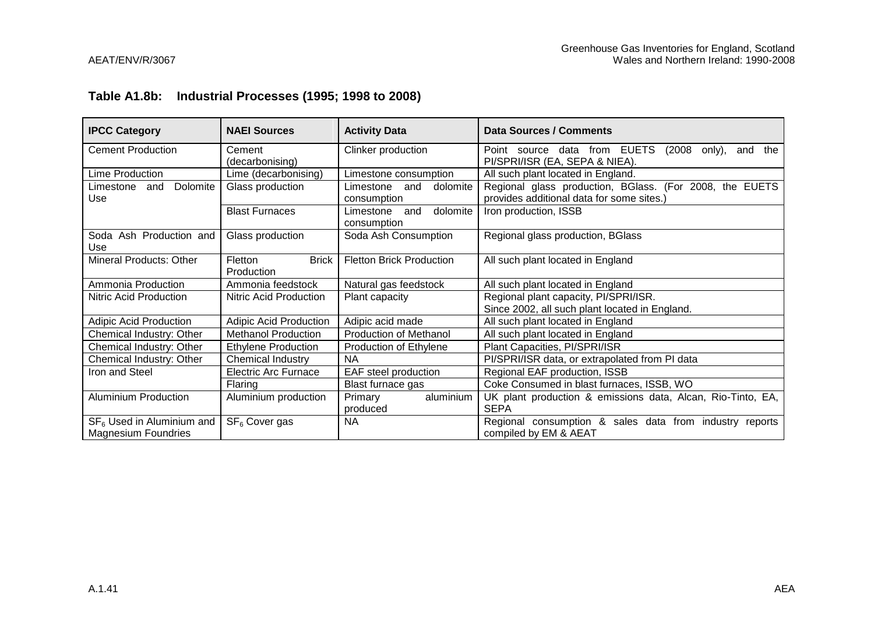### **Table A1.8b: Industrial Processes (1995; 1998 to 2008)**

| <b>IPCC Category</b>                | <b>NAEI Sources</b>                   | <b>Activity Data</b>                     | Data Sources / Comments                                                                              |  |
|-------------------------------------|---------------------------------------|------------------------------------------|------------------------------------------------------------------------------------------------------|--|
| <b>Cement Production</b>            | Cement                                | Clinker production                       | Point source data from EUETS<br>(2008 only),<br>the<br>and                                           |  |
|                                     | (decarbonising)                       |                                          | PI/SPRI/ISR (EA, SEPA & NIEA).                                                                       |  |
| <b>Lime Production</b>              | Lime (decarbonising)                  | Limestone consumption                    | All such plant located in England.                                                                   |  |
| Dolomite<br>Limestone<br>and<br>Use | Glass production                      | Limestone<br>and dolomite<br>consumption | Regional glass production, BGlass. (For 2008, the EUETS<br>provides additional data for some sites.) |  |
|                                     | <b>Blast Furnaces</b>                 | dolomite<br>Limestone and<br>consumption | Iron production, ISSB                                                                                |  |
| Soda Ash Production and<br>Use      | Glass production                      | Soda Ash Consumption                     | Regional glass production, BGlass                                                                    |  |
| Mineral Products: Other             | <b>Brick</b><br>Fletton<br>Production | <b>Fletton Brick Production</b>          | All such plant located in England                                                                    |  |
| Ammonia Production                  | Ammonia feedstock                     | Natural gas feedstock                    | All such plant located in England                                                                    |  |
| Nitric Acid Production              | Nitric Acid Production                | Plant capacity                           | Regional plant capacity, PI/SPRI/ISR.                                                                |  |
|                                     |                                       |                                          | Since 2002, all such plant located in England.                                                       |  |
| <b>Adipic Acid Production</b>       | Adipic Acid Production                | Adipic acid made                         | All such plant located in England                                                                    |  |
| Chemical Industry: Other            | <b>Methanol Production</b>            | <b>Production of Methanol</b>            | All such plant located in England                                                                    |  |
| Chemical Industry: Other            | <b>Ethylene Production</b>            | Production of Ethylene                   | Plant Capacities, PI/SPRI/ISR                                                                        |  |
| Chemical Industry: Other            | Chemical Industry                     | <b>NA</b>                                | PI/SPRI/ISR data, or extrapolated from PI data                                                       |  |
| Iron and Steel                      | <b>Electric Arc Furnace</b>           | EAF steel production                     | Regional EAF production, ISSB                                                                        |  |
|                                     | Flaring                               | Blast furnace gas                        | Coke Consumed in blast furnaces, ISSB, WO                                                            |  |
| <b>Aluminium Production</b>         | Aluminium production                  | aluminium<br>Primary                     | UK plant production & emissions data, Alcan, Rio-Tinto, EA,                                          |  |
|                                     |                                       | produced                                 | <b>SEPA</b>                                                                                          |  |
| $SF6$ Used in Aluminium and         | SF <sub>6</sub> Cover gas             | NA.                                      | Regional consumption & sales data from industry reports                                              |  |
| <b>Magnesium Foundries</b>          |                                       |                                          | compiled by EM & AEAT                                                                                |  |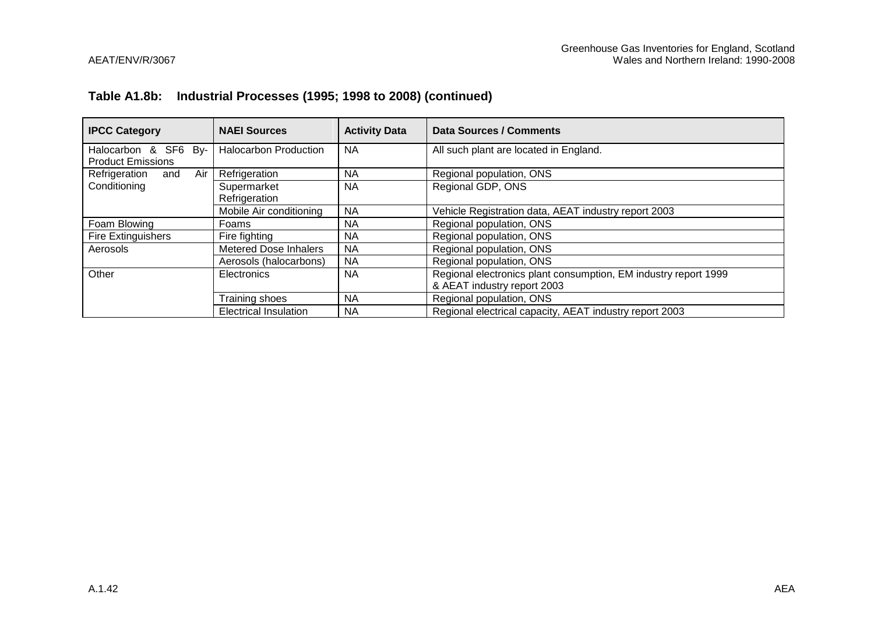### **Table A1.8b: Industrial Processes (1995; 1998 to 2008) (continued)**

| <b>IPCC Category</b>                             | <b>NAEI Sources</b>          | <b>Activity Data</b> | Data Sources / Comments                                                                        |  |
|--------------------------------------------------|------------------------------|----------------------|------------------------------------------------------------------------------------------------|--|
| Halocarbon & SF6 By-<br><b>Product Emissions</b> | <b>Halocarbon Production</b> | <b>NA</b>            | All such plant are located in England.                                                         |  |
| Air I<br>Refrigeration<br>and                    | Refrigeration                | NА                   | Regional population, ONS                                                                       |  |
| Conditioning                                     | Supermarket<br>Refrigeration | <b>NA</b>            | Regional GDP, ONS                                                                              |  |
|                                                  | Mobile Air conditioning      | <b>NA</b>            | Vehicle Registration data, AEAT industry report 2003                                           |  |
| Foam Blowing                                     | Foams                        | NA.                  | Regional population, ONS                                                                       |  |
| <b>Fire Extinguishers</b>                        | Fire fighting                | <b>NA</b>            | Regional population, ONS                                                                       |  |
| Aerosols                                         | <b>Metered Dose Inhalers</b> | <b>NA</b>            | Regional population, ONS                                                                       |  |
|                                                  | Aerosols (halocarbons)       | <b>NA</b>            | Regional population, ONS                                                                       |  |
| Other                                            | Electronics                  | <b>NA</b>            | Regional electronics plant consumption, EM industry report 1999<br>& AEAT industry report 2003 |  |
|                                                  | Training shoes               | <b>NA</b>            | Regional population, ONS                                                                       |  |
|                                                  | <b>Electrical Insulation</b> | <b>NA</b>            | Regional electrical capacity, AEAT industry report 2003                                        |  |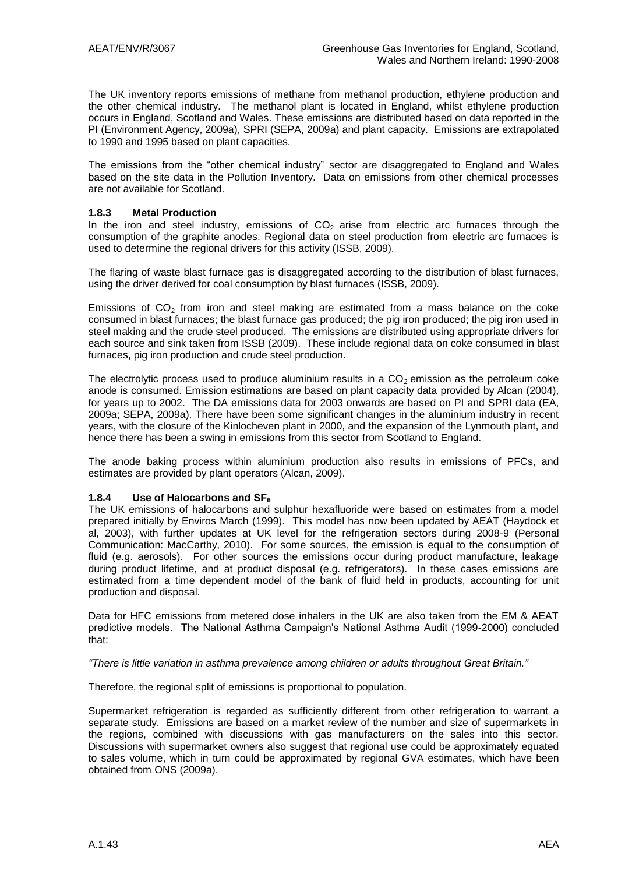The UK inventory reports emissions of methane from methanol production, ethylene production and the other chemical industry. The methanol plant is located in England, whilst ethylene production occurs in England, Scotland and Wales. These emissions are distributed based on data reported in the PI (Environment Agency, 2009a), SPRI (SEPA, 2009a) and plant capacity. Emissions are extrapolated to 1990 and 1995 based on plant capacities.

The emissions from the "other chemical industry" sector are disaggregated to England and Wales based on the site data in the Pollution Inventory. Data on emissions from other chemical processes are not available for Scotland.

#### **1.8.3 Metal Production**

In the iron and steel industry, emissions of  $CO<sub>2</sub>$  arise from electric arc furnaces through the consumption of the graphite anodes. Regional data on steel production from electric arc furnaces is used to determine the regional drivers for this activity (ISSB, 2009).

The flaring of waste blast furnace gas is disaggregated according to the distribution of blast furnaces, using the driver derived for coal consumption by blast furnaces (ISSB, 2009).

Emissions of  $CO<sub>2</sub>$  from iron and steel making are estimated from a mass balance on the coke consumed in blast furnaces; the blast furnace gas produced; the pig iron produced; the pig iron used in steel making and the crude steel produced. The emissions are distributed using appropriate drivers for each source and sink taken from ISSB (2009). These include regional data on coke consumed in blast furnaces, pig iron production and crude steel production.

The electrolytic process used to produce aluminium results in a  $CO<sub>2</sub>$  emission as the petroleum coke anode is consumed. Emission estimations are based on plant capacity data provided by Alcan (2004), for years up to 2002. The DA emissions data for 2003 onwards are based on PI and SPRI data (EA, 2009a; SEPA, 2009a). There have been some significant changes in the aluminium industry in recent years, with the closure of the Kinlocheven plant in 2000, and the expansion of the Lynmouth plant, and hence there has been a swing in emissions from this sector from Scotland to England.

The anode baking process within aluminium production also results in emissions of PFCs, and estimates are provided by plant operators (Alcan, 2009).

#### **1.8.4 Use of Halocarbons and SF<sup>6</sup>**

The UK emissions of halocarbons and sulphur hexafluoride were based on estimates from a model prepared initially by Enviros March (1999). This model has now been updated by AEAT (Haydock et al, 2003), with further updates at UK level for the refrigeration sectors during 2008-9 (Personal Communication: MacCarthy, 2010). For some sources, the emission is equal to the consumption of fluid (e.g. aerosols). For other sources the emissions occur during product manufacture, leakage during product lifetime, and at product disposal (e.g. refrigerators). In these cases emissions are estimated from a time dependent model of the bank of fluid held in products, accounting for unit production and disposal.

Data for HFC emissions from metered dose inhalers in the UK are also taken from the EM & AEAT predictive models. The National Asthma Campaign"s National Asthma Audit (1999-2000) concluded that:

*"There is little variation in asthma prevalence among children or adults throughout Great Britain."* 

Therefore, the regional split of emissions is proportional to population.

Supermarket refrigeration is regarded as sufficiently different from other refrigeration to warrant a separate study. Emissions are based on a market review of the number and size of supermarkets in the regions, combined with discussions with gas manufacturers on the sales into this sector. Discussions with supermarket owners also suggest that regional use could be approximately equated to sales volume, which in turn could be approximated by regional GVA estimates, which have been obtained from ONS (2009a).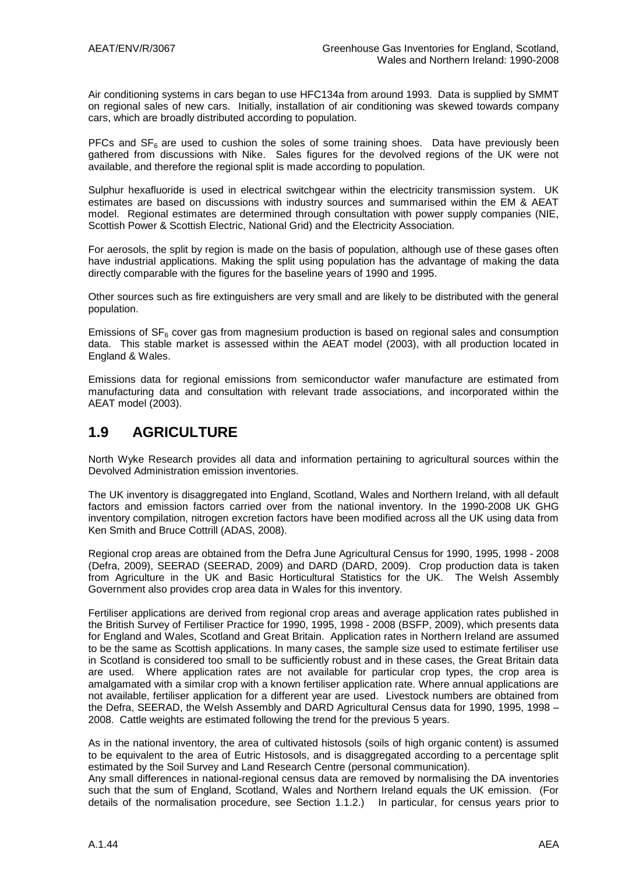Air conditioning systems in cars began to use HFC134a from around 1993. Data is supplied by SMMT on regional sales of new cars. Initially, installation of air conditioning was skewed towards company cars, which are broadly distributed according to population.

PFCs and  $SF<sub>6</sub>$  are used to cushion the soles of some training shoes. Data have previously been gathered from discussions with Nike. Sales figures for the devolved regions of the UK were not available, and therefore the regional split is made according to population.

Sulphur hexafluoride is used in electrical switchgear within the electricity transmission system. UK estimates are based on discussions with industry sources and summarised within the EM & AEAT model. Regional estimates are determined through consultation with power supply companies (NIE, Scottish Power & Scottish Electric, National Grid) and the Electricity Association.

For aerosols, the split by region is made on the basis of population, although use of these gases often have industrial applications. Making the split using population has the advantage of making the data directly comparable with the figures for the baseline years of 1990 and 1995.

Other sources such as fire extinguishers are very small and are likely to be distributed with the general population.

Emissions of  $SF<sub>6</sub>$  cover gas from magnesium production is based on regional sales and consumption data. This stable market is assessed within the AEAT model (2003), with all production located in England & Wales.

Emissions data for regional emissions from semiconductor wafer manufacture are estimated from manufacturing data and consultation with relevant trade associations, and incorporated within the AEAT model (2003).

## **1.9 AGRICULTURE**

North Wyke Research provides all data and information pertaining to agricultural sources within the Devolved Administration emission inventories.

The UK inventory is disaggregated into England, Scotland, Wales and Northern Ireland, with all default factors and emission factors carried over from the national inventory. In the 1990-2008 UK GHG inventory compilation, nitrogen excretion factors have been modified across all the UK using data from Ken Smith and Bruce Cottrill (ADAS, 2008).

Regional crop areas are obtained from the Defra June Agricultural Census for 1990, 1995, 1998 - 2008 (Defra, 2009), SEERAD (SEERAD, 2009) and DARD (DARD, 2009). Crop production data is taken from Agriculture in the UK and Basic Horticultural Statistics for the UK. The Welsh Assembly Government also provides crop area data in Wales for this inventory.

Fertiliser applications are derived from regional crop areas and average application rates published in the British Survey of Fertiliser Practice for 1990, 1995, 1998 - 2008 (BSFP, 2009), which presents data for England and Wales, Scotland and Great Britain. Application rates in Northern Ireland are assumed to be the same as Scottish applications. In many cases, the sample size used to estimate fertiliser use in Scotland is considered too small to be sufficiently robust and in these cases, the Great Britain data are used. Where application rates are not available for particular crop types, the crop area is amalgamated with a similar crop with a known fertiliser application rate. Where annual applications are not available, fertiliser application for a different year are used. Livestock numbers are obtained from the Defra, SEERAD, the Welsh Assembly and DARD Agricultural Census data for 1990, 1995, 1998 – 2008. Cattle weights are estimated following the trend for the previous 5 years.

As in the national inventory, the area of cultivated histosols (soils of high organic content) is assumed to be equivalent to the area of Eutric Histosols, and is disaggregated according to a percentage split estimated by the Soil Survey and Land Research Centre (personal communication).

Any small differences in national-regional census data are removed by normalising the DA inventories such that the sum of England, Scotland, Wales and Northern Ireland equals the UK emission. (For details of the normalisation procedure, see Section 1.1.2.) In particular, for census years prior to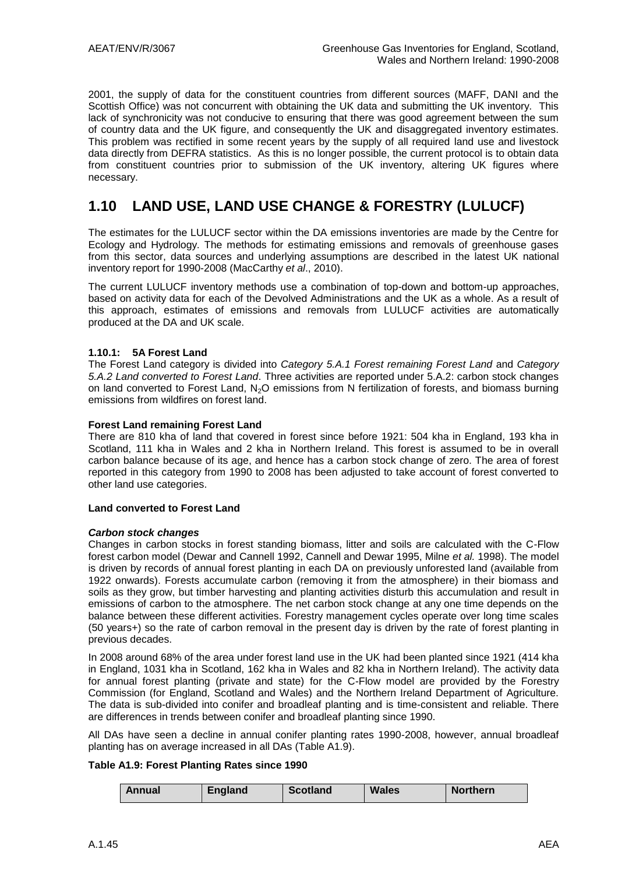2001, the supply of data for the constituent countries from different sources (MAFF, DANI and the Scottish Office) was not concurrent with obtaining the UK data and submitting the UK inventory. This lack of synchronicity was not conducive to ensuring that there was good agreement between the sum of country data and the UK figure, and consequently the UK and disaggregated inventory estimates. This problem was rectified in some recent years by the supply of all required land use and livestock data directly from DEFRA statistics. As this is no longer possible, the current protocol is to obtain data from constituent countries prior to submission of the UK inventory, altering UK figures where necessary.

# **1.10 LAND USE, LAND USE CHANGE & FORESTRY (LULUCF)**

The estimates for the LULUCF sector within the DA emissions inventories are made by the Centre for Ecology and Hydrology. The methods for estimating emissions and removals of greenhouse gases from this sector, data sources and underlying assumptions are described in the latest UK national inventory report for 1990-2008 (MacCarthy *et al*., 2010).

The current LULUCF inventory methods use a combination of top-down and bottom-up approaches, based on activity data for each of the Devolved Administrations and the UK as a whole. As a result of this approach, estimates of emissions and removals from LULUCF activities are automatically produced at the DA and UK scale.

#### **1.10.1: 5A Forest Land**

The Forest Land category is divided into *Category 5.A.1 Forest remaining Forest Land* and *Category 5.A.2 Land converted to Forest Land*. Three activities are reported under 5.A.2: carbon stock changes on land converted to Forest Land,  $N_2O$  emissions from N fertilization of forests, and biomass burning emissions from wildfires on forest land.

#### **Forest Land remaining Forest Land**

There are 810 kha of land that covered in forest since before 1921: 504 kha in England, 193 kha in Scotland, 111 kha in Wales and 2 kha in Northern Ireland. This forest is assumed to be in overall carbon balance because of its age, and hence has a carbon stock change of zero. The area of forest reported in this category from 1990 to 2008 has been adjusted to take account of forest converted to other land use categories.

#### **Land converted to Forest Land**

#### *Carbon stock changes*

Changes in carbon stocks in forest standing biomass, litter and soils are calculated with the C-Flow forest carbon model (Dewar and Cannell 1992, Cannell and Dewar 1995, Milne *et al.* 1998). The model is driven by records of annual forest planting in each DA on previously unforested land (available from 1922 onwards). Forests accumulate carbon (removing it from the atmosphere) in their biomass and soils as they grow, but timber harvesting and planting activities disturb this accumulation and result in emissions of carbon to the atmosphere. The net carbon stock change at any one time depends on the balance between these different activities. Forestry management cycles operate over long time scales (50 years+) so the rate of carbon removal in the present day is driven by the rate of forest planting in previous decades.

In 2008 around 68% of the area under forest land use in the UK had been planted since 1921 (414 kha in England, 1031 kha in Scotland, 162 kha in Wales and 82 kha in Northern Ireland). The activity data for annual forest planting (private and state) for the C-Flow model are provided by the Forestry Commission (for England, Scotland and Wales) and the Northern Ireland Department of Agriculture. The data is sub-divided into conifer and broadleaf planting and is time-consistent and reliable. There are differences in trends between conifer and broadleaf planting since 1990.

All DAs have seen a decline in annual conifer planting rates 1990-2008, however, annual broadleaf planting has on average increased in all DAs (Table A1.9).

#### **Table A1.9: Forest Planting Rates since 1990**

|  | Annual | <b>England</b> | <b>Scotland</b> | <b>Wales</b> | <b>Northern</b> |
|--|--------|----------------|-----------------|--------------|-----------------|
|--|--------|----------------|-----------------|--------------|-----------------|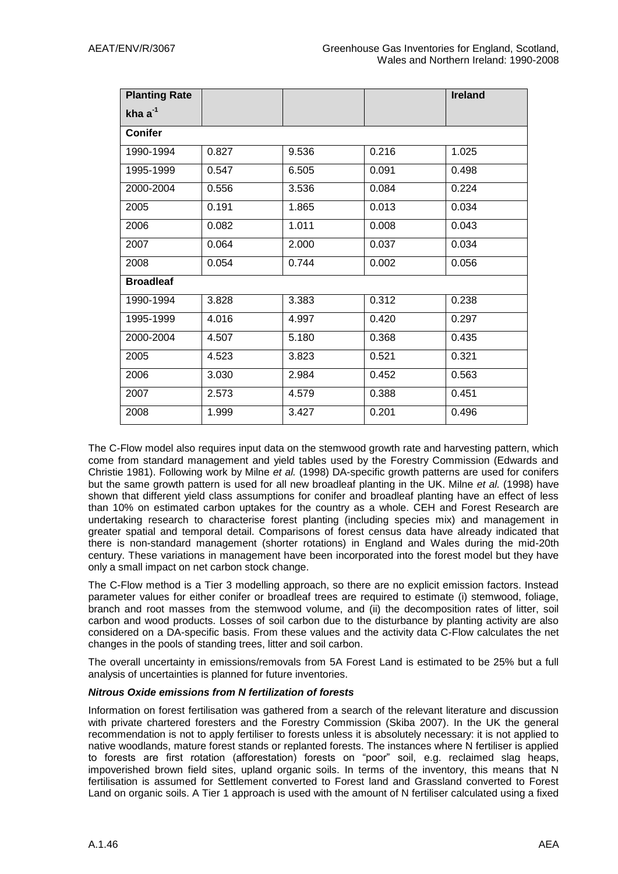| <b>Planting Rate</b> |       |       |       | <b>Ireland</b> |
|----------------------|-------|-------|-------|----------------|
| kha $a^{-1}$         |       |       |       |                |
| <b>Conifer</b>       |       |       |       |                |
| 1990-1994            | 0.827 | 9.536 | 0.216 | 1.025          |
| 1995-1999            | 0.547 | 6.505 | 0.091 | 0.498          |
| 2000-2004            | 0.556 | 3.536 | 0.084 | 0.224          |
| 2005                 | 0.191 | 1.865 | 0.013 | 0.034          |
| 2006                 | 0.082 | 1.011 | 0.008 | 0.043          |
| 2007                 | 0.064 | 2.000 | 0.037 | 0.034          |
| 2008                 | 0.054 | 0.744 | 0.002 | 0.056          |
| <b>Broadleaf</b>     |       |       |       |                |
| 1990-1994            | 3.828 | 3.383 | 0.312 | 0.238          |
| 1995-1999            | 4.016 | 4.997 | 0.420 | 0.297          |
| 2000-2004            | 4.507 | 5.180 | 0.368 | 0.435          |
| 2005                 | 4.523 | 3.823 | 0.521 | 0.321          |
| 2006                 | 3.030 | 2.984 | 0.452 | 0.563          |
| 2007                 | 2.573 | 4.579 | 0.388 | 0.451          |
| 2008                 | 1.999 | 3.427 | 0.201 | 0.496          |

The C-Flow model also requires input data on the stemwood growth rate and harvesting pattern, which come from standard management and yield tables used by the Forestry Commission (Edwards and Christie 1981). Following work by Milne *et al.* (1998) DA-specific growth patterns are used for conifers but the same growth pattern is used for all new broadleaf planting in the UK. Milne *et al.* (1998) have shown that different yield class assumptions for conifer and broadleaf planting have an effect of less than 10% on estimated carbon uptakes for the country as a whole. CEH and Forest Research are undertaking research to characterise forest planting (including species mix) and management in greater spatial and temporal detail. Comparisons of forest census data have already indicated that there is non-standard management (shorter rotations) in England and Wales during the mid-20th century. These variations in management have been incorporated into the forest model but they have only a small impact on net carbon stock change.

The C-Flow method is a Tier 3 modelling approach, so there are no explicit emission factors. Instead parameter values for either conifer or broadleaf trees are required to estimate (i) stemwood, foliage, branch and root masses from the stemwood volume, and (ii) the decomposition rates of litter, soil carbon and wood products. Losses of soil carbon due to the disturbance by planting activity are also considered on a DA-specific basis. From these values and the activity data C-Flow calculates the net changes in the pools of standing trees, litter and soil carbon.

The overall uncertainty in emissions/removals from 5A Forest Land is estimated to be 25% but a full analysis of uncertainties is planned for future inventories.

#### *Nitrous Oxide emissions from N fertilization of forests*

Information on forest fertilisation was gathered from a search of the relevant literature and discussion with private chartered foresters and the Forestry Commission (Skiba 2007). In the UK the general recommendation is not to apply fertiliser to forests unless it is absolutely necessary: it is not applied to native woodlands, mature forest stands or replanted forests. The instances where N fertiliser is applied to forests are first rotation (afforestation) forests on "poor" soil, e.g. reclaimed slag heaps, impoverished brown field sites, upland organic soils. In terms of the inventory, this means that N fertilisation is assumed for Settlement converted to Forest land and Grassland converted to Forest Land on organic soils. A Tier 1 approach is used with the amount of N fertiliser calculated using a fixed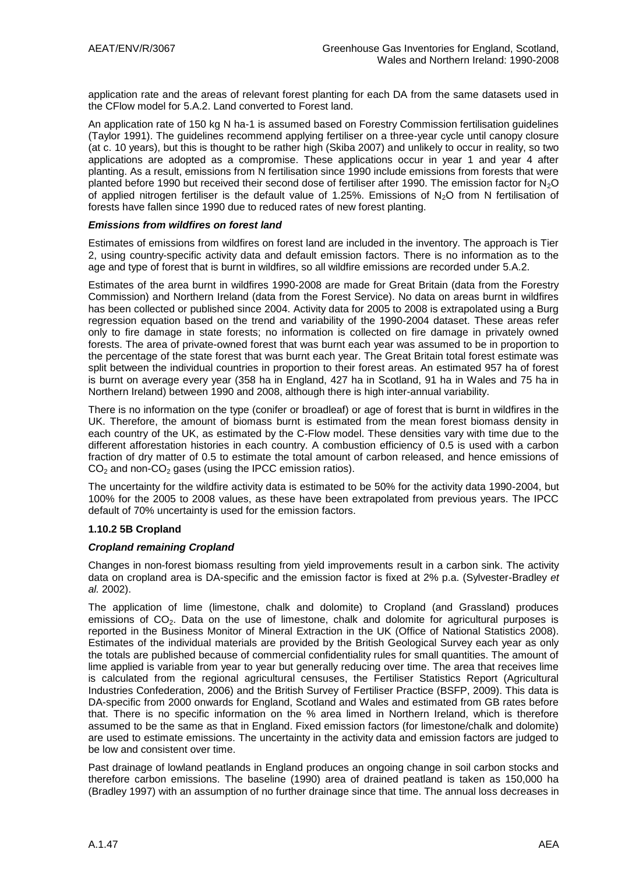application rate and the areas of relevant forest planting for each DA from the same datasets used in the CFlow model for 5.A.2. Land converted to Forest land.

An application rate of 150 kg N ha-1 is assumed based on Forestry Commission fertilisation guidelines (Taylor 1991). The guidelines recommend applying fertiliser on a three-year cycle until canopy closure (at c. 10 years), but this is thought to be rather high (Skiba 2007) and unlikely to occur in reality, so two applications are adopted as a compromise. These applications occur in year 1 and year 4 after planting. As a result, emissions from N fertilisation since 1990 include emissions from forests that were planted before 1990 but received their second dose of fertiliser after 1990. The emission factor for N<sub>2</sub>O of applied nitrogen fertiliser is the default value of 1.25%. Emissions of  $N<sub>2</sub>O$  from N fertilisation of forests have fallen since 1990 due to reduced rates of new forest planting.

#### *Emissions from wildfires on forest land*

Estimates of emissions from wildfires on forest land are included in the inventory. The approach is Tier 2, using country-specific activity data and default emission factors. There is no information as to the age and type of forest that is burnt in wildfires, so all wildfire emissions are recorded under 5.A.2.

Estimates of the area burnt in wildfires 1990-2008 are made for Great Britain (data from the Forestry Commission) and Northern Ireland (data from the Forest Service). No data on areas burnt in wildfires has been collected or published since 2004. Activity data for 2005 to 2008 is extrapolated using a Burg regression equation based on the trend and variability of the 1990-2004 dataset. These areas refer only to fire damage in state forests; no information is collected on fire damage in privately owned forests. The area of private-owned forest that was burnt each year was assumed to be in proportion to the percentage of the state forest that was burnt each year. The Great Britain total forest estimate was split between the individual countries in proportion to their forest areas. An estimated 957 ha of forest is burnt on average every year (358 ha in England, 427 ha in Scotland, 91 ha in Wales and 75 ha in Northern Ireland) between 1990 and 2008, although there is high inter-annual variability.

There is no information on the type (conifer or broadleaf) or age of forest that is burnt in wildfires in the UK. Therefore, the amount of biomass burnt is estimated from the mean forest biomass density in each country of the UK, as estimated by the C-Flow model. These densities vary with time due to the different afforestation histories in each country. A combustion efficiency of 0.5 is used with a carbon fraction of dry matter of 0.5 to estimate the total amount of carbon released, and hence emissions of  $CO<sub>2</sub>$  and non- $CO<sub>2</sub>$  gases (using the IPCC emission ratios).

The uncertainty for the wildfire activity data is estimated to be 50% for the activity data 1990-2004, but 100% for the 2005 to 2008 values, as these have been extrapolated from previous years. The IPCC default of 70% uncertainty is used for the emission factors.

#### **1.10.2 5B Cropland**

#### *Cropland remaining Cropland*

Changes in non-forest biomass resulting from yield improvements result in a carbon sink. The activity data on cropland area is DA-specific and the emission factor is fixed at 2% p.a. (Sylvester-Bradley *et al.* 2002).

The application of lime (limestone, chalk and dolomite) to Cropland (and Grassland) produces emissions of  $CO<sub>2</sub>$ . Data on the use of limestone, chalk and dolomite for agricultural purposes is reported in the Business Monitor of Mineral Extraction in the UK (Office of National Statistics 2008). Estimates of the individual materials are provided by the British Geological Survey each year as only the totals are published because of commercial confidentiality rules for small quantities. The amount of lime applied is variable from year to year but generally reducing over time. The area that receives lime is calculated from the regional agricultural censuses, the Fertiliser Statistics Report (Agricultural Industries Confederation, 2006) and the British Survey of Fertiliser Practice (BSFP, 2009). This data is DA-specific from 2000 onwards for England, Scotland and Wales and estimated from GB rates before that. There is no specific information on the % area limed in Northern Ireland, which is therefore assumed to be the same as that in England. Fixed emission factors (for limestone/chalk and dolomite) are used to estimate emissions. The uncertainty in the activity data and emission factors are judged to be low and consistent over time.

Past drainage of lowland peatlands in England produces an ongoing change in soil carbon stocks and therefore carbon emissions. The baseline (1990) area of drained peatland is taken as 150,000 ha (Bradley 1997) with an assumption of no further drainage since that time. The annual loss decreases in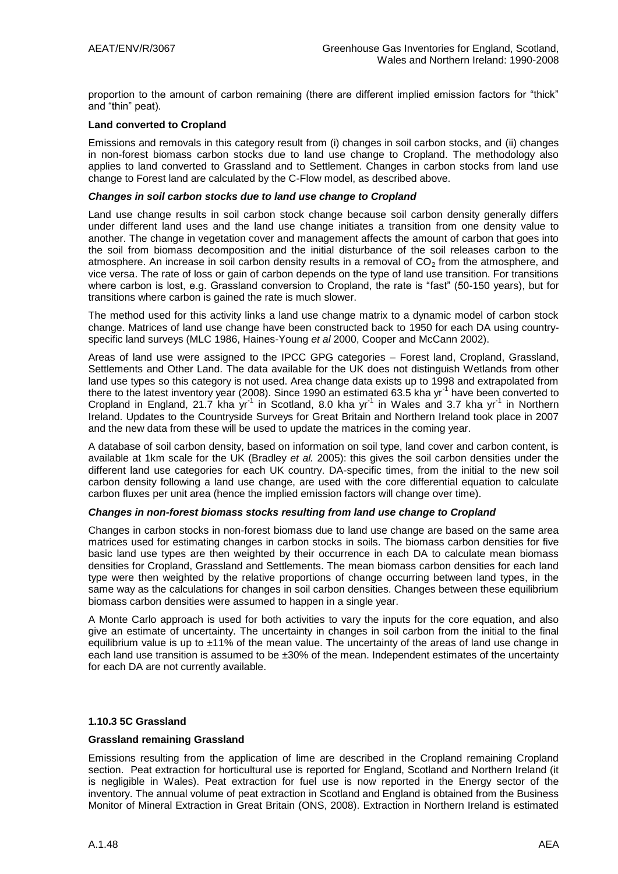proportion to the amount of carbon remaining (there are different implied emission factors for "thick" and "thin" peat).

#### **Land converted to Cropland**

Emissions and removals in this category result from (i) changes in soil carbon stocks, and (ii) changes in non-forest biomass carbon stocks due to land use change to Cropland. The methodology also applies to land converted to Grassland and to Settlement. Changes in carbon stocks from land use change to Forest land are calculated by the C-Flow model, as described above.

#### *Changes in soil carbon stocks due to land use change to Cropland*

Land use change results in soil carbon stock change because soil carbon density generally differs under different land uses and the land use change initiates a transition from one density value to another. The change in vegetation cover and management affects the amount of carbon that goes into the soil from biomass decomposition and the initial disturbance of the soil releases carbon to the atmosphere. An increase in soil carbon density results in a removal of  $CO<sub>2</sub>$  from the atmosphere, and vice versa. The rate of loss or gain of carbon depends on the type of land use transition. For transitions where carbon is lost, e.g. Grassland conversion to Cropland, the rate is "fast" (50-150 years), but for transitions where carbon is gained the rate is much slower.

The method used for this activity links a land use change matrix to a dynamic model of carbon stock change. Matrices of land use change have been constructed back to 1950 for each DA using countryspecific land surveys (MLC 1986, Haines-Young *et al* 2000, Cooper and McCann 2002).

Areas of land use were assigned to the IPCC GPG categories – Forest land, Cropland, Grassland, Settlements and Other Land. The data available for the UK does not distinguish Wetlands from other land use types so this category is not used. Area change data exists up to 1998 and extrapolated from there to the latest inventory year (2008). Since 1990 an estimated 63.5 kha yr<sup>-1</sup> have been converted to Cropland in England, 21.7 kha yr<sup>-1</sup> in Scotland, 8.0 kha yr<sup>-1</sup> in Wales and 3.7 kha yr<sup>-1</sup> in Northern Ireland. Updates to the Countryside Surveys for Great Britain and Northern Ireland took place in 2007 and the new data from these will be used to update the matrices in the coming year.

A database of soil carbon density, based on information on soil type, land cover and carbon content, is available at 1km scale for the UK (Bradley *et al.* 2005): this gives the soil carbon densities under the different land use categories for each UK country. DA-specific times, from the initial to the new soil carbon density following a land use change, are used with the core differential equation to calculate carbon fluxes per unit area (hence the implied emission factors will change over time).

#### *Changes in non-forest biomass stocks resulting from land use change to Cropland*

Changes in carbon stocks in non-forest biomass due to land use change are based on the same area matrices used for estimating changes in carbon stocks in soils. The biomass carbon densities for five basic land use types are then weighted by their occurrence in each DA to calculate mean biomass densities for Cropland, Grassland and Settlements. The mean biomass carbon densities for each land type were then weighted by the relative proportions of change occurring between land types, in the same way as the calculations for changes in soil carbon densities. Changes between these equilibrium biomass carbon densities were assumed to happen in a single year.

A Monte Carlo approach is used for both activities to vary the inputs for the core equation, and also give an estimate of uncertainty. The uncertainty in changes in soil carbon from the initial to the final equilibrium value is up to  $±11\%$  of the mean value. The uncertainty of the areas of land use change in each land use transition is assumed to be ±30% of the mean. Independent estimates of the uncertainty for each DA are not currently available.

#### **1.10.3 5C Grassland**

#### **Grassland remaining Grassland**

Emissions resulting from the application of lime are described in the Cropland remaining Cropland section. Peat extraction for horticultural use is reported for England, Scotland and Northern Ireland (it is negligible in Wales). Peat extraction for fuel use is now reported in the Energy sector of the inventory. The annual volume of peat extraction in Scotland and England is obtained from the Business Monitor of Mineral Extraction in Great Britain (ONS, 2008). Extraction in Northern Ireland is estimated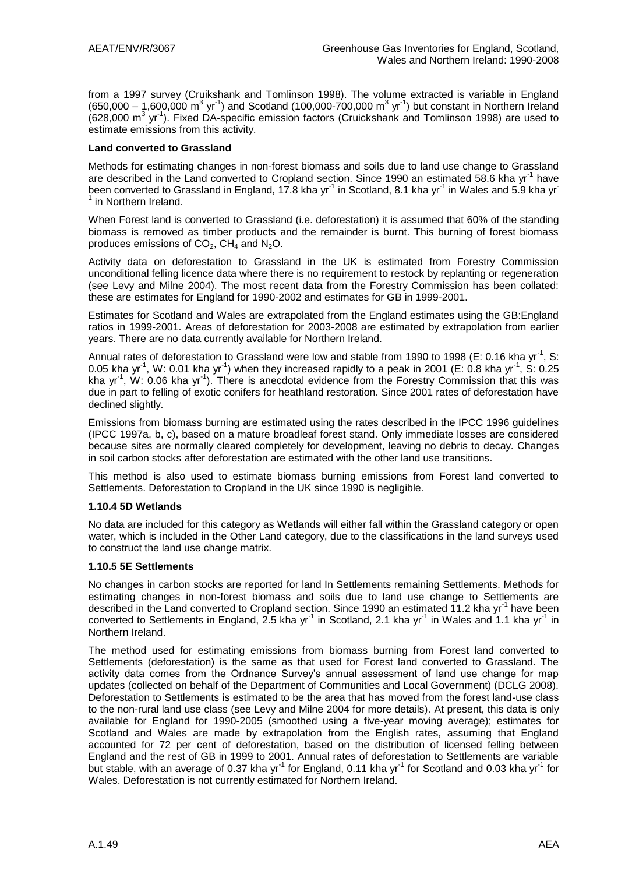from a 1997 survey (Cruikshank and Tomlinson 1998). The volume extracted is variable in England  $(650,000 - 1,600,000 \text{ m}^3 \text{ yr}^1)$  and Scotland (100,000-700,000 m<sup>3</sup> yr<sup>-1</sup>) but constant in Northern Ireland  $(628,000 \text{ m}^3 \text{ yr}^1)$ . Fixed DA-specific emission factors (Cruickshank and Tomlinson 1998) are used to estimate emissions from this activity.

#### **Land converted to Grassland**

Methods for estimating changes in non-forest biomass and soils due to land use change to Grassland are described in the Land converted to Cropland section. Since 1990 an estimated 58.6 kha yr<sup>-1</sup> have been converted to Grassland in England, 17.8 kha yr<sup>-1</sup> in Scotland, 8.1 kha yr<sup>-1</sup> in Wales and 5.9 kha yr<sup>-</sup> <sup>1</sup> in Northern Ireland.

When Forest land is converted to Grassland (i.e. deforestation) it is assumed that 60% of the standing biomass is removed as timber products and the remainder is burnt. This burning of forest biomass produces emissions of  $CO<sub>2</sub>$ , CH<sub>4</sub> and N<sub>2</sub>O.

Activity data on deforestation to Grassland in the UK is estimated from Forestry Commission unconditional felling licence data where there is no requirement to restock by replanting or regeneration (see Levy and Milne 2004). The most recent data from the Forestry Commission has been collated: these are estimates for England for 1990-2002 and estimates for GB in 1999-2001.

Estimates for Scotland and Wales are extrapolated from the England estimates using the GB:England ratios in 1999-2001. Areas of deforestation for 2003-2008 are estimated by extrapolation from earlier years. There are no data currently available for Northern Ireland.

Annual rates of deforestation to Grassland were low and stable from 1990 to 1998 (E: 0.16 kha yr<sup>-1</sup>, S: 0.05 kha yr<sup>-1</sup>, W: 0.01 kha yr<sup>-1</sup>) when they increased rapidly to a peak in 2001 (E: 0.8 kha yr<sup>-1</sup>, S: 0.25 kha yr<sup>-1</sup>, W: 0.06 kha yr<sup>-1</sup>). There is anecdotal evidence from the Forestry Commission that this was due in part to felling of exotic conifers for heathland restoration. Since 2001 rates of deforestation have declined slightly.

Emissions from biomass burning are estimated using the rates described in the IPCC 1996 guidelines (IPCC 1997a, b, c), based on a mature broadleaf forest stand. Only immediate losses are considered because sites are normally cleared completely for development, leaving no debris to decay. Changes in soil carbon stocks after deforestation are estimated with the other land use transitions.

This method is also used to estimate biomass burning emissions from Forest land converted to Settlements. Deforestation to Cropland in the UK since 1990 is negligible.

#### **1.10.4 5D Wetlands**

No data are included for this category as Wetlands will either fall within the Grassland category or open water, which is included in the Other Land category, due to the classifications in the land surveys used to construct the land use change matrix.

#### **1.10.5 5E Settlements**

No changes in carbon stocks are reported for land In Settlements remaining Settlements. Methods for estimating changes in non-forest biomass and soils due to land use change to Settlements are described in the Land converted to Cropland section. Since 1990 an estimated 11.2 kha yr<sup>-1</sup> have been converted to Settlements in England, 2.5 kha yr<sup>-1</sup> in Scotland, 2.1 kha yr<sup>-1</sup> in Wales and 1.1 kha yr<sup>-1</sup> in Northern Ireland.

The method used for estimating emissions from biomass burning from Forest land converted to Settlements (deforestation) is the same as that used for Forest land converted to Grassland. The activity data comes from the Ordnance Survey"s annual assessment of land use change for map updates (collected on behalf of the Department of Communities and Local Government) (DCLG 2008). Deforestation to Settlements is estimated to be the area that has moved from the forest land-use class to the non-rural land use class (see Levy and Milne 2004 for more details). At present, this data is only available for England for 1990-2005 (smoothed using a five-year moving average); estimates for Scotland and Wales are made by extrapolation from the English rates, assuming that England accounted for 72 per cent of deforestation, based on the distribution of licensed felling between England and the rest of GB in 1999 to 2001. Annual rates of deforestation to Settlements are variable but stable, with an average of 0.37 kha yr<sup>-1</sup> for England, 0.11 kha yr<sup>-1</sup> for Scotland and 0.03 kha yr<sup>-1</sup> for Wales. Deforestation is not currently estimated for Northern Ireland.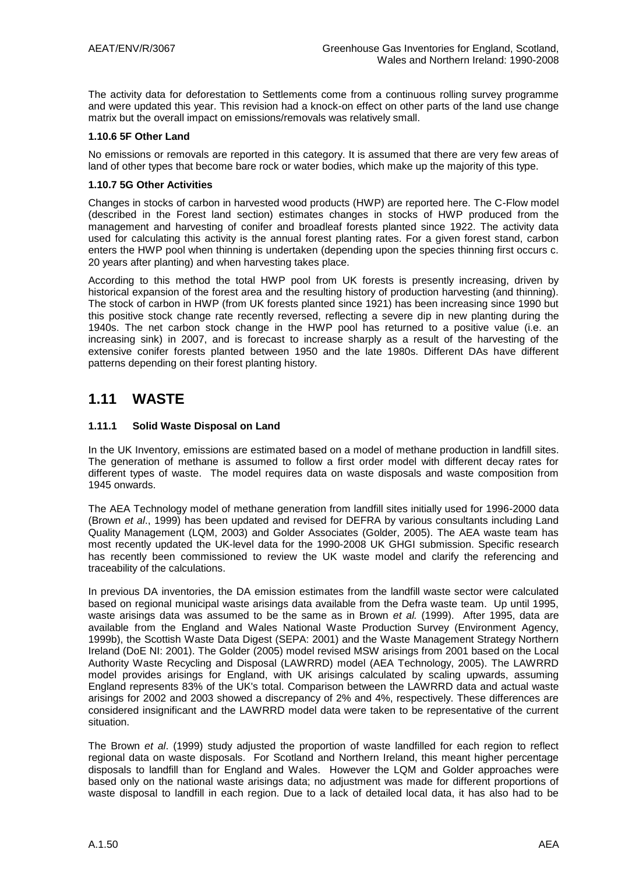The activity data for deforestation to Settlements come from a continuous rolling survey programme and were updated this year. This revision had a knock-on effect on other parts of the land use change matrix but the overall impact on emissions/removals was relatively small.

#### **1.10.6 5F Other Land**

No emissions or removals are reported in this category. It is assumed that there are very few areas of land of other types that become bare rock or water bodies, which make up the majority of this type.

#### **1.10.7 5G Other Activities**

Changes in stocks of carbon in harvested wood products (HWP) are reported here. The C-Flow model (described in the Forest land section) estimates changes in stocks of HWP produced from the management and harvesting of conifer and broadleaf forests planted since 1922. The activity data used for calculating this activity is the annual forest planting rates. For a given forest stand, carbon enters the HWP pool when thinning is undertaken (depending upon the species thinning first occurs c. 20 years after planting) and when harvesting takes place.

According to this method the total HWP pool from UK forests is presently increasing, driven by historical expansion of the forest area and the resulting history of production harvesting (and thinning). The stock of carbon in HWP (from UK forests planted since 1921) has been increasing since 1990 but this positive stock change rate recently reversed, reflecting a severe dip in new planting during the 1940s. The net carbon stock change in the HWP pool has returned to a positive value (i.e. an increasing sink) in 2007, and is forecast to increase sharply as a result of the harvesting of the extensive conifer forests planted between 1950 and the late 1980s. Different DAs have different patterns depending on their forest planting history.

### **1.11 WASTE**

#### **1.11.1 Solid Waste Disposal on Land**

In the UK Inventory, emissions are estimated based on a model of methane production in landfill sites. The generation of methane is assumed to follow a first order model with different decay rates for different types of waste. The model requires data on waste disposals and waste composition from 1945 onwards.

The AEA Technology model of methane generation from landfill sites initially used for 1996-2000 data (Brown *et al*., 1999) has been updated and revised for DEFRA by various consultants including Land Quality Management (LQM, 2003) and Golder Associates (Golder, 2005). The AEA waste team has most recently updated the UK-level data for the 1990-2008 UK GHGI submission. Specific research has recently been commissioned to review the UK waste model and clarify the referencing and traceability of the calculations.

In previous DA inventories, the DA emission estimates from the landfill waste sector were calculated based on regional municipal waste arisings data available from the Defra waste team. Up until 1995, waste arisings data was assumed to be the same as in Brown *et al.* (1999). After 1995, data are available from the England and Wales National Waste Production Survey (Environment Agency, 1999b), the Scottish Waste Data Digest (SEPA: 2001) and the Waste Management Strategy Northern Ireland (DoE NI: 2001). The Golder (2005) model revised MSW arisings from 2001 based on the Local Authority Waste Recycling and Disposal (LAWRRD) model (AEA Technology, 2005). The LAWRRD model provides arisings for England, with UK arisings calculated by scaling upwards, assuming England represents 83% of the UK's total. Comparison between the LAWRRD data and actual waste arisings for 2002 and 2003 showed a discrepancy of 2% and 4%, respectively. These differences are considered insignificant and the LAWRRD model data were taken to be representative of the current situation.

The Brown *et al*. (1999) study adjusted the proportion of waste landfilled for each region to reflect regional data on waste disposals. For Scotland and Northern Ireland, this meant higher percentage disposals to landfill than for England and Wales. However the LQM and Golder approaches were based only on the national waste arisings data; no adjustment was made for different proportions of waste disposal to landfill in each region. Due to a lack of detailed local data, it has also had to be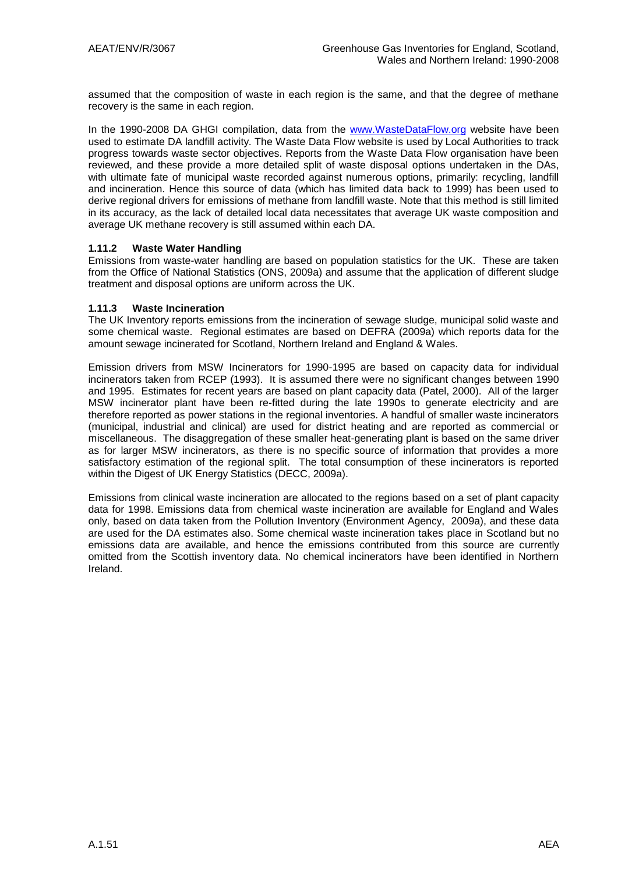assumed that the composition of waste in each region is the same, and that the degree of methane recovery is the same in each region.

In the 1990-2008 DA GHGI compilation, data from the [www.WasteDataFlow.org](http://www.wastedataflow.org/) website have been used to estimate DA landfill activity. The Waste Data Flow website is used by Local Authorities to track progress towards waste sector objectives. Reports from the Waste Data Flow organisation have been reviewed, and these provide a more detailed split of waste disposal options undertaken in the DAs, with ultimate fate of municipal waste recorded against numerous options, primarily: recycling, landfill and incineration. Hence this source of data (which has limited data back to 1999) has been used to derive regional drivers for emissions of methane from landfill waste. Note that this method is still limited in its accuracy, as the lack of detailed local data necessitates that average UK waste composition and average UK methane recovery is still assumed within each DA.

#### **1.11.2 Waste Water Handling**

Emissions from waste-water handling are based on population statistics for the UK. These are taken from the Office of National Statistics (ONS, 2009a) and assume that the application of different sludge treatment and disposal options are uniform across the UK.

#### **1.11.3 Waste Incineration**

The UK Inventory reports emissions from the incineration of sewage sludge, municipal solid waste and some chemical waste. Regional estimates are based on DEFRA (2009a) which reports data for the amount sewage incinerated for Scotland, Northern Ireland and England & Wales.

Emission drivers from MSW Incinerators for 1990-1995 are based on capacity data for individual incinerators taken from RCEP (1993). It is assumed there were no significant changes between 1990 and 1995. Estimates for recent years are based on plant capacity data (Patel, 2000). All of the larger MSW incinerator plant have been re-fitted during the late 1990s to generate electricity and are therefore reported as power stations in the regional inventories. A handful of smaller waste incinerators (municipal, industrial and clinical) are used for district heating and are reported as commercial or miscellaneous. The disaggregation of these smaller heat-generating plant is based on the same driver as for larger MSW incinerators, as there is no specific source of information that provides a more satisfactory estimation of the regional split. The total consumption of these incinerators is reported within the Digest of UK Energy Statistics (DECC, 2009a).

Emissions from clinical waste incineration are allocated to the regions based on a set of plant capacity data for 1998. Emissions data from chemical waste incineration are available for England and Wales only, based on data taken from the Pollution Inventory (Environment Agency, 2009a), and these data are used for the DA estimates also. Some chemical waste incineration takes place in Scotland but no emissions data are available, and hence the emissions contributed from this source are currently omitted from the Scottish inventory data. No chemical incinerators have been identified in Northern Ireland.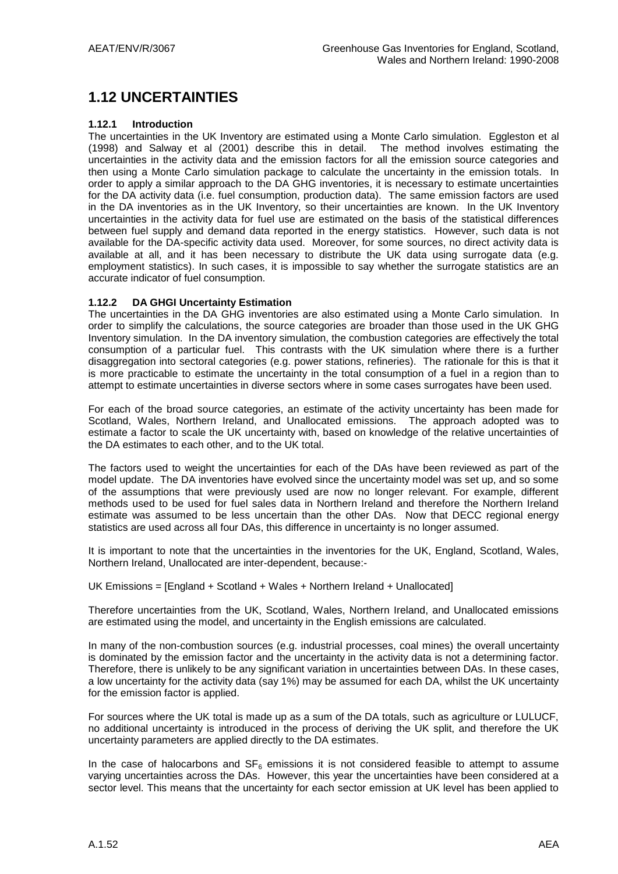# **1.12 UNCERTAINTIES**

#### **1.12.1 Introduction**

The uncertainties in the UK Inventory are estimated using a Monte Carlo simulation. Eggleston et al (1998) and Salway et al (2001) describe this in detail. The method involves estimating the uncertainties in the activity data and the emission factors for all the emission source categories and then using a Monte Carlo simulation package to calculate the uncertainty in the emission totals. In order to apply a similar approach to the DA GHG inventories, it is necessary to estimate uncertainties for the DA activity data (i.e. fuel consumption, production data). The same emission factors are used in the DA inventories as in the UK Inventory, so their uncertainties are known. In the UK Inventory uncertainties in the activity data for fuel use are estimated on the basis of the statistical differences between fuel supply and demand data reported in the energy statistics. However, such data is not available for the DA-specific activity data used. Moreover, for some sources, no direct activity data is available at all, and it has been necessary to distribute the UK data using surrogate data (e.g. employment statistics). In such cases, it is impossible to say whether the surrogate statistics are an accurate indicator of fuel consumption.

#### **1.12.2 DA GHGI Uncertainty Estimation**

The uncertainties in the DA GHG inventories are also estimated using a Monte Carlo simulation. In order to simplify the calculations, the source categories are broader than those used in the UK GHG Inventory simulation. In the DA inventory simulation, the combustion categories are effectively the total consumption of a particular fuel. This contrasts with the UK simulation where there is a further disaggregation into sectoral categories (e.g. power stations, refineries). The rationale for this is that it is more practicable to estimate the uncertainty in the total consumption of a fuel in a region than to attempt to estimate uncertainties in diverse sectors where in some cases surrogates have been used.

For each of the broad source categories, an estimate of the activity uncertainty has been made for Scotland, Wales, Northern Ireland, and Unallocated emissions. The approach adopted was to estimate a factor to scale the UK uncertainty with, based on knowledge of the relative uncertainties of the DA estimates to each other, and to the UK total.

The factors used to weight the uncertainties for each of the DAs have been reviewed as part of the model update. The DA inventories have evolved since the uncertainty model was set up, and so some of the assumptions that were previously used are now no longer relevant. For example, different methods used to be used for fuel sales data in Northern Ireland and therefore the Northern Ireland estimate was assumed to be less uncertain than the other DAs. Now that DECC regional energy statistics are used across all four DAs, this difference in uncertainty is no longer assumed.

It is important to note that the uncertainties in the inventories for the UK, England, Scotland, Wales, Northern Ireland, Unallocated are inter-dependent, because:-

UK Emissions = [England + Scotland + Wales + Northern Ireland + Unallocated]

Therefore uncertainties from the UK, Scotland, Wales, Northern Ireland, and Unallocated emissions are estimated using the model, and uncertainty in the English emissions are calculated.

In many of the non-combustion sources (e.g. industrial processes, coal mines) the overall uncertainty is dominated by the emission factor and the uncertainty in the activity data is not a determining factor. Therefore, there is unlikely to be any significant variation in uncertainties between DAs. In these cases, a low uncertainty for the activity data (say 1%) may be assumed for each DA, whilst the UK uncertainty for the emission factor is applied.

For sources where the UK total is made up as a sum of the DA totals, such as agriculture or LULUCF, no additional uncertainty is introduced in the process of deriving the UK split, and therefore the UK uncertainty parameters are applied directly to the DA estimates.

In the case of halocarbons and  $SF_6$  emissions it is not considered feasible to attempt to assume varying uncertainties across the DAs. However, this year the uncertainties have been considered at a sector level. This means that the uncertainty for each sector emission at UK level has been applied to